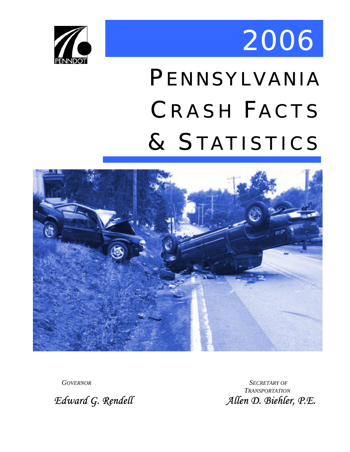



# PENNSYLVANIA CRASH FACTS & STATISTICS



*GOVERNOR SECRETARY OF TRANSPORTATION Edward G. Rendell Allen D. Biehler, P.E.*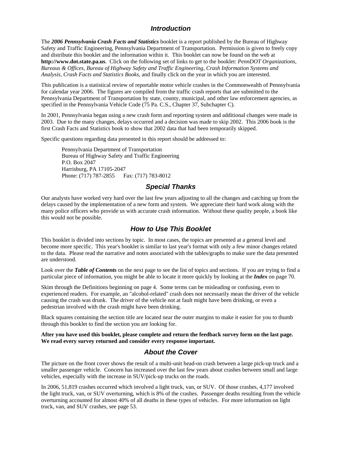#### *Introduction*

<span id="page-1-0"></span>The *2006 Pennsylvania Crash Facts and Statistics* booklet is a report published by the Bureau of Highway Safety and Traffic Engineering, Pennsylvania Department of Transportation. Permission is given to freely copy and distribute this booklet and the information within it. This booklet can now be found on the web at **[http://www.dot.state.pa.us](http://www.dot.state.pa.us/)**. Click on the following set of links to get to the booklet: *PennDOT Organizations, Bureaus & Offices, Bureau of Highway Safety and Traffic Engineering, Crash Information Systems and Analysis, Crash Facts and Statistics Books*, and finally click on the year in which you are interested.

This publication is a statistical review of reportable motor vehicle crashes in the Commonwealth of Pennsylvania for calendar year 2006. The figures are compiled from the traffic crash reports that are submitted to the Pennsylvania Department of Transportation by state, county, municipal, and other law enforcement agencies, as specified in the Pennsylvania Vehicle Code (75 Pa. C.S., Chapter 37, Subchapter C).

In 2001, Pennsylvania began using a new crash form and reporting system and additional changes were made in 2003. Due to the many changes, delays occurred and a decision was made to skip 2002. This 2006 book is the first Crash Facts and Statistics book to show that 2002 data that had been temporarily skipped.

Specific questions regarding data presented in this report should be addressed to:

Pennsylvania Department of Transportation Bureau of Highway Safety and Traffic Engineering P.O. Box 2047 Harrisburg, PA 17105-2047 Phone: (717) 787-2855 Fax: (717) 783-8012

#### *Special Thanks*

Our analysts have worked very hard over the last few years adjusting to all the changes and catching up from the delays caused by the implementation of a new form and system. We appreciate their hard work along with the many police officers who provide us with accurate crash information. Without these quality people, a book like this would not be possible.

#### *How to Use This Booklet*

This booklet is divided into sections by topic. In most cases, the topics are presented at a general level and become more specific. This year's booklet is similar to last year's format with only a few minor changes related to the data. Please read the narrative and notes associated with the tables/graphs to make sure the data presented are understood.

Look over the **Table of Contents** on the next page to see the list of topics and sections. If you are trying to find a particular piece of information, you might be able to locate it more quickly by looking at the *Index* on page 70.

Skim through the Definitions beginning on page 4. Some terms can be misleading or confusing, even to experienced readers. For example, an "alcohol-related" crash does not necessarily mean the driver of the vehicle causing the crash was drunk. The driver of the vehicle not at fault might have been drinking, or even a pedestrian involved with the crash might have been drinking.

Black squares containing the section title are located near the outer margins to make it easier for you to thumb through this booklet to find the section you are looking for.

#### **After you have used this booklet, please complete and return the feedback survey form on the last page. We read every survey returned and consider every response important.**

#### *About the Cover*

The picture on the front cover shows the result of a multi-unit head-on crash between a large pick-up truck and a smaller passenger vehicle. Concern has increased over the last few years about crashes between small and large vehicles, especially with the increase in SUV/pick-up trucks on the roads.

In 2006, 51,819 crashes occurred which involved a light truck, van, or SUV. Of those crashes, 4,177 involved the light truck, van, or SUV overturning, which is 8% of the crashes. Passenger deaths resulting from the vehicle overturning accounted for almost 40% of all deaths in these types of vehicles. For more information on light truck, van, and SUV crashes, see page 53.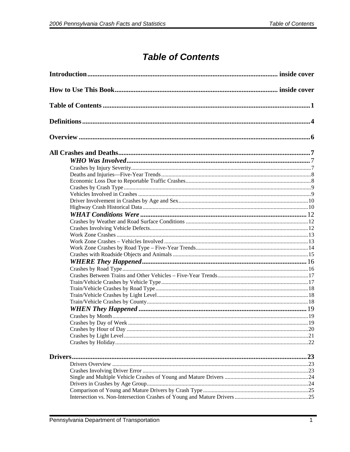### **Table of Contents**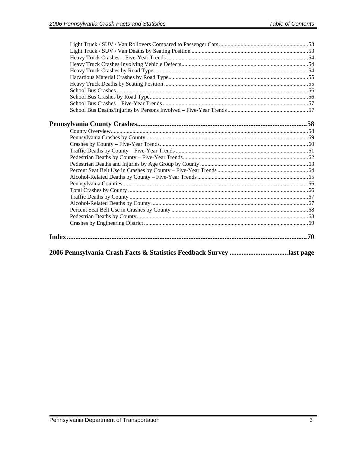| 2006 Pennsylvania Crash Facts & Statistics Feedback Survey last page |  |
|----------------------------------------------------------------------|--|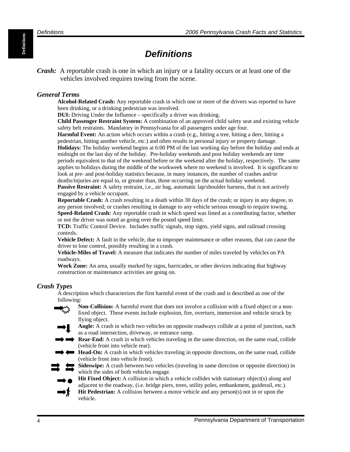## *Definitions*

<span id="page-5-0"></span>*Crash:* A reportable crash is one in which an injury or a fatality occurs or at least one of the vehicles involved requires towing from the scene.

#### *General Terms*

**Alcohol-Related Crash:** Any reportable crash in which one or more of the drivers was reported to have been drinking, or a drinking pedestrian was involved.

**DUI:** Driving Under the Influence – specifically a driver was drinking.

**Child Passenger Restraint System:** A combination of an approved child safety seat and existing vehicle safety belt restraints. Mandatory in Pennsylvania for all passengers under age four.

**Harmful Event:** An action which occurs within a crash (e.g., hitting a tree, hitting a deer, hitting a pedestrian, hitting another vehicle, etc.) and often results in personal injury or property damage. **Holidays:** The holiday weekend begins at 6:00 PM of the last working day before the holiday and ends at midnight on the last day of the holiday. Pre-holiday weekends and post holiday weekends are time periods equivalent to that of the weekend before or the weekend after the holiday, respectively. The same applies to holidays during the middle of the workweek where no weekend is involved. It is significant to look at pre- and post-holiday statistics because, in many instances, the number of crashes and/or deaths/injuries are equal to, or greater than, those occurring on the actual holiday weekend.

**Passive Restraint:** A safety restraint, i.e., air bag, automatic lap/shoulder harness, that is not actively engaged by a vehicle occupant.

**Reportable Crash:** A crash resulting in a death within 30 days of the crash; or injury in any degree, to any person involved; or crashes resulting in damage to any vehicle serious enough to require towing. **Speed-Related Crash:** Any reportable crash in which speed was listed as a contributing factor, whether or not the driver was noted as going over the posted speed limit.

**TCD:** Traffic Control Device. Includes traffic signals, stop signs, yield signs, and railroad crossing controls.

**Vehicle Defect:** A fault in the vehicle, due to improper maintenance or other reasons, that can cause the driver to lose control, possibly resulting in a crash.

**Vehicle-Miles of Travel:** A measure that indicates the number of miles traveled by vehicles on PA roadways.

**Work Zone:** An area, usually marked by signs, barricades, or other devices indicating that highway construction or maintenance activities are going on.

#### *Crash Types*

A description which characterizes the first harmful event of the crash and is described as one of the following:

- **Non-Collision:** A harmful event that does not involve a collision with a fixed object or a nonfixed object. These events include explosion, fire, overturn, immersion and vehicle struck by flying object.
- **Angle:** A crash in which two vehicles on opposite roadways collide at a point of junction, such as a road intersection, driveway, or entrance ramp.
- **Rear-End:** A crash in which vehicles traveling in the same direction, on the same road, collide (vehicle front into vehicle rear).
- **Head-On:** A crash in which vehicles traveling in opposite directions, on the same road, collide (vehicle front into vehicle front).

**Sideswipe:** A crash between two vehicles (traveling in same direction or opposite direction) in which the sides of both vehicles engage.



- Hit Fixed Object: A collision in which a vehicle collides with stationary object(s) along and adjacent to the roadway, (i.e. bridge piers, trees, utility poles, embankment, guiderail, etc.).
- **Hit Pedestrian:** A collision between a motor vehicle and any person(s) not in or upon the vehicle.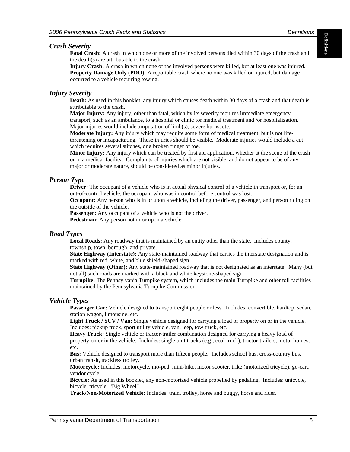#### *Crash Severity*

**2006 Pennsylvania Crash Facts and Statistics** *Definitions**Definitions***<br><b>Fatal Severity**<br>**Fatal Crash:** A crash in which one or more of the involved persons died within 30 days of the crash and the death(s) are attributable to the crash.

**Injury Crash:** A crash in which none of the involved persons were killed, but at least one was injured. **Property Damage Only (PDO):** A reportable crash where no one was killed or injured, but damage occurred to a vehicle requiring towing.

#### *Injury Severity*

**Death:** As used in this booklet, any injury which causes death within 30 days of a crash and that death is attributable to the crash.

**Major Injury:** Any injury, other than fatal, which by its severity requires immediate emergency transport, such as an ambulance, to a hospital or clinic for medical treatment and /or hospitalization. Major injuries would include amputation of limb(s), severe burns, etc.

**Moderate Injury:** Any injury which may require some form of medical treatment, but is not lifethreatening or incapacitating. These injuries should be visible. Moderate injuries would include a cut which requires several stitches, or a broken finger or toe.

**Minor Injury:** Any injury which can be treated by first aid application, whether at the scene of the crash or in a medical facility. Complaints of injuries which are not visible, and do not appear to be of any major or moderate nature, should be considered as minor injuries.

#### *Person Type*

**Driver:** The occupant of a vehicle who is in actual physical control of a vehicle in transport or, for an out-of-control vehicle, the occupant who was in control before control was lost.

**Occupant:** Any person who is in or upon a vehicle, including the driver, passenger, and person riding on the outside of the vehicle.

**Passenger:** Any occupant of a vehicle who is not the driver.

**Pedestrian:** Any person not in or upon a vehicle.

#### *Road Types*

**Local Roads:** Any roadway that is maintained by an entity other than the state. Includes county, township, town, borough, and private.

**State Highway (Interstate):** Any state-maintained roadway that carries the interstate designation and is marked with red, white, and blue shield-shaped sign.

**State Highway (Other):** Any state-maintained roadway that is not designated as an interstate. Many (but not all) such roads are marked with a black and white keystone-shaped sign.

**Turnpike:** The Pennsylvania Turnpike system, which includes the main Turnpike and other toll facilities maintained by the Pennsylvania Turnpike Commission.

#### *Vehicle Types*

**Passenger Car:** Vehicle designed to transport eight people or less. Includes: convertible, hardtop, sedan, station wagon, limousine, etc.

**Light Truck / SUV / Van:** Single vehicle designed for carrying a load of property on or in the vehicle. Includes: pickup truck, sport utility vehicle, van, jeep, tow truck, etc.

**Heavy Truck:** Single vehicle or tractor-trailer combination designed for carrying a heavy load of property on or in the vehicle. Includes: single unit trucks (e.g., coal truck), tractor-trailers, motor homes, etc.

**Bus:** Vehicle designed to transport more than fifteen people. Includes school bus, cross-country bus, urban transit, trackless trolley.

**Motorcycle:** Includes: motorcycle, mo-ped, mini-bike, motor scooter, trike (motorized tricycle), go-cart, vendor cycle.

**Bicycle:** As used in this booklet, any non-motorized vehicle propelled by pedaling. Includes: unicycle, bicycle, tricycle, "Big Wheel".

**Track/Non-Motorized Vehicle:** Includes: train, trolley, horse and buggy, horse and rider.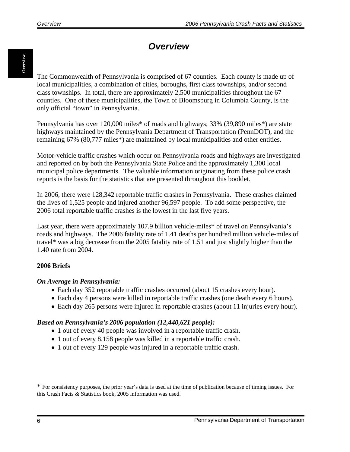### *Overview*

<span id="page-7-0"></span>The Commonwealth of Pennsylvania is comprised of 67 counties. Each county is made up of local municipalities, a combination of cities, boroughs, first class townships, and/or second class townships. In total, there are approximately 2,500 municipalities throughout the 67 counties. One of these municipalities, the Town of Bloomsburg in Columbia County, is the only official "town" in Pennsylvania.

Pennsylvania has over 120,000 miles\* of roads and highways; 33% (39,890 miles\*) are state highways maintained by the Pennsylvania Department of Transportation (PennDOT), and the remaining 67% (80,777 miles\*) are maintained by local municipalities and other entities.

Motor-vehicle traffic crashes which occur on Pennsylvania roads and highways are investigated and reported on by both the Pennsylvania State Police and the approximately 1,300 local municipal police departments. The valuable information originating from these police crash reports is the basis for the statistics that are presented throughout this booklet.

In 2006, there were 128,342 reportable traffic crashes in Pennsylvania. These crashes claimed the lives of 1,525 people and injured another 96,597 people. To add some perspective, the 2006 total reportable traffic crashes is the lowest in the last five years.

Last year, there were approximately 107.9 billion vehicle-miles\* of travel on Pennsylvania's roads and highways. The 2006 fatality rate of 1.41 deaths per hundred million vehicle-miles of travel\* was a big decrease from the 2005 fatality rate of 1.51 and just slightly higher than the 1.40 rate from 2004.

#### **2006 Briefs**

#### *On Average in Pennsylvania:*

- Each day 352 reportable traffic crashes occurred (about 15 crashes every hour).
- Each day 4 persons were killed in reportable traffic crashes (one death every 6 hours).
- Each day 265 persons were injured in reportable crashes (about 11 injuries every hour).

#### *Based on Pennsylvania's 2006 population (12,440,621 people):*

- 1 out of every 40 people was involved in a reportable traffic crash.
- 1 out of every 8,158 people was killed in a reportable traffic crash.
- 1 out of every 129 people was injured in a reportable traffic crash.

\* For consistency purposes, the prior year's data is used at the time of publication because of timing issues. For this Crash Facts & Statistics book, 2005 information was used.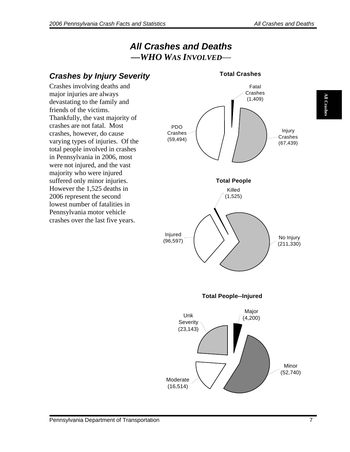**All Crashes All Crashes** 

### *All Crashes and Deaths —WHO WAS INVOLVED*—

<span id="page-8-0"></span>

**Total Crashes**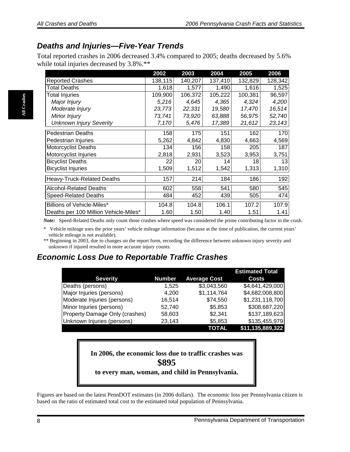#### <span id="page-9-0"></span>*Deaths and Injuries—Five-Year Trends*

Total reported crashes in 2006 decreased 3.4% compared to 2005; deaths decreased by 5.6% while total injuries decreased by  $3.8\%.**$ 

|                                       | 2002    | 2003    | 2004    | 2005    | 2006    |
|---------------------------------------|---------|---------|---------|---------|---------|
| <b>Reported Crashes</b>               | 138,115 | 140,207 | 137,410 | 132,829 | 128,342 |
| Total Deaths                          | 1,618   | 1,577   | 1,490   | 1,616   | 1,525   |
| <b>Total Injuries</b>                 | 109,900 | 106,372 | 105,222 | 100,381 | 96,597  |
| Major Injury                          | 5,216   | 4,645   | 4,365   | 4,324   | 4,200   |
| Moderate Injury                       | 23,773  | 22,331  | 19,580  | 17,470  | 16,514  |
| Minor Injury                          | 73,741  | 73,920  | 63,888  | 56,975  | 52,740  |
| <b>Unknown Injury Severity</b>        | 7,170   | 5,476   | 17,389  | 21,612  | 23,143  |
| <b>Pedestrian Deaths</b>              | 158     | 175     | 151     | 162     | 170     |
| Pedestrian Injuries                   | 5,262   | 4,842   | 4,830   | 4,663   | 4,569   |
| <b>Motorcyclist Deaths</b>            | 134     | 156     | 158     | 205     | 187     |
| Motorcyclist Injuries                 | 2,818   | 2,931   | 3,523   | 3,953   | 3,751   |
| <b>Bicyclist Deaths</b>               | 22      | 20      | 14      | 18      | 13      |
| <b>Bicyclist Injuries</b>             | 1,509   | 1,512   | 1,542   | 1,313   | 1,310   |
| <b>Heavy-Truck-Related Deaths</b>     | 157     | 214     | 184     | 186     | 192     |
| <b>Alcohol-Related Deaths</b>         | 602     | 558     | 541     | 580     | 545     |
| <b>Speed-Related Deaths</b>           | 484     | 452     | 439     | 505     | 474     |
| Billions of Vehicle-Miles*            | 104.8   | 104.8   | 106.1   | 107.2   | 107.9   |
| Deaths per 100 Million Vehicle-Miles* | 1.60    | 1.50    | 1.40    | 1.51    | 1.41    |

*Note:* Speed-Related Deaths only count those crashes where speed was considered the prime contributing factor in the crash.

Vehicle mileage uses the prior years' vehicle mileage information (because at the time of publication, the current years' vehicle mileage is not available).

\*\* Beginning in 2003, due to changes on the report form, recording the difference between unknown injury severity and unknown if injured resulted in more accurate injury counts.

#### *Economic Loss Due to Reportable Traffic Crashes*

|                                |               |                     | <b>Estimated Total</b> |
|--------------------------------|---------------|---------------------|------------------------|
| <b>Severity</b>                | <b>Number</b> | <b>Average Cost</b> | <b>Costs</b>           |
| Deaths (persons)               | 1,525         | \$3,043,560         | \$4,641,429,000        |
| Major Injuries (persons)       | 4,200         | \$1,114,764         | \$4,682,008,800        |
| Moderate Injuries (persons)    | 16,514        | \$74,550            | \$1,231,118,700        |
| Minor Injuries (persons)       | 52,740        | \$5,853             | \$308,687,220          |
| Property Damage Only (crashes) | 58,603        | \$2,341             | \$137,189,623          |
| Unknown Injuries (persons)     | 23,143        | \$5,853             | \$135,455,979          |
|                                |               | <b>TOTAL</b>        | \$11,135,889,322       |

**In 2006, the economic loss due to traffic crashes was \$895 to every man, woman, and child in Pennsylvania.** 

Figures are based on the latest PennDOT estimates (in 2006 dollars). The economic loss per Pennsylvania citizen is based on the ratio of estimated total cost to the estimated total population of Pennsylvania.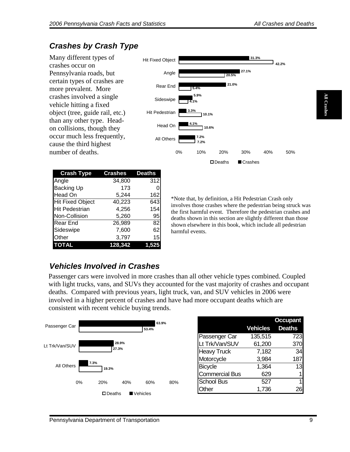**All Crashes** 

**All Crashe** 

## <span id="page-10-0"></span>*Crashes by Crash Type*

Many different types of crashes occur on Pennsylvania roads, but certain types of crashes are more prevalent. More crashes involved a single vehicle hitting a fixed object (tree, guide rail, etc.) than any other type. Headon collisions, though they occur much less frequently, cause the third highest number of deaths.

| <b>Crash Type</b>       | <b>Crashes</b> | <b>Deaths</b> |
|-------------------------|----------------|---------------|
| Angle                   | 34,800         | 312           |
| <b>Backing Up</b>       | 173            |               |
| <b>Head On</b>          | 5,244          | 162           |
| <b>Hit Fixed Object</b> | 40,223         | 6431          |
| <b>Hit Pedestrian</b>   | 4,256          | 154           |
| Non-Collision           | 5,260          | 95            |
| Rear End                | 26,989         | 821           |
| Sideswipe               | 7,600          | 62            |
| Other                   | 3,797          | 15            |
| <b>TOTAL</b>            | 128.342        |               |



\*Note that, by definition, a Hit Pedestrian Crash only involves those crashes where the pedestrian being struck was the first harmful event. Therefore the pedestrian crashes and deaths shown in this section are slightly different than those shown elsewhere in this book, which include all pedestrian harmful events.

### *Vehicles Involved in Crashes*

Passenger cars were involved in more crashes than all other vehicle types combined. Coupled with light trucks, vans, and SUVs they accounted for the vast majority of crashes and occupant deaths. Compared with previous years, light truck, van, and SUV vehicles in 2006 were involved in a higher percent of crashes and have had more occupant deaths which are consistent with recent vehicle buying trends.

|                |       |               |       | 63.9%      |                    |                       |                 | <b>Occupant</b> |
|----------------|-------|---------------|-------|------------|--------------------|-----------------------|-----------------|-----------------|
| Passenger Car  |       |               |       | 53.4%      |                    |                       | <b>Vehicles</b> | <b>Deaths</b>   |
|                |       |               |       |            |                    | Passenger Car         | 135,515         | 723             |
| Lt Trk/Van/SUV |       |               | 28.9% |            |                    | Lt Trk/Van/SUV        | 61,200          | 370             |
| 27.3%          |       |               |       |            | <b>Heavy Truck</b> | 7,182                 | 34              |                 |
|                |       |               |       |            |                    | Motorcycle            | 3,984           | 187             |
| All Others     | 7.3%  | 19.3%         |       |            |                    | Bicycle               | 1,364           | 13              |
|                |       |               |       |            |                    | <b>Commercial Bus</b> | 629             | 1               |
|                | $0\%$ | 20%           | 40%   | 60%        | 80%                | <b>School Bus</b>     | 527             | 1               |
|                |       |               |       |            |                    | Other                 | 1,736           | 26              |
|                |       | $\Box$ Deaths |       | ■ Vehicles |                    |                       |                 |                 |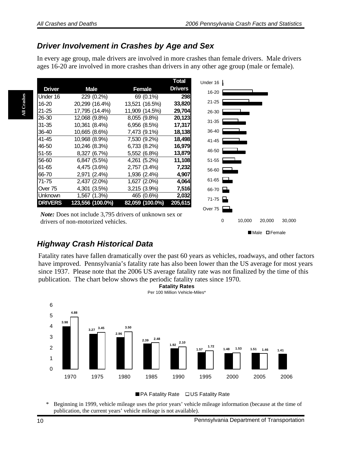#### <span id="page-11-0"></span>*Driver Involvement in Crashes by Age and Sex*

In every age group, male drivers are involved in more crashes than female drivers. Male drivers ages 16-20 are involved in more crashes than drivers in any other age group (male or female).

|                             |                                     |                 | <b>Total</b>   | Under 16       |
|-----------------------------|-------------------------------------|-----------------|----------------|----------------|
| <b>Driver</b>               | <b>Male</b>                         | Female          | <b>Drivers</b> | 16-20          |
| Under 16                    | 229 (0.2%)                          | 69 (0.1%)       | 298            |                |
| 16-20                       | 20,299 (16.4%)                      | 13,521 (16.5%)  | 33,820         | $21 - 25$      |
| 21-25                       | 17,795 (14.4%)                      | 11,909 (14.5%)  | 29,704         | 26-30          |
| 26-30                       | 12,068 (9.8%)                       | 8,055 (9.8%)    | 20,123         | $31 - 35$      |
| $31 - 35$                   | 10,361 (8.4%)                       | 6,956 (8.5%)    | 17,317         |                |
| 36-40                       | 10,665 (8.6%)                       | 7,473 (9.1%)    | 18,138         | 36-40          |
| 41-45                       | 10,968 (8.9%)                       | 7,530 (9.2%)    | 18,498         | 41-45          |
| 46-50                       | 10,246 (8.3%)                       | 6,733 (8.2%)    | 16,979         |                |
| 51-55                       | 8,327 (6.7%)                        | 5,552 (6.8%)    | 13,879         | 46-50          |
| 56-60                       | 6,847 (5.5%)                        | 4,261 (5.2%)    | 11,108         | $51 - 55$      |
| 61-65                       | 4,475 (3.6%)                        | 2,757 (3.4%)    | 7,232          | 56-60          |
| 66-70                       | 2,971 (2.4%)                        | 1,936 (2.4%)    | 4,907          |                |
| 71-75                       | 2,437 (2.0%)                        | 1,627 (2.0%)    | 4,064          | 61-65          |
| Over 75                     | 4,301 (3.5%)                        | 3,215 (3.9%)    | 7,516          | $66-70$ $\Box$ |
| Unknown                     | 1,567 (1.3%)                        | 465 (0.6%)      | 2,032          | $71-75$ $\Box$ |
| <b>DRIVERS</b>              | 123,556 (100.0%)                    | 82,059 (100.0%) | 205,615        |                |
| $\mathbf{r}$ , $\mathbf{r}$ | $\cdots$ $\cdots$ $\cdots$ $\cdots$ |                 |                | Over 75        |

*Note:* Does not include 3,795 drivers of unknown sex or drivers of non-motorized vehicles.

Male **O**Female

0 10,000 20,000 30,000

#### *Highway Crash Historical Data*

Fatality rates have fallen dramatically over the past 60 years as vehicles, roadways, and other factors have improved. Pennsylvania's fatality rate has also been lower than the US average for most years since 1937. Please note that the 2006 US average fatality rate was not finalized by the time of this publication. The chart below shows the periodic fatality rates since 1970.

**Fatality Rates**



■ PA Fatality Rate □ US Fatality Rate

\* Beginning in 1999, vehicle mileage uses the prior years' vehicle mileage information (because at the time of publication, the current years' vehicle mileage is not available).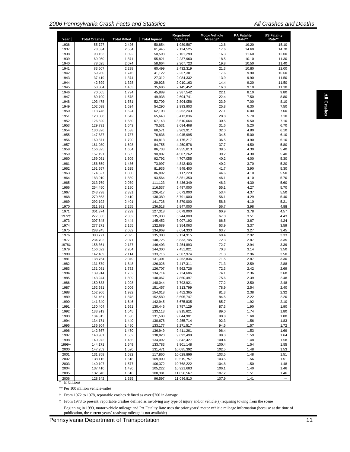| Year         | <b>Total Crashes</b>                                                                                      | <b>Total Killed</b> | <b>Total Injured</b> | Registered<br>Vehicles | <b>Motor Vehicle</b><br>Mileage*                                                                                                              | <b>PA Fatality</b><br>Rate** | <b>US Fatality</b><br>Rate** |
|--------------|-----------------------------------------------------------------------------------------------------------|---------------------|----------------------|------------------------|-----------------------------------------------------------------------------------------------------------------------------------------------|------------------------------|------------------------------|
| 1936         | 55,727                                                                                                    | 2,426               | 50,854               | 1,989,507              | 12.6                                                                                                                                          | 19.20                        | 15.10                        |
| 1937         | 73,534                                                                                                    | 2,564               | 61,445               | 2.124.525              | 17.6                                                                                                                                          | 14.60                        | 14.70                        |
| 1938         | 93,153                                                                                                    | 1,892               | 50,598               | 2,101,299              | 16.3                                                                                                                                          | 11.60                        | 12.00                        |
| 1939         | 69,950                                                                                                    | 1,871               | 55,821               | 2,237,960              | 18.5                                                                                                                                          | 10.10                        | 11.30                        |
| 1940         | 78,625                                                                                                    | 2,074               | 58,664               | 2,307,723              | 19.8                                                                                                                                          | 10.50                        | 11.40                        |
| 1941         | 83,507                                                                                                    | 2,298               | 60,499               | 2,432,319              | 21.3                                                                                                                                          | 10.80                        | 12.00                        |
| 1942         | 59,280                                                                                                    | 1,745               | 41,122               | 2,267,301              | 17.6                                                                                                                                          | 9.90                         | 10.60                        |
| 1943         | 37,419                                                                                                    | 1,374               | 27,312               | 2,084,332              | 13.9                                                                                                                                          | 9.90                         | 11.50                        |
| 1944         | 42,699                                                                                                    | 1,328               | 29,928               | 2,010,163              | 14.4                                                                                                                                          | 9.20                         | 11.50                        |
| 1945         | 53,304                                                                                                    | 1,453               | 35,686               | 2,145,452              | 16.0                                                                                                                                          | 9.10                         | 11.30                        |
| 1946         | 70,065                                                                                                    | 1,794               | 45,889               | 2,387,542              | 22.1                                                                                                                                          | 8.10                         | 9.80                         |
| 1947         | 89,190                                                                                                    | 1,678               | 49,938               | 2.604.741              | 22.4                                                                                                                                          | 7.50                         | 8.80                         |
| 1948         | 103,478                                                                                                   | 1,671               | 52,709               | 2,804,056              | 23.9                                                                                                                                          | 7.00                         | 8.10                         |
| 1949         | 102,098                                                                                                   | 1,624               | 54,290               | 2,993,903              | 25.8                                                                                                                                          | 6.30                         | 7.50                         |
| 1950<br>1951 | 113,748<br>123,088                                                                                        | 1,624<br>1,642      | 62,103<br>65,643     | 3,262,243<br>3,413,836 | 27.1<br>28.8                                                                                                                                  | 6.00<br>5.70                 | 7.60<br>7.10                 |
| 1952         | 126,820                                                                                                   | 1,680               | 67,143               | 3,510,064              | 30.5                                                                                                                                          | 5.50                         | 7.10                         |
| 1953         | 129,791                                                                                                   | 1,643               | 70,531               | 3,684,468              | 31.6                                                                                                                                          | 5.20                         | 6.70                         |
| 1954         | 130,326                                                                                                   | 1,538               | 68,571               | 3,903,917              | 32.0                                                                                                                                          | 4.80                         | 6.10                         |
| 1955         | 147,837                                                                                                   | 1,737               | 76,836               | 4,045,995              | 34.5                                                                                                                                          | 5.00                         | 6.10                         |
| 1956         | 160,371                                                                                                   | 1,790               | 84,813               | 4,175,217              | 36.5                                                                                                                                          | 4.90                         | 6.10                         |
| 1957         | 161,080                                                                                                   | 1,698               | 84,755               | 4,250,576              | 37.7                                                                                                                                          | 4.50                         | 5.80                         |
| 1958         | 156,825                                                                                                   | 1,654               | 86,733               | 4,355,813              | 38.5                                                                                                                                          | 4.30                         | 5.40                         |
| 1959         | 157,191                                                                                                   | 1,685               | 90,807               | 4,507,262              | 39.2                                                                                                                                          | 4.30                         | 5.40                         |
| 1960         | 159,051                                                                                                   | 1,609               | 92,792               | 4,707,055              | 40.2                                                                                                                                          | 4.00                         | 5.30                         |
| 1961         | 156,559                                                                                                   | 1,486               | 73,997               | 4,842,400              | 40.2                                                                                                                                          | 3.70                         | 5.20                         |
| 1962         | 161,557                                                                                                   | 1,625               | 81,936               | 4,849,400              | 41.7                                                                                                                                          | 3.90                         | 5.30                         |
| 1963         | 174,527                                                                                                   | 1,830               | 86,892               | 5,117,229              | 44.6                                                                                                                                          | 4.10                         | 5.50                         |
| 1964         | 183,910                                                                                                   | 1,889               | 93,564               | 5,351,350              | 46.1                                                                                                                                          | 4.10                         | 5.70                         |
| 1965         | 213,769                                                                                                   | 2,079               | 111,123              | 5,436,349              | 48.3                                                                                                                                          | 4.30                         | 5.60                         |
| 1966         | 254,450                                                                                                   | 2,180               | 116,537              | 5,497,000              | 55.1                                                                                                                                          | 4.27                         | 5.70                         |
| 1967         | 243.798                                                                                                   | 2,331               | 126,417              | 5,673,000              | 53.4                                                                                                                                          | 4.37                         | 5.50                         |
| 1968         | 279,663                                                                                                   | 2,410               | 138,389              | 5,791,000              | 56.1                                                                                                                                          | 4.29                         | 5.40                         |
| 1969         | 292,192                                                                                                   | 2,401               | 141,728              | 5,879,000              | 58.6                                                                                                                                          | 4.10                         | 5.21                         |
| 1970         | 311,981                                                                                                   | 2,255               | 136,518              | 5,947,000              | 56.7                                                                                                                                          | 3.98                         | 4.88                         |
| 1971         | 301,374                                                                                                   | 2,299               | 127,318              | 6,079,000              | 60.9                                                                                                                                          | 3.78                         | 4.57                         |
| 1972†        | 277,556                                                                                                   | 2,352               | 135,938              | 6,244,000              | 67.0                                                                                                                                          | 3.51                         | 4.43                         |
| 1973         | 307,648                                                                                                   | 2,444               | 145,452              | 7,007,192              | 66.5                                                                                                                                          | 3.67                         | 4.24                         |
| 1974         | 277,271                                                                                                   | 2,155               | 132,689              | 8,354,063              | 63.9                                                                                                                                          | 3.37                         | 3.59                         |
| 1975         | 288,245                                                                                                   | 2,082               | 134,969              | 8,654,333              | 63.7                                                                                                                                          | 3.27                         | 3.45                         |
| 1976         | 303,771                                                                                                   | 2,025               | 135,308              | 9,124,915              | 69.4                                                                                                                                          | 2.92                         | 3.33                         |
| 1977         | 234,702                                                                                                   | 2,071               | 148,725              | 8,833,745              | 72.3                                                                                                                                          | 2.87                         | 3.35                         |
| 1978‡        | 158,361                                                                                                   | 2,137               | 146,403              | 7,254,893              | 72.7                                                                                                                                          | 2.94                         | 3.39                         |
| 1979         | 156,622                                                                                                   | 2,204               | 144,300              | 7,451,021              | 70.3                                                                                                                                          | 3.14                         | 3.50                         |
| 1980         | 142,489                                                                                                   | 2,114               | 133,716              | 7,307,974              | 71.3                                                                                                                                          | 2.96                         | 3.50                         |
| 1981         | 138,764                                                                                                   | 2,049               | 131,301              | 7,252,836              | 71.5                                                                                                                                          | 2.87                         | 3.30                         |
| 1982         | 131,579                                                                                                   | 1,848               | 126,026              | 7,417,311              | 71.3                                                                                                                                          | 2.59                         | 2.88                         |
| 1983         | 131,081                                                                                                   | 1,752               | 126,707              | 7,562,726              | 72.3                                                                                                                                          | 2.42                         | 2.69                         |
| 1984         | 139,914                                                                                                   | 1,752               | 134,714              | 7,724,686              | 74.1                                                                                                                                          | 2.36                         | 2.68                         |
| 1985         | 143,244                                                                                                   | 1,809               | 140,067              | 7,860,497              | 75.6                                                                                                                                          | 2.39                         | 2.48                         |
| 1986         | 150,683                                                                                                   | 1,928               | 148,044              | 7,793,921              | 77.2                                                                                                                                          | 2.50                         | 2.48                         |
| 1987         | 152,631                                                                                                   | 2,006               | 151,457              | 8,313,799              | 78.9                                                                                                                                          | 2.54                         | 2.40                         |
| 1988         | 152,906                                                                                                   | 1,932               | 154,018              | 8,452,365              | 81.3                                                                                                                                          | 2.38                         | 2.32                         |
| 1989         | 151,461                                                                                                   | 1,878               | 152,589              | 8,605,747              | 84.5                                                                                                                                          | 2.22                         | 2.20                         |
| 1990         | 141,340                                                                                                   | 1,646               | 142,945              | 8,675,835              | 85.7                                                                                                                                          | 1.92                         | 2.10                         |
| 1991         | 130,404                                                                                                   | 1,661               | 130,446              | 8,757,129              | 87.3                                                                                                                                          | 1.90                         | 1.90                         |
| 1992         | 133,913                                                                                                   | 1,545               | 133,113              | 8,915,621              | 89.0                                                                                                                                          | 1.74                         | 1.80                         |
| 1993         | 134,315                                                                                                   | 1,530               | 131,503              | 9,044,901              | 90.8                                                                                                                                          | 1.68                         | 1.80                         |
| 1994         | 134,171                                                                                                   | 1,440               | 130,678              | 9,255,714              | 92.3                                                                                                                                          | 1.56                         | 1.83                         |
| 1995         | 136,804                                                                                                   | 1,480               | 133,177              | 9,271,517              | 94.5                                                                                                                                          | 1.57                         | 1.72                         |
| 1996         | 142,867                                                                                                   | 1,470               | 136,949              | 9,411,261              | 96.4                                                                                                                                          | 1.53                         | 1.69                         |
| 1997         | 143,981                                                                                                   | 1,562               | 138,820              | 9,692,499              | 98.3                                                                                                                                          | 1.59                         | 1.64                         |
| 1998         | 140,972                                                                                                   | 1,486               | 134,092              | 9,842,427              | 100.4                                                                                                                                         | 1.48                         | 1.58                         |
| 1999+        | 144,171                                                                                                   | 1,549               | 133,783              | 9,901,148              | 100.4                                                                                                                                         | 1.54                         | 1.55                         |
| 2000         | 147,253                                                                                                   | 1,520               | 131,471              | 10,085,392             | 102.5                                                                                                                                         | 1.48                         | 1.53                         |
| 2001         | 131,358                                                                                                   | 1,532               | 117,860              | 10,629,896             | 103.5                                                                                                                                         | 1.48                         | 1.51                         |
| 2002         | 138,115                                                                                                   | 1,618               | 109,900              | 10,519,757             | 103.5                                                                                                                                         | 1.56                         | 1.51                         |
| 2003         | 140,197                                                                                                   | 1,577               | 106,372              | 10,768,222             | 104.8                                                                                                                                         | 1.50                         | 1.48                         |
| 2004         | 137,410                                                                                                   | 1,490               | 105,222              | 10,921,683             | 106.1                                                                                                                                         | 1.40                         | 1.46                         |
| 2005         | 132,840                                                                                                   | 1,616               | 100,381              | 11,058,567             | 107.2                                                                                                                                         | 1.51                         | 1.46                         |
| 2006         | 128,342                                                                                                   | 1,525               | 96,597               | 11,086,810             | 107.9                                                                                                                                         | 1.41                         |                              |
| In billions  |                                                                                                           |                     |                      |                        |                                                                                                                                               |                              |                              |
|              | ** Per 100 million vehicle-miles<br>From 1972 to 1978, reportable crashes defined as over \$200 in damage |                     |                      |                        |                                                                                                                                               |                              |                              |
|              |                                                                                                           |                     |                      |                        | From 1978 to present, reportable crashes defined as involving any type of injury and/or vehicle(s) requiring towing from the scene            |                              |                              |
|              |                                                                                                           |                     |                      |                        |                                                                                                                                               |                              |                              |
|              |                                                                                                           |                     |                      |                        | Beginning in 1999, motor vehicle mileage and PA Fatality Rate uses the prior years' motor vehicle mileage information (because at the time of |                              |                              |
|              | publication, the current years' roadway mileage is not available)                                         |                     |                      |                        |                                                                                                                                               |                              |                              |
|              | Pennsylvania Department of Transportation                                                                 |                     |                      |                        |                                                                                                                                               |                              |                              |
|              |                                                                                                           |                     |                      |                        |                                                                                                                                               |                              |                              |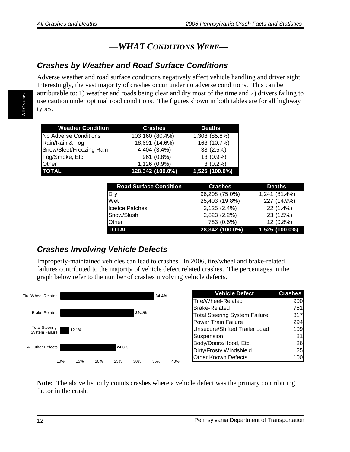#### —*WHAT CONDITIONS WERE—*

#### <span id="page-13-0"></span>*Crashes by Weather and Road Surface Conditions*

Adverse weather and road surface conditions negatively affect vehicle handling and driver sight. Interestingly, the vast majority of crashes occur under no adverse conditions. This can be attributable to: 1) weather and roads being clear and dry most of the time and 2) drivers failing to use caution under optimal road conditions. The figures shown in both tables are for all highway types.

| <b>Weather Condition</b> | <b>Crashes</b>   | <b>Deaths</b>    |
|--------------------------|------------------|------------------|
| No Adverse Conditions    | 103,160 (80.4%)  | 1,308 (85.8%)    |
| Rain/Rain & Fog          | 18,691 (14.6%)   | 163 (10.7%)      |
| Snow/Sleet/Freezing Rain | 4,404 (3.4%)     | 38 (2.5%)        |
| Fog/Smoke, Etc.          | 961 (0.8%)       | 13 (0.9%)        |
| <b>Other</b>             | 1,126 (0.9%)     | $3(0.2\%)$       |
| <b>TOTAL</b>             | 128,342 (100.0%) | $1,525(100.0\%)$ |

| <b>Road Surface Condition</b> | <b>Crashes</b>   | <b>Deaths</b>  |
|-------------------------------|------------------|----------------|
| Dry                           | 96,208 (75.0%)   | 1,241 (81.4%)  |
| Wet                           | 25,403 (19.8%)   | 227 (14.9%)    |
| Ice/Ice Patches               | 3,125 (2.4%)     | 22 (1.4%)      |
| Snow/Slush                    | 2,823 (2.2%)     | 23 (1.5%)      |
| <b>Other</b>                  | 783 (0.6%)       | 12 (0.8%)      |
| <b>TOTAL</b>                  | 128,342 (100.0%) | 1,525 (100.0%) |

#### *Crashes Involving Vehicle Defects*

Improperly-maintained vehicles can lead to crashes. In 2006, tire/wheel and brake-related failures contributed to the majority of vehicle defect related crashes. The percentages in the graph below refer to the number of crashes involving vehicle defects.



**Note:** The above list only counts crashes where a vehicle defect was the primary contributing factor in the crash.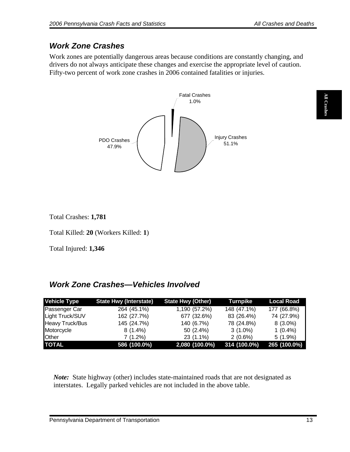### <span id="page-14-0"></span>*Work Zone Crashes*

Work zones are potentially dangerous areas because conditions are constantly changing, and drivers do not always anticipate these changes and exercise the appropriate level of caution. Fifty-two percent of work zone crashes in 2006 contained fatalities or injuries.



Total Crashes: **1,781** 

Total Killed: **20** (Workers Killed: **1**)

Total Injured: **1,346**

### *Work Zone Crashes—Vehicles Involved*

| <b>Vehicle Type</b> | <b>State Hwy (Interstate)</b> | <b>State Hwy (Other)</b> | <b>Turnpike</b> | <b>Local Road</b> |
|---------------------|-------------------------------|--------------------------|-----------------|-------------------|
| Passenger Car       | 264 (45.1%)                   | 1,190 (57.2%)            | 148 (47.1%)     | 177 (66.8%)       |
| Light Truck/SUV     | 162 (27.7%)                   | 677 (32.6%)              | 83 (26.4%)      | 74 (27.9%)        |
| Heavy Truck/Bus     | 145 (24.7%)                   | 140 (6.7%)               | 78 (24.8%)      | $8(3.0\%)$        |
| Motorcycle          | $8(1.4\%)$                    | $50(2.4\%)$              | $3(1.0\%)$      | $1(0.4\%)$        |
| <b>Other</b>        | 7 (1.2%)                      | 23 (1.1%)                | $2(0.6\%)$      | $5(1.9\%)$        |
| <b>TOTAL</b>        | 586 (100.0%)                  | 2,080 (100.0%)           | 314 (100.0%)    | 265 (100.0%)      |

*Note:* State highway (other) includes state-maintained roads that are not designated as interstates. Legally parked vehicles are not included in the above table.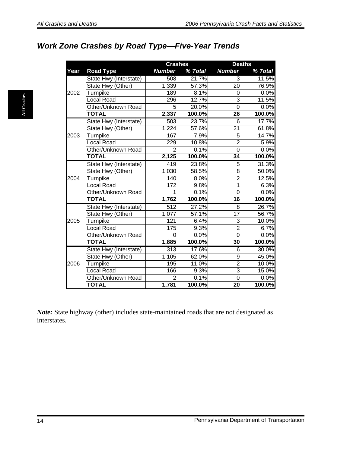**All Crashes** 

All Crashes

### <span id="page-15-0"></span>*Work Zone Crashes by Road Type—Five-Year Trends*

|      |                        | <b>Crashes</b>   |         | <b>Deaths</b>  |         |
|------|------------------------|------------------|---------|----------------|---------|
| Year | <b>Road Type</b>       | <b>Number</b>    | % Total | <b>Number</b>  | % Total |
|      | State Hwy (Interstate) | 508              | 21.7%   | 3              | 11.5%   |
|      | State Hwy (Other)      | 1,339            | 57.3%   | 20             | 76.9%   |
| 2002 | Turnpike               | 189              | 8.1%    | $\Omega$       | 0.0%    |
|      | <b>Local Road</b>      | 296              | 12.7%   | 3              | 11.5%   |
|      | Other/Unknown Road     | 5                | 20.0%   | $\overline{0}$ | 0.0%    |
|      | <b>TOTAL</b>           | 2,337            | 100.0%  | 26             | 100.0%  |
|      | State Hwy (Interstate) | 503              | 23.7%   | 6              | 17.7%   |
|      | State Hwy (Other)      | 1,224            | 57.6%   | 21             | 61.8%   |
| 2003 | Turnpike               | 167              | 7.9%    | 5              | 14.7%   |
|      | <b>Local Road</b>      | 229              | 10.8%   | $\overline{2}$ | 5.9%    |
|      | Other/Unknown Road     | $\overline{2}$   | 0.1%    | $\overline{0}$ | 0.0%    |
|      | <b>TOTAL</b>           | 2,125            | 100.0%  | 34             | 100.0%  |
|      | State Hwy (Interstate) | 419              | 23.8%   | 5              | 31.3%   |
|      | State Hwy (Other)      | 1,030            | 58.5%   | 8              | 50.0%   |
| 2004 | Turnpike               | 140              | 8.0%    | $\overline{2}$ | 12.5%   |
|      | <b>Local Road</b>      | 172              | 9.8%    | 1              | 6.3%    |
|      | Other/Unknown Road     | 1                | 0.1%    | 0              | 0.0%    |
|      | <b>TOTAL</b>           | 1,762            | 100.0%  | 16             | 100.0%  |
|      | State Hwy (Interstate) | $\overline{512}$ | 27.2%   | 8              | 26.7%   |
|      | State Hwy (Other)      | 1,077            | 57.1%   | 17             | 56.7%   |
| 2005 | Turnpike               | 121              | 6.4%    | 3              | 10.0%   |
|      | Local Road             | 175              | 9.3%    | $\overline{2}$ | 6.7%    |
|      | Other/Unknown Road     | $\Omega$         | 0.0%    | $\overline{0}$ | 0.0%    |
|      | <b>TOTAL</b>           | 1,885            | 100.0%  | 30             | 100.0%  |
|      | State Hwy (Interstate) | 313              | 17.6%   | $\overline{6}$ | 30.0%   |
|      | State Hwy (Other)      | 1,105            | 62.0%   | $\overline{9}$ | 45.0%   |
| 2006 | Turnpike               | 195              | 11.0%   | $\overline{2}$ | 10.0%   |
|      | <b>Local Road</b>      | 166              | 9.3%    | $\overline{3}$ | 15.0%   |
|      | Other/Unknown Road     | $\overline{2}$   | 0.1%    | $\overline{0}$ | 0.0%    |
|      | <b>TOTAL</b>           | 1,781            | 100.0%  | 20             | 100.0%  |

*Note:* State highway (other) includes state-maintained roads that are not designated as interstates.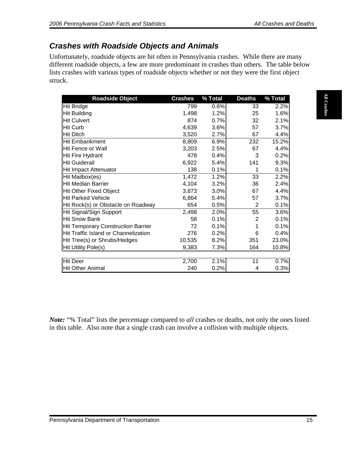#### <span id="page-16-0"></span>*Crashes with Roadside Objects and Animals*

Unfortunately, roadside objects are hit often in Pennsylvania crashes. While there are many different roadside objects, a few are more predominant in crashes than others. The table below lists crashes with various types of roadside objects whether or not they were the first object struck.

| <b>Hit Bridge</b><br>0.6%<br>2.2%<br>799<br>33<br>1.2%<br><b>Hit Building</b><br>1,498<br>25<br>1.6%<br>874<br>0.7%<br><b>Hit Culvert</b><br>32<br>2.1%<br>4,639<br>3.6%<br>Hit Curb<br>57<br>3.7%<br>3,520<br>67<br>2.7%<br>4.4%<br>6.9%<br>15.2%<br>8,809<br>232<br>3,203<br>2.5%<br>67<br>4.4%<br>478<br>0.4%<br>0.2%<br>3<br>9.3%<br>6,922<br>5.4%<br>141<br>138<br>0.1%<br>0.1%<br>1<br>1.2%<br>33<br>2.2%<br>1,472<br>4,104<br>3.2%<br>36<br>2.4%<br>3,873<br>3.0%<br>67<br>4.4%<br>5.4%<br>57<br>3.7%<br>6,864<br>654<br>0.5%<br>2<br>0.1%<br>55<br>2,498<br>2.0%<br>3.6%<br>58<br>0.1%<br>$\mathbf{2}$<br>0.1%<br>72<br>0.1%<br>0.1%<br>1<br>276<br>0.2%<br>0.4%<br>6<br>10,535<br>8.2%<br>351<br>23.0%<br>7.3%<br>9,383<br>164<br>10.8%<br>2,700<br>2.1%<br>11<br>0.7%<br>240<br>0.2%<br>0.3%<br>4 | <b>Note:</b> "% Total" lists the percentage compared to all crashes or deaths, not only the ones listed | <b>Roadside Object</b> | <b>Crashes</b> | % Total | <b>Deaths</b> | % Total |
|-------------------------------------------------------------------------------------------------------------------------------------------------------------------------------------------------------------------------------------------------------------------------------------------------------------------------------------------------------------------------------------------------------------------------------------------------------------------------------------------------------------------------------------------------------------------------------------------------------------------------------------------------------------------------------------------------------------------------------------------------------------------------------------------------------------|---------------------------------------------------------------------------------------------------------|------------------------|----------------|---------|---------------|---------|
|                                                                                                                                                                                                                                                                                                                                                                                                                                                                                                                                                                                                                                                                                                                                                                                                             |                                                                                                         |                        |                |         |               |         |
|                                                                                                                                                                                                                                                                                                                                                                                                                                                                                                                                                                                                                                                                                                                                                                                                             |                                                                                                         |                        |                |         |               |         |
| <b>Hit Ditch</b>                                                                                                                                                                                                                                                                                                                                                                                                                                                                                                                                                                                                                                                                                                                                                                                            |                                                                                                         |                        |                |         |               |         |
| Hit Embankment<br>Hit Fence or Wall<br>Hit Fire Hydrant<br><b>Hit Guiderail</b><br><b>Hit Impact Attenuator</b><br>Hit Mailbox(es)<br><b>Hit Median Barrier</b><br>Hit Other Fixed Object<br><b>Hit Parked Vehicle</b><br>Hit Rock(s) or Obstacle on Roadway<br>Hit Signal/Sign Support<br><b>Hit Snow Bank</b><br><b>Hit Temporary Construction Barrier</b><br>Hit Traffic Island or Channelization<br>Hit Tree(s) or Shrubs/Hedges<br>Hit Utility Pole(s)<br><b>Hit Deer</b><br><b>Hit Other Animal</b>                                                                                                                                                                                                                                                                                                   |                                                                                                         |                        |                |         |               |         |
|                                                                                                                                                                                                                                                                                                                                                                                                                                                                                                                                                                                                                                                                                                                                                                                                             |                                                                                                         |                        |                |         |               |         |
|                                                                                                                                                                                                                                                                                                                                                                                                                                                                                                                                                                                                                                                                                                                                                                                                             |                                                                                                         |                        |                |         |               |         |
|                                                                                                                                                                                                                                                                                                                                                                                                                                                                                                                                                                                                                                                                                                                                                                                                             |                                                                                                         |                        |                |         |               |         |
|                                                                                                                                                                                                                                                                                                                                                                                                                                                                                                                                                                                                                                                                                                                                                                                                             |                                                                                                         |                        |                |         |               |         |
|                                                                                                                                                                                                                                                                                                                                                                                                                                                                                                                                                                                                                                                                                                                                                                                                             |                                                                                                         |                        |                |         |               |         |
|                                                                                                                                                                                                                                                                                                                                                                                                                                                                                                                                                                                                                                                                                                                                                                                                             |                                                                                                         |                        |                |         |               |         |
|                                                                                                                                                                                                                                                                                                                                                                                                                                                                                                                                                                                                                                                                                                                                                                                                             |                                                                                                         |                        |                |         |               |         |
|                                                                                                                                                                                                                                                                                                                                                                                                                                                                                                                                                                                                                                                                                                                                                                                                             |                                                                                                         |                        |                |         |               |         |
|                                                                                                                                                                                                                                                                                                                                                                                                                                                                                                                                                                                                                                                                                                                                                                                                             |                                                                                                         |                        |                |         |               |         |
|                                                                                                                                                                                                                                                                                                                                                                                                                                                                                                                                                                                                                                                                                                                                                                                                             |                                                                                                         |                        |                |         |               |         |
|                                                                                                                                                                                                                                                                                                                                                                                                                                                                                                                                                                                                                                                                                                                                                                                                             |                                                                                                         |                        |                |         |               |         |
|                                                                                                                                                                                                                                                                                                                                                                                                                                                                                                                                                                                                                                                                                                                                                                                                             |                                                                                                         |                        |                |         |               |         |
|                                                                                                                                                                                                                                                                                                                                                                                                                                                                                                                                                                                                                                                                                                                                                                                                             |                                                                                                         |                        |                |         |               |         |
|                                                                                                                                                                                                                                                                                                                                                                                                                                                                                                                                                                                                                                                                                                                                                                                                             |                                                                                                         |                        |                |         |               |         |
|                                                                                                                                                                                                                                                                                                                                                                                                                                                                                                                                                                                                                                                                                                                                                                                                             |                                                                                                         |                        |                |         |               |         |
|                                                                                                                                                                                                                                                                                                                                                                                                                                                                                                                                                                                                                                                                                                                                                                                                             |                                                                                                         |                        |                |         |               |         |
|                                                                                                                                                                                                                                                                                                                                                                                                                                                                                                                                                                                                                                                                                                                                                                                                             |                                                                                                         |                        |                |         |               |         |
|                                                                                                                                                                                                                                                                                                                                                                                                                                                                                                                                                                                                                                                                                                                                                                                                             |                                                                                                         |                        |                |         |               |         |
|                                                                                                                                                                                                                                                                                                                                                                                                                                                                                                                                                                                                                                                                                                                                                                                                             |                                                                                                         |                        |                |         |               |         |
|                                                                                                                                                                                                                                                                                                                                                                                                                                                                                                                                                                                                                                                                                                                                                                                                             |                                                                                                         |                        |                |         |               |         |
| in this table. Also note that a single crash can involve a collision with multiple objects.                                                                                                                                                                                                                                                                                                                                                                                                                                                                                                                                                                                                                                                                                                                 |                                                                                                         |                        |                |         |               |         |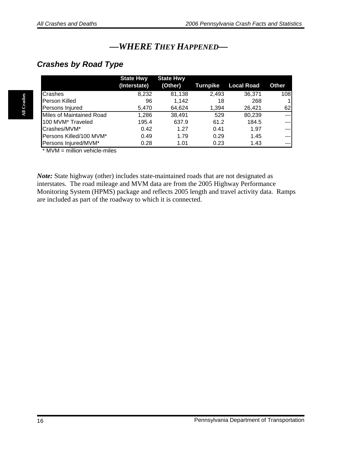### *—WHERE THEY HAPPENED—*

#### <span id="page-17-0"></span>*Crashes by Road Type*

|                               | <b>State Hwy</b> | <b>State Hwy</b> |          |                   |              |
|-------------------------------|------------------|------------------|----------|-------------------|--------------|
|                               | (Interstate)     | (Other)          | Turnpike | <b>Local Road</b> | Other        |
| <b>Crashes</b>                | 8,232            | 81,138           | 2,493    | 36,371            | 108          |
| <b>Person Killed</b>          | 96               | 1.142            | 18       | 268               | $\mathbf{1}$ |
| Persons Injured               | 5,470            | 64,624           | 1,394    | 26.421            | 62           |
| Miles of Maintained Road      | 1,286            | 38,491           | 529      | 80,239            | ---1         |
| 100 MVM <sup>*</sup> Traveled | 195.4            | 637.9            | 61.2     | 184.5             | --- 1        |
| Crashes/MVM*                  | 0.42             | 1.27             | 0.41     | 1.97              | ---1         |
| Persons Killed/100 MVM*       | 0.49             | 1.79             | 0.29     | 1.45              | ---1         |
| Persons Injured/MVM*          | 0.28             | 1.01             | 0.23     | 1.43              | $---$        |

 $*$  MVM = million vehicle-miles

*Note:* State highway (other) includes state-maintained roads that are not designated as interstates. The road mileage and MVM data are from the 2005 Highway Performance Monitoring System (HPMS) package and reflects 2005 length and travel activity data. Ramps are included as part of the roadway to which it is connected.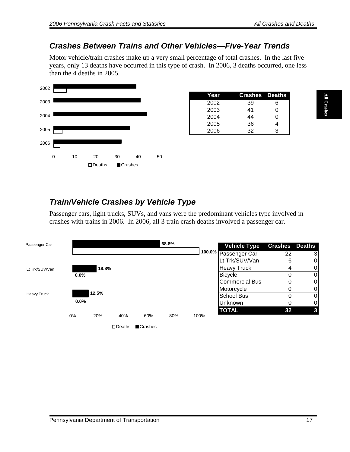#### <span id="page-18-0"></span>*Crashes Between Trains and Other Vehicles—Five-Year Trends*

Motor vehicle/train crashes make up a very small percentage of total crashes. In the last five years, only 13 deaths have occurred in this type of crash. In 2006, 3 deaths occurred, one less than the 4 deaths in 2005.



| Year | <b>Crashes</b> Deaths |   |
|------|-----------------------|---|
| 2002 | 39                    | 6 |
| 2003 | 41                    | O |
| 2004 | 44                    | Ω |
| 2005 | 36                    |   |
| 2006 | 32                    | 3 |

### *Train/Vehicle Crashes by Vehicle Type*

Passenger cars, light trucks, SUVs, and vans were the predominant vehicles type involved in crashes with trains in 2006. In 2006, all 3 train crash deaths involved a passenger car.

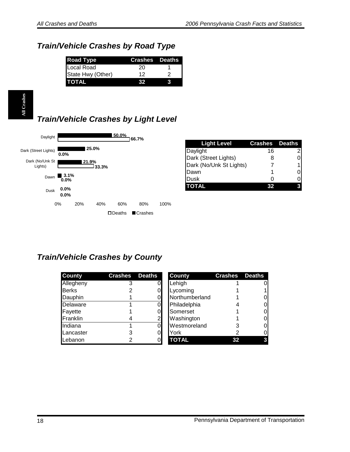### <span id="page-19-0"></span>*Train/Vehicle Crashes by Road Type*

| <b>Road Type</b>  | <b>Crashes</b> Deaths |  |
|-------------------|-----------------------|--|
| Local Road        | 20                    |  |
| State Hwy (Other) | 12                    |  |
| <b>TOTAL</b>      | 32                    |  |

### *Train/Vehicle Crashes by Light Level*



| <b>Light Level</b>      | <b>Crashes</b> Deaths |   |
|-------------------------|-----------------------|---|
| Daylight                | 16                    | 2 |
| Dark (Street Lights)    | 8                     | 0 |
| Dark (No/Unk St Lights) |                       |   |
| <b>IDawn</b>            |                       |   |
| Dusk                    |                       |   |
| <b>TOTAL</b>            |                       |   |

#### *Train/Vehicle Crashes by County*

| <b>County</b> | <b>Crashes</b> | <b>Deaths</b> | <b>County</b>  | <b>Crashes</b> | <b>Deaths</b> |
|---------------|----------------|---------------|----------------|----------------|---------------|
| Allegheny     |                |               | Lehigh         |                | 0             |
| <b>Berks</b>  |                |               | Lycoming       |                |               |
| Dauphin       |                | ΩI            | Northumberland |                | 0             |
| Delaware      |                |               | Philadelphia   |                |               |
| Fayette       |                |               | Somerset       |                | 0             |
| Franklin      |                |               | Washington     |                | O             |
| Indiana       |                |               | Westmoreland   |                | 0             |
| Lancaster     |                | Οl            | York           |                | O             |
| Lebanon       |                | ΩI            | <b>TOTAL</b>   | 32             | 3             |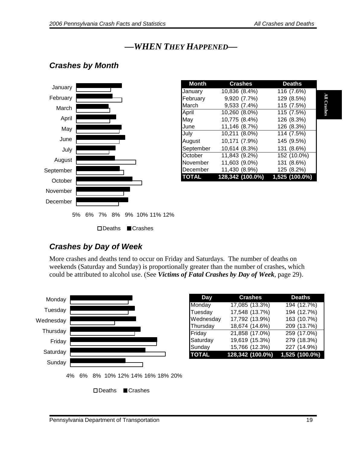### *—WHEN THEY HAPPENED—*

#### <span id="page-20-0"></span>*Crashes by Month*



| <b>Month</b> | <b>Crashes</b>   | <b>Deaths</b>  |  |
|--------------|------------------|----------------|--|
| January      | 10,836 (8.4%)    | 116 (7.6%)     |  |
| February     | 9,920 (7.7%)     | 129 (8.5%)     |  |
| March        | 9,533 (7.4%)     | 115 (7.5%)     |  |
| April        | 10,260 (8.0%)    | 115 (7.5%)     |  |
| May          | 10,775 (8.4%)    | 126 (8.3%)     |  |
| June         | 11,146 (8.7%)    | 126 (8.3%)     |  |
| July         | 10,211 (8.0%)    | 114 (7.5%)     |  |
| August       | 10,171 (7.9%)    | 145 (9.5%)     |  |
| September    | 10,614 (8.3%)    | 131 (8.6%)     |  |
| October      | 11,843 (9.2%)    | 152 (10.0%)    |  |
| November     | 11,603 (9.0%)    | 131 (8.6%)     |  |
| December     | 11,430 (8.9%)    | 125 (8.2%)     |  |
| <b>TOTAL</b> | 128,342 (100.0%) | 1,525 (100.0%) |  |

#### *Crashes by Day of Week*

More crashes and deaths tend to occur on Friday and Saturdays. The number of deaths on weekends (Saturday and Sunday) is proportionally greater than the number of crashes, which could be attributed to alcohol use. (See *Victims of Fatal Crashes by Day of Week*, page 29).



| Day          | <b>Crashes</b>   | <b>Deaths</b>  |
|--------------|------------------|----------------|
| Monday       | 17,085 (13.3%)   | 194 (12.7%)    |
| Tuesday      | 17,548 (13.7%)   | 194 (12.7%)    |
| Wednesday    | 17,792 (13.9%)   | 163 (10.7%)    |
| Thursday     | 18,674 (14.6%)   | 209 (13.7%)    |
| Friday       | 21,858 (17.0%)   | 259 (17.0%)    |
| Saturday     | 19,619 (15.3%)   | 279 (18.3%)    |
| Sunday       | 15,766 (12.3%)   | 227 (14.9%)    |
| <b>TOTAL</b> | 128,342 (100.0%) | 1,525 (100.0%) |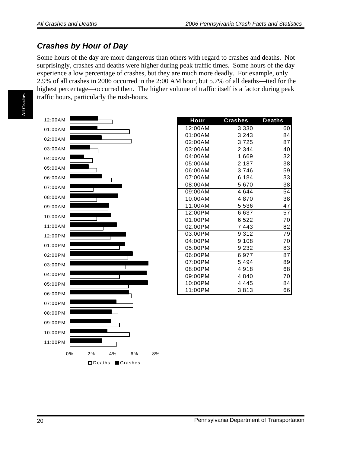#### <span id="page-21-0"></span>*Crashes by Hour of Day*

Some hours of the day are more dangerous than others with regard to crashes and deaths. Not surprisingly, crashes and deaths were higher during peak traffic times. Some hours of the day experience a low percentage of crashes, but they are much more deadly. For example, only 2.9% of all crashes in 2006 occurred in the 2:00 AM hour, but 5.7% of all deaths—tied for the highest percentage—occurred then. The higher volume of traffic itself is a factor during peak traffic hours, particularly the rush-hours.



| <b>Hour</b> | <b>Crashes</b> | <b>Deaths</b> |
|-------------|----------------|---------------|
| 12:00AM     | 3,330          | 60            |
| 01:00AM     | 3,243          | 84            |
| 02:00AM     | 3,725          | 87            |
| 03:00AM     | 2,344          | 40            |
| 04:00AM     | 1,669          | 32            |
| 05:00AM     | 2,187          | 38            |
| 06:00AM     | 3,746          | 59            |
| 07:00AM     | 6,184          | 33            |
| 08:00AM     | 5,670          | 38            |
| 09:00AM     | 4,644          | 54            |
| 10:00AM     | 4,870          | 38            |
| 11:00AM     | 5,536          | 47            |
| 12:00PM     | 6,637          | 57            |
| 01:00PM     | 6,522          | 70            |
| 02:00PM     | 7,443          | 82            |
| 03:00PM     | 9,312          | 79            |
| 04:00PM     | 9,108          | 70            |
| 05:00PM     | 9,232          | 83            |
| 06:00PM     | 6,977          | 87            |
| 07:00PM     | 5,494          | 89            |
| 08:00PM     | 4,918          | 68            |
| 09:00PM     | 4,840          | 70            |
| 10:00PM     | 4,445          | 84            |
| 11:00PM     | 3,813          | 66            |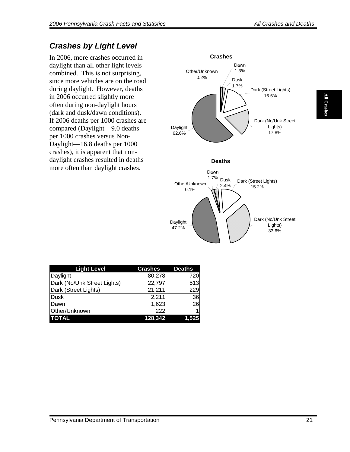### <span id="page-22-0"></span>*Crashes by Light Level*

In 2006, more crashes occurred in daylight than all other light levels combined. This is not surprising, since more vehicles are on the road during daylight. However, deaths in 2006 occurred slightly more often during non-daylight hours (dark and dusk/dawn conditions). If 2006 deaths per 1000 crashes are compared (Daylight—9.0 deaths per 1000 crashes versus Non-Daylight—16.8 deaths per 1000 crashes), it is apparent that nondaylight crashes resulted in deaths more often than daylight crashes.



| <b>Light Level</b>          | <b>Crashes</b> | <b>Deaths</b> |
|-----------------------------|----------------|---------------|
| Daylight                    | 80,278         | 720           |
| Dark (No/Unk Street Lights) | 22,797         | 513           |
| Dark (Street Lights)        | 21,211         | 229           |
| Dusk                        | 2,211          | 36            |
| Dawn                        | 1,623          | 26            |
| Other/Unknown               | 222            |               |
| <b>TOTAL</b>                | <u>128,342</u> | 1.525         |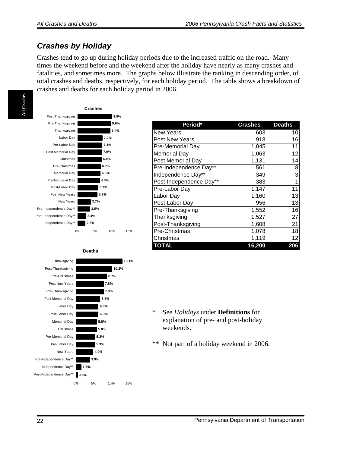#### <span id="page-23-0"></span>*Crashes by Holiday*

Crashes tend to go up during holiday periods due to the increased traffic on the road. Many times the weekend before and the weekend after the holiday have nearly as many crashes and fatalities, and sometimes more. The graphs below illustrate the ranking in descending order, of total crashes and deaths, respectively, for each holiday period. The table shows a breakdown of crashes and deaths for each holiday period in 2006.



**Deaths**



| Period*                 | <b>Crashes</b> | <b>Deaths</b> |
|-------------------------|----------------|---------------|
| New Years               | 603            | 10            |
| Post New Years          | 918            | 16            |
| Pre-Memorial Day        | 1,045          | 11            |
| <b>Memorial Day</b>     | 1,063          | 12            |
| Post Memorial Day       | 1,131          | 14            |
| Pre-Independence Day**  | 561            | 8             |
| Independence Day**      | 349            | 3             |
| Post-Independence Day** | 383            | 1             |
| Pre-Labor Day           | 1,147          | 11            |
| Labor Day               | 1,160          | 13            |
| Post-Labor Day          | 956            | 13            |
| Pre-Thanksgiving        | 1,552          | 16            |
| Thanksgiving            | 1,527          | 27            |
| Post-Thanksgiving       | 1,608          | 21            |
| Pre-Christmas           | 1,078          | 18            |
| Christmas               | 1,119          | 12            |
| <b>TOTAL</b>            | 16,200         | 206           |

\* See *Holidays* under **Definitions** for explanation of pre- and post-holiday weekends.

\*\* Not part of a holiday weekend in 2006.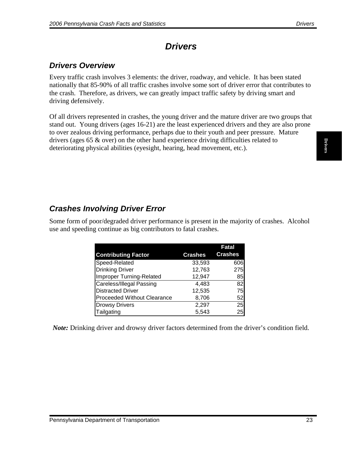### *Drivers*

#### <span id="page-24-0"></span>*Drivers Overview*

Every traffic crash involves 3 elements: the driver, roadway, and vehicle. It has been stated nationally that 85-90% of all traffic crashes involve some sort of driver error that contributes to the crash. Therefore, as drivers, we can greatly impact traffic safety by driving smart and driving defensively.

Of all drivers represented in crashes, the young driver and the mature driver are two groups that stand out. Young drivers (ages 16-21) are the least experienced drivers and they are also prone to over zealous driving performance, perhaps due to their youth and peer pressure. Mature drivers (ages 65 & over) on the other hand experience driving difficulties related to deteriorating physical abilities (eyesight, hearing, head movement, etc.).

#### *Crashes Involving Driver Error*

Some form of poor/degraded driver performance is present in the majority of crashes. Alcohol use and speeding continue as big contributors to fatal crashes.

|                                    |                | Fatal          |
|------------------------------------|----------------|----------------|
| <b>Contributing Factor</b>         | <b>Crashes</b> | <b>Crashes</b> |
| Speed-Related                      | 33,593         | 606            |
| <b>Drinking Driver</b>             | 12,763         | <b>275</b>     |
| Improper Turning-Related           | 12,947         | 85             |
| Careless/Illegal Passing           | 4,483          | 82             |
| <b>Distracted Driver</b>           | 12,535         | 75             |
| <b>Proceeded Without Clearance</b> | 8,706          | 52             |
| <b>Drowsy Drivers</b>              | 2,297          | 25             |
| Tailgating                         | 5,543          | 25             |

*Note:* Drinking driver and drowsy driver factors determined from the driver's condition field.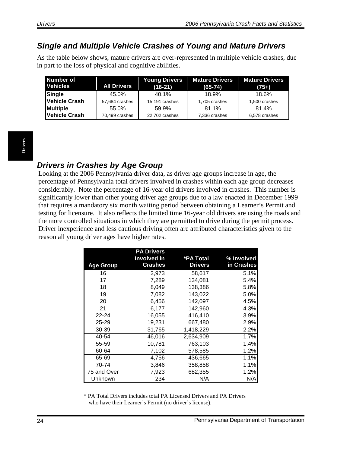#### <span id="page-25-0"></span>*Single and Multiple Vehicle Crashes of Young and Mature Drivers*

As the table below shows, mature drivers are over-represented in multiple vehicle crashes, due in part to the loss of physical and cognitive abilities.

| Number of<br><b>Vehicles</b> | <b>All Drivers</b> | <b>Young Drivers</b><br>$(16-21)$ | <b>Mature Drivers</b><br>$(65-74)$ | <b>Mature Drivers</b><br>$(75+)$ |
|------------------------------|--------------------|-----------------------------------|------------------------------------|----------------------------------|
| Single                       | 45.0%              | 40.1%                             | 18.9%                              | 18.6%                            |
| Vehicle Crash                | 57,684 crashes     | 15,191 crashes                    | 1,705 crashes                      | 1,500 crashes                    |
| <b>Multiple</b>              | 55.0%              | 59.9%                             | 81.1%                              | 81.4%                            |
| <b>Vehicle Crash</b>         | 70,499 crashes     | 22,702 crashes                    | 7,336 crashes                      | 6,578 crashes                    |

#### *Drivers in Crashes by Age Group*

Looking at the 2006 Pennsylvania driver data, as driver age groups increase in age, the percentage of Pennsylvania total drivers involved in crashes within each age group decreases considerably. Note the percentage of 16-year old drivers involved in crashes. This number is significantly lower than other young driver age groups due to a law enacted in December 1999 that requires a mandatory six month waiting period between obtaining a Learner's Permit and testing for licensure. It also reflects the limited time 16-year old drivers are using the roads and the more controlled situations in which they are permitted to drive during the permit process. Driver inexperience and less cautious driving often are attributed characteristics given to the reason all young driver ages have higher rates.

|                  | <b>PA Drivers</b>                    |                             |                          |
|------------------|--------------------------------------|-----------------------------|--------------------------|
|                  | <b>Involved in</b><br><b>Crashes</b> | *PA Total<br><b>Drivers</b> | % Involved<br>in Crashes |
| <b>Age Group</b> |                                      |                             |                          |
| 16               | 2,973                                | 58,617                      | 5.1%                     |
| 17               | 7,289                                | 134,081                     | 5.4%                     |
| 18               | 8,049                                | 138,386                     | 5.8%                     |
| 19               | 7,082                                | 143,022                     | 5.0%                     |
| 20               | 6,456                                | 142,097                     | 4.5%                     |
| 21               | 6,177                                | 142,960                     | 4.3%                     |
| $22 - 24$        | 16,055                               | 416,410                     | 3.9%                     |
| $25 - 29$        | 19,231                               | 667,480                     | 2.9%                     |
| 30-39            | 31,765                               | 1,418,229                   | 2.2%                     |
| 40-54            | 46,016                               | 2,634,909                   | 1.7%                     |
| 55-59            | 10,781                               | 763,103                     | 1.4%                     |
| 60-64            | 7,102                                | 578,585                     | 1.2%                     |
| 65-69            | 4,756                                | 436,665                     | 1.1%                     |
| 70-74            | 3,846                                | 358,858                     | 1.1%                     |
| 75 and Over      | 7,923                                | 682,355                     | 1.2%                     |
| Unknown          | 234                                  | N/A                         | N/A                      |

\* PA Total Drivers includes total PA Licensed Drivers and PA Drivers who have their Learner's Permit (no driver's license).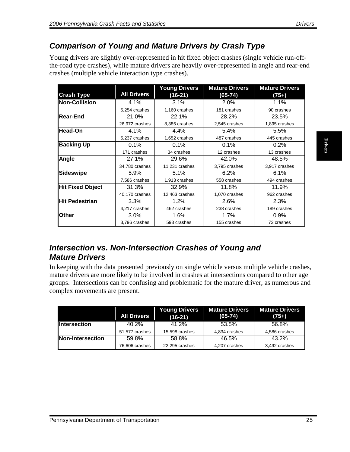#### <span id="page-26-0"></span>*Comparison of Young and Mature Drivers by Crash Type*

Young drivers are slightly over-represented in hit fixed object crashes (single vehicle run-offthe-road type crashes), while mature drivers are heavily over-represented in angle and rear-end crashes (multiple vehicle interaction type crashes).

| <b>Crash Type</b><br><b>Non-Collision</b> | <b>All Drivers</b>      |                         |                                                                                                                                                                                                                                                               |                                  |
|-------------------------------------------|-------------------------|-------------------------|---------------------------------------------------------------------------------------------------------------------------------------------------------------------------------------------------------------------------------------------------------------|----------------------------------|
|                                           |                         | $(16-21)$               | $(65 - 74)$                                                                                                                                                                                                                                                   | $(75+)$                          |
|                                           | 4.1%                    | 3.1%                    | 2.0%                                                                                                                                                                                                                                                          | 1.1%                             |
|                                           | 5,254 crashes           | 1,160 crashes           | 181 crashes                                                                                                                                                                                                                                                   | 90 crashes                       |
| <b>Rear-End</b>                           | 21.0%                   | 22.1%                   | 28.2%                                                                                                                                                                                                                                                         | 23.5%                            |
|                                           | 26,972 crashes          | 8,385 crashes           | 2,545 crashes                                                                                                                                                                                                                                                 | 1,895 crashes                    |
| <b>Head-On</b>                            | 4.1%                    | 4.4%                    | 5.4%                                                                                                                                                                                                                                                          | 5.5%                             |
|                                           | 5,237 crashes           | 1,652 crashes           | 487 crashes                                                                                                                                                                                                                                                   | 445 crashes                      |
| <b>Backing Up</b>                         | 0.1%                    | 0.1%                    | 0.1%                                                                                                                                                                                                                                                          | 0.2%                             |
|                                           | 171 crashes             | 34 crashes              | 12 crashes                                                                                                                                                                                                                                                    | 13 crashes                       |
| Angle                                     | 27.1%                   | 29.6%                   | 42.0%                                                                                                                                                                                                                                                         | 48.5%                            |
|                                           | 34,780 crashes          | 11,231 crashes          | 3,795 crashes                                                                                                                                                                                                                                                 | 3,917 crashes                    |
| <b>Sideswipe</b>                          | 5.9%                    | 5.1%                    | 6.2%                                                                                                                                                                                                                                                          | 6.1%                             |
|                                           | 7,586 crashes           | 1,913 crashes           | 558 crashes                                                                                                                                                                                                                                                   | 494 crashes                      |
| <b>Hit Fixed Object</b>                   | 31.3%                   | 32.9%                   | 11.8%                                                                                                                                                                                                                                                         | 11.9%                            |
|                                           | 40,170 crashes          | 12,463 crashes          | 1,070 crashes                                                                                                                                                                                                                                                 | 962 crashes                      |
| <b>Hit Pedestrian</b>                     | 3.3%                    | 1.2%                    | 2.6%                                                                                                                                                                                                                                                          | 2.3%                             |
|                                           | 4,217 crashes           | 462 crashes             | 238 crashes                                                                                                                                                                                                                                                   | 189 crashes                      |
| <b>Other</b>                              | 3.0%                    | 1.6%                    | 1.7%                                                                                                                                                                                                                                                          | 0.9%                             |
|                                           | 3,796 crashes           | 593 crashes             | 155 crashes                                                                                                                                                                                                                                                   | 73 crashes                       |
| <b>Mature Drivers</b>                     |                         |                         | Intersection vs. Non-Intersection Crashes of Young and<br>In keeping with the data presented previously on single vehicle versus multiple vehicle crashes,<br>mature drivers are more likely to be involved in crashes at intersections compared to other age |                                  |
| complex movements are present.            |                         |                         | groups. Intersections can be confusing and problematic for the mature driver, as numerous and                                                                                                                                                                 |                                  |
|                                           | <b>All Drivers</b>      | <b>Young Drivers</b>    | <b>Mature Drivers</b><br>$(65 - 74)$                                                                                                                                                                                                                          | <b>Mature Drivers</b><br>$(75+)$ |
|                                           |                         | $(16-21)$               |                                                                                                                                                                                                                                                               |                                  |
| <b>Intersection</b>                       | 40.2%                   | 41.2%                   | 53.5%                                                                                                                                                                                                                                                         | 56.8%                            |
|                                           | 51,577 crashes          | 15,598 crashes          | 4,834 crashes                                                                                                                                                                                                                                                 | 4,586 crashes                    |
| <b>Non-Intersection</b>                   | 59.8%<br>76,606 crashes | 58.8%<br>22,295 crashes | 46.5%<br>4,207 crashes                                                                                                                                                                                                                                        | 43.2%<br>3,492 crashes           |

#### *Intersection vs. Non-Intersection Crashes of Young and Mature Drivers*

|                     | <b>All Drivers</b> | <b>Young Drivers</b><br>$(16-21)$ | Mature Drivers<br>$(65-74)$ | <b>Mature Drivers</b><br>$(75+)$ |
|---------------------|--------------------|-----------------------------------|-----------------------------|----------------------------------|
| <b>Intersection</b> | 40.2%              | 41.2%                             | 53.5%                       | 56.8%                            |
|                     | 51,577 crashes     | 15,598 crashes                    | 4,834 crashes               | 4,586 crashes                    |
| Non-Intersection    | 59.8%              | 58.8%                             | 46.5%                       | 43.2%                            |
|                     | 76,606 crashes     | 22,295 crashes                    | 4,207 crashes               | 3,492 crashes                    |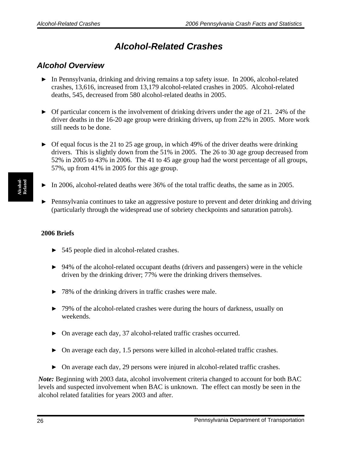### *Alcohol-Related Crashes*

#### <span id="page-27-0"></span>*Alcohol Overview*

- $\triangleright$  In Pennsylvania, drinking and driving remains a top safety issue. In 2006, alcohol-related crashes, 13,616, increased from 13,179 alcohol-related crashes in 2005. Alcohol-related deaths, 545, decreased from 580 alcohol-related deaths in 2005.
- $\triangleright$  Of particular concern is the involvement of drinking drivers under the age of 21. 24% of the driver deaths in the 16-20 age group were drinking drivers, up from 22% in 2005. More work still needs to be done.
- $\triangleright$  Of equal focus is the 21 to 25 age group, in which 49% of the driver deaths were drinking drivers. This is slightly down from the 51% in 2005. The 26 to 30 age group decreased from 52% in 2005 to 43% in 2006. The 41 to 45 age group had the worst percentage of all groups, 57%, up from 41% in 2005 for this age group.
- ▶ In 2006, alcohol-related deaths were 36% of the total traffic deaths, the same as in 2005.
- ▶ Pennsylvania continues to take an aggressive posture to prevent and deter drinking and driving (particularly through the widespread use of sobriety checkpoints and saturation patrols).

#### **2006 Briefs**

- ▶ 545 people died in alcohol-related crashes.
- ▶ 94% of the alcohol-related occupant deaths (drivers and passengers) were in the vehicle driven by the drinking driver; 77% were the drinking drivers themselves.
- ▶ 78% of the drinking drivers in traffic crashes were male.
- ▶ 79% of the alcohol-related crashes were during the hours of darkness, usually on weekends.
- ▶ On average each day, 37 alcohol-related traffic crashes occurred.
- ▶ On average each day, 1.5 persons were killed in alcohol-related traffic crashes.
- ▶ On average each day, 29 persons were injured in alcohol-related traffic crashes.

*Note:* Beginning with 2003 data, alcohol involvement criteria changed to account for both BAC levels and suspected involvement when BAC is unknown. The effect can mostly be seen in the alcohol related fatalities for years 2003 and after.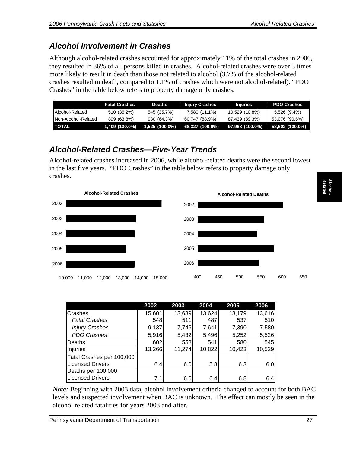### <span id="page-28-0"></span>*Alcohol Involvement in Crashes*

Although alcohol-related crashes accounted for approximately 11% of the total crashes in 2006, they resulted in 36% of all persons killed in crashes. Alcohol-related crashes were over 3 times more likely to result in death than those not related to alcohol (3.7% of the alcohol-related crashes resulted in death, compared to 1.1% of crashes which were not alcohol-related). "PDO Crashes" in the table below refers to property damage only crashes.

|                     | <b>Fatal Crashes</b> | <b>Deaths</b>    | <b>Injury Crashes</b> | <b>Injuries</b> | <b>PDO Crashes</b>                |
|---------------------|----------------------|------------------|-----------------------|-----------------|-----------------------------------|
| Alcohol-Related     | 510 (36.2%)          | 545 (35.7%)      | 7,580 (11.1%)         | 10,529 (10.8%)  | 5,526 (9.4%)                      |
| Non-Alcohol-Related | 899 (63.8%)          | 980 (64.3%)      | 60,747 (88.9%)        | 87,439 (89.3%)  | 53,076 (90.6%)                    |
| TOTAL               | $1,409$ (100.0%)     | $1,525(100.0\%)$ | 68,327 (100.0%)       |                 | $97,968$ (100.0%) 58,602 (100.0%) |

### *Alcohol-Related Crashes—Five-Year Trends*

Alcohol-related crashes increased in 2006, while alcohol-related deaths were the second lowest in the last five years. "PDO Crashes" in the table below refers to property damage only crashes.



|                           | 2002   | 2003   | 2004   | 2005   | 2006   |
|---------------------------|--------|--------|--------|--------|--------|
| <b>Crashes</b>            | 15,601 | 13,689 | 13,624 | 13,179 | 13,616 |
| <b>Fatal Crashes</b>      | 548    | 511    | 487    | 537    | 510    |
| <b>Injury Crashes</b>     | 9,137  | 7,746  | 7,641  | 7,390  | 7,580  |
| PDO Crashes               | 5,916  | 5,432  | 5,496  | 5,252  | 5,526  |
| Deaths                    | 602    | 558    | 541    | 580    | 545    |
| Injuries                  | 13,266 | 11,274 | 10,822 | 10,423 | 10,529 |
| Fatal Crashes per 100,000 |        |        |        |        |        |
| <b>Licensed Drivers</b>   | 6.4    | 6.0    | 5.8    | 6.3    | 6.0    |
| Deaths per 100,000        |        |        |        |        |        |
| <b>Licensed Drivers</b>   | 7.1    | 6.6    | 6.4    | 6.8    | 6.4    |

*Note:* Beginning with 2003 data, alcohol involvement criteria changed to account for both BAC levels and suspected involvement when BAC is unknown. The effect can mostly be seen in the alcohol related fatalities for years 2003 and after.

**Related Alcohol-**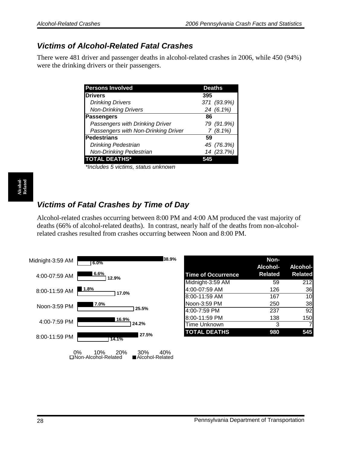#### <span id="page-29-0"></span>*Victims of Alcohol-Related Fatal Crashes*

There were 481 driver and passenger deaths in alcohol-related crashes in 2006, while 450 (94%) were the drinking drivers or their passengers.

| <b>Persons Involved</b>             | <b>Deaths</b> |
|-------------------------------------|---------------|
| <b>Drivers</b>                      | 395           |
| <b>Drinking Drivers</b>             | 371 (93.9%)   |
| <b>Non-Drinking Drivers</b>         | 24 (6.1%)     |
| <b>Passengers</b>                   | 86            |
| Passengers with Drinking Driver     | 79 (91.9%)    |
| Passengers with Non-Drinking Driver | 7(8.1%)       |
| Pedestrians                         | 59            |
| <b>Drinking Pedestrian</b>          | 45 (76.3%)    |
| <b>Non-Drinking Pedestrian</b>      | 14 (23.7%)    |
| <b>TOTAL DEATHS*</b>                |               |

*\*Includes 5 victims, status unknown*

### *Victims of Fatal Crashes by Time of Day*

Alcohol-related crashes occurring between 8:00 PM and 4:00 AM produced the vast majority of deaths (66% of alcohol-related deaths). In contrast, nearly half of the deaths from non-alcoholrelated crashes resulted from crashes occurring between Noon and 8:00 PM.

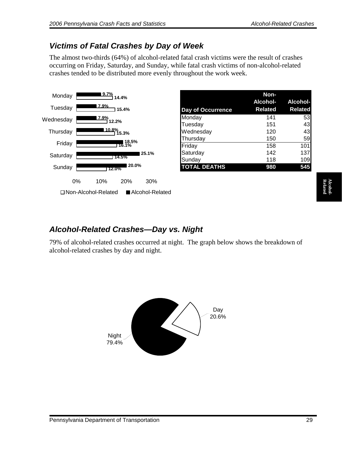#### <span id="page-30-0"></span>*Victims of Fatal Crashes by Day of Week*

The almost two-thirds (64%) of alcohol-related fatal crash victims were the result of crashes occurring on Friday, Saturday, and Sunday, while fatal crash victims of non-alcohol-related crashes tended to be distributed more evenly throughout the work week.



|                          | Non-           |                 |
|--------------------------|----------------|-----------------|
|                          | Alcohol-       | <b>Alcohol-</b> |
| <b>Day of Occurrence</b> | <b>Related</b> | <b>Related</b>  |
| Monday                   | 141            | 53              |
| Tuesday                  | 151            | 43              |
| Wednesday                | 120            | 43              |
| Thursday                 | 150            | 59              |
| Friday                   | 158            | 101             |
| Saturday                 | 142            | 137             |
| Sunday                   | 118            | 109             |
| <b>TOTAL DEATHS</b>      | 980            | 545             |

#### *Alcohol-Related Crashes—Day vs. Night*

79% of alcohol-related crashes occurred at night. The graph below shows the breakdown of alcohol-related crashes by day and night.

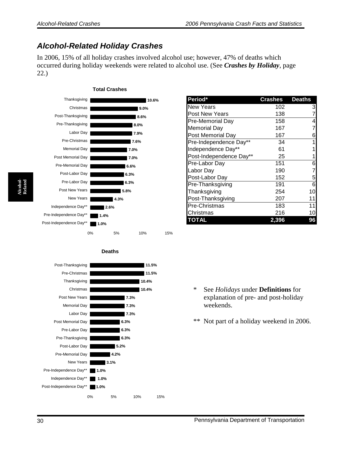#### <span id="page-31-0"></span>*Alcohol-Related Holiday Crashes*

In 2006, 15% of all holiday crashes involved alcohol use; however, 47% of deaths which occurred during holiday weekends were related to alcohol use. (See *Crashes by Holiday*, page 22.)



**Deaths**

| Period*                 | <b>Crashes</b> | <b>Deaths</b>   |
|-------------------------|----------------|-----------------|
| <b>New Years</b>        | 102            | 3               |
| Post New Years          | 138            |                 |
| Pre-Memorial Day        | 158            | 4               |
| Memorial Day            | 167            |                 |
| Post Memorial Day       | 167            | 6               |
| Pre-Independence Day**  | 34             | 1               |
| Independence Day**      | 61             |                 |
| Post-Independence Day** | 25             |                 |
| Pre-Labor Day           | 151            | 6               |
| Labor Day               | 190            |                 |
| Post-Labor Day          | 152            | 5               |
| Pre-Thanksgiving        | 191            | 6               |
| Thanksgiving            | 254            | 10              |
| Post-Thanksgiving       | 207            | 11              |
| Pre-Christmas           | 183            | 11              |
| Christmas               | 216            | 10 <sub>1</sub> |
| TOTAL                   | 2,396          | 96              |

- Pre-Independence Day\*\* | 1.0% **3.1% 4.2% 5.2% 6.3% 6.3% 6.3% 7.3% 7.3% 7.3% 10.4% 10.4% 11.5% 11.5%** Post-Independence Day\*\* | 1.0% **1.0%** Independence Day\*\* 0% 5% 10% 15% New Years Pre-Memorial Day Post-Labor Day Pre-Thanksgiving Pre-Labor Day Post Memorial Day Labor Day Memorial Day Post New Years Christmas Thanksgiving Pre-Christmas Post-Thanksgiving
- \* See *Holidays* under **Definitions** for explanation of pre- and post-holiday weekends.
- \*\* Not part of a holiday weekend in 2006.

**Alcohol-Related**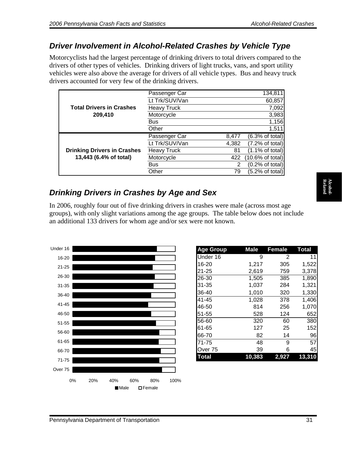#### <span id="page-32-0"></span>*Driver Involvement in Alcohol-Related Crashes by Vehicle Type*

Motorcyclists had the largest percentage of drinking drivers to total drivers compared to the drivers of other types of vehicles. Drinking drivers of light trucks, vans, and sport utility vehicles were also above the average for drivers of all vehicle types. Bus and heavy truck drivers accounted for very few of the drinking drivers.

|                                    | Passenger Car      |       | 134,811                            |
|------------------------------------|--------------------|-------|------------------------------------|
|                                    | Lt Trk/SUV/Van     |       | 60,857                             |
| <b>Total Drivers in Crashes</b>    | <b>Heavy Truck</b> |       | 7,092                              |
| 209,410                            | Motorcycle         |       | 3,983                              |
|                                    | <b>Bus</b>         |       | 1,156                              |
|                                    | Other              |       | 1,511                              |
|                                    |                    |       |                                    |
|                                    | Passenger Car      | 8,477 |                                    |
|                                    | Lt Trk/SUV/Van     | 4,382 | (6.3% of total)<br>(7.2% of total) |
| <b>Drinking Drivers in Crashes</b> | <b>Heavy Truck</b> | 81    | $(1.1\% \text{ of total})$         |
| 13,443 (6.4% of total)             | Motorcycle         | 422   | $(10.6\% \text{ of total})$        |
|                                    | <b>Bus</b>         | 2     | (0.2% of total)                    |

### *Drinking Drivers in Crashes by Age and Sex*

In 2006, roughly four out of five drinking drivers in crashes were male (across most age groups), with only slight variations among the age groups. The table below does not include an additional 133 drivers for whom age and/or sex were not known.



| <b>Age Group</b> | <b>Male</b> | <b>Female</b> | <b>Total</b> |
|------------------|-------------|---------------|--------------|
| Under 16         | 9           | 2             | 11           |
| 16-20            | 1,217       | 305           | 1,522        |
| 21-25            | 2,619       | 759           | 3,378        |
| 26-30            | 1,505       | 385           | 1,890        |
| 31-35            | 1,037       | 284           | 1,321        |
| 36-40            | 1,010       | 320           | 1,330        |
| 41-45            | 1,028       | 378           | 1,406        |
| 46-50            | 814         | 256           | 1,070        |
| 51-55            | 528         | 124           | 652          |
| 56-60            | 320         | 60            | 380          |
| 61-65            | 127         | 25            | 152          |
| 66-70            | 82          | 14            | 96           |
| 71-75            | 48          | 9             | 57           |
| Over 75          | 39          | 6             | 45           |
| Total            | 10,383      | 2,927         | 13.31        |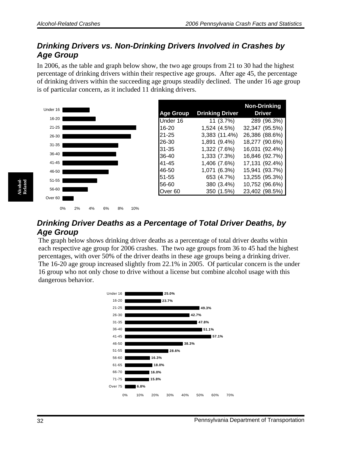#### <span id="page-33-0"></span>*Drinking Drivers vs. Non-Drinking Drivers Involved in Crashes by Age Group*

In 2006, as the table and graph below show, the two age groups from 21 to 30 had the highest percentage of drinking drivers within their respective age groups. After age 45, the percentage of drinking drivers within the succeeding age groups steadily declined. The under 16 age group is of particular concern, as it included 11 drinking drivers.



0% 2% 4% 6% 8% 10%

|                  |                        | <b>Non-Drinking</b> |
|------------------|------------------------|---------------------|
| <b>Age Group</b> | <b>Drinking Driver</b> | Driver              |
| Under 16         | 11 (3.7%)              | 289 (96.3%)         |
| 16-20            | 1,524 (4.5%)           | 32,347 (95.5%)      |
| 21-25            | 3,383 (11.4%)          | 26,386 (88.6%)      |
| 26-30            | 1,891 (9.4%)           | 18,277 (90.6%)      |
| 31-35            | 1,322 (7.6%)           | 16,031 (92.4%)      |
| 36-40            | 1,333 (7.3%)           | 16,846 (92.7%)      |
| 41-45            | 1,406 (7.6%)           | 17,131 (92.4%)      |
| 46-50            | 1,071 (6.3%)           | 15,941 (93.7%)      |
| 51-55            | 653 (4.7%)             | 13,255 (95.3%)      |
| 56-60            | 380 (3.4%)             | 10,752 (96.6%)      |
| Over 60          | 350 (1.5%)             | 23,402 (98.5%)      |

#### *Drinking Driver Deaths as a Percentage of Total Driver Deaths, by Age Group*

The graph below shows drinking driver deaths as a percentage of total driver deaths within each respective age group for 2006 crashes. The two age groups from 36 to 45 had the highest percentages, with over 50% of the driver deaths in these age groups being a drinking driver. The 16-20 age group increased slightly from 22.1% in 2005. Of particular concern is the under 16 group who not only chose to drive without a license but combine alcohol usage with this dangerous behavior.

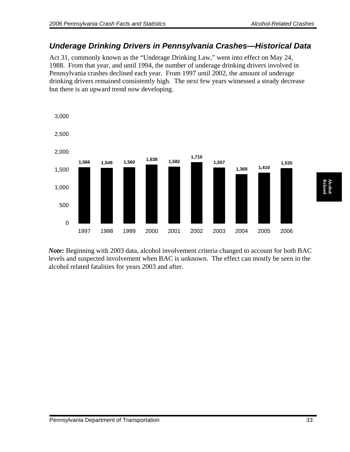#### <span id="page-34-0"></span>*Underage Drinking Drivers in Pennsylvania Crashes—Historical Data*

Act 31, commonly known as the "Underage Drinking Law," went into effect on May 24, 1988. From that year, and until 1994, the number of underage drinking drivers involved in Pennsylvania crashes declined each year. From 1997 until 2002, the amount of underage drinking drivers remained consistently high. The next few years witnessed a steady decrease but there is an upward trend now developing.



*Note:* Beginning with 2003 data, alcohol involvement criteria changed to account for both BAC levels and suspected involvement when BAC is unknown. The effect can mostly be seen in the alcohol related fatalities for years 2003 and after.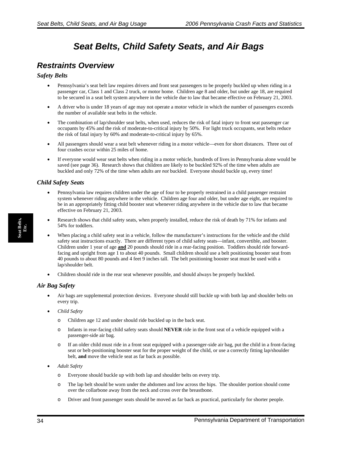### *Seat Belts, Child Safety Seats, and Air Bags*

#### <span id="page-35-0"></span>*Restraints Overview*

#### *Safety Belts*

- Pennsylvania's seat belt law requires drivers and front seat passengers to be properly buckled up when riding in a passenger car, Class 1 and Class 2 truck, or motor home. Children age 8 and older, but under age 18, are required to be secured in a seat belt system anywhere in the vehicle due to law that became effective on February 21, 2003.
- A driver who is under 18 years of age may not operate a motor vehicle in which the number of passengers exceeds the number of available seat belts in the vehicle.
- The combination of lap/shoulder seat belts, when used, reduces the risk of fatal injury to front seat passenger car occupants by 45% and the risk of moderate-to-critical injury by 50%. For light truck occupants, seat belts reduce the risk of fatal injury by 60% and moderate-to-critical injury by 65%.
- All passengers should wear a seat belt whenever riding in a motor vehicle—even for short distances. Three out of four crashes occur within 25 miles of home.
- If everyone would wear seat belts when riding in a motor vehicle, hundreds of lives in Pennsylvania alone would be saved (see page 36). Research shows that children are likely to be buckled 92% of the time when adults are buckled and only 72% of the time when adults are *not* buckled. Everyone should buckle up, every time!

#### *Child Safety Seats*

- Pennsylvania law requires children under the age of four to be properly restrained in a child passenger restraint system whenever riding anywhere in the vehicle. Children age four and older, but under age eight, are required to be in an appropriately fitting child booster seat whenever riding anywhere in the vehicle due to law that became effective on February 21, 2003.
- Research shows that child safety seats, when properly installed, reduce the risk of death by 71% for infants and 54% for toddlers.
- When placing a child safety seat in a vehicle, follow the manufacturer's instructions for the vehicle and the child safety seat instructions exactly. There are different types of child safety seats—infant, convertible, and booster. Children under 1 year of age **and** 20 pounds should ride in a rear-facing position. Toddlers should ride forwardfacing and upright from age 1 to about 40 pounds. Small children should use a belt positioning booster seat from 40 pounds to about 80 pounds and 4 feet 9 inches tall. The belt positioning booster seat must be used with a lap/shoulder belt.
- Children should ride in the rear seat whenever possible, and should always be properly buckled.

#### *Air Bag Safety*

- Air bags are supplemental protection devices. Everyone should still buckle up with both lap and shoulder belts on every trip.
- *Child Safety* 
	- o Children age 12 and under should ride buckled up in the back seat.
	- o Infants in rear-facing child safety seats should **NEVER** ride in the front seat of a vehicle equipped with a passenger-side air bag.
	- If an older child must ride in a front seat equipped with a passenger-side air bag, put the child in a front-facing seat or belt-positioning booster seat for the proper weight of the child, or use a correctly fitting lap/shoulder belt, **and** move the vehicle seat as far back as possible.
- *Adult Safety* 
	- o Everyone should buckle up with both lap and shoulder belts on every trip.
	- o The lap belt should be worn under the abdomen and low across the hips. The shoulder portion should come over the collarbone away from the neck and cross over the breastbone.
	- o Driver and front passenger seats should be moved as far back as practical, particularly for shorter people.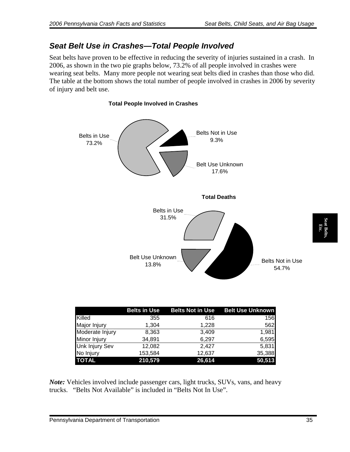#### *Seat Belt Use in Crashes—Total People Involved*

Seat belts have proven to be effective in reducing the severity of injuries sustained in a crash. In 2006, as shown in the two pie graphs below, 73.2% of all people involved in crashes were wearing seat belts. Many more people not wearing seat belts died in crashes than those who did. The table at the bottom shows the total number of people involved in crashes in 2006 by severity of injury and belt use.



|                 | <b>Belts in Use</b> | <b>Belts Not in Use</b> | <b>Belt Use Unknown</b> |
|-----------------|---------------------|-------------------------|-------------------------|
| Killed          | 355                 | 616                     | 156                     |
| Major Injury    | 1.304               | 1,228                   | 562                     |
| Moderate Injury | 8,363               | 3,409                   | 1,981                   |
| Minor Injury    | 34,891              | 6,297                   | 6,595                   |
| Unk Injury Sev  | 12,082              | 2.427                   | 5,831                   |
| No Injury       | 153,584             | 12,637                  | 35,388                  |
| <b>TOTAL</b>    | 210,579             | 26,614                  | 50,513                  |

*Note:* Vehicles involved include passenger cars, light trucks, SUVs, vans, and heavy trucks. "Belts Not Available" is included in "Belts Not In Use".

**Seat Belts, Etc.** 

eat Bel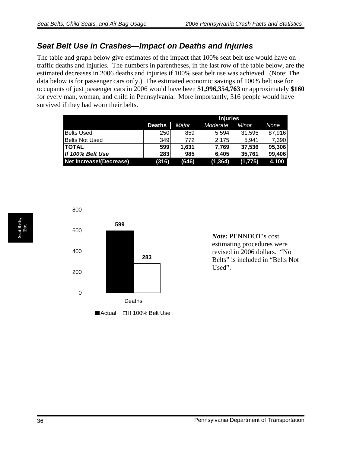#### *Seat Belt Use in Crashes—Impact on Deaths and Injuries*

The table and graph below give estimates of the impact that 100% seat belt use would have on traffic deaths and injuries. The numbers in parentheses, in the last row of the table below, are the estimated decreases in 2006 deaths and injuries if 100% seat belt use was achieved. (Note: The data below is for passenger cars only.) The estimated economic savings of 100% belt use for occupants of just passenger cars in 2006 would have been **\$1,996,354,763** or approximately **\$160** for every man, woman, and child in Pennsylvania. More importantly, 316 people would have survived if they had worn their belts.

|                                |               | <b>Injuries</b> |          |         |        |
|--------------------------------|---------------|-----------------|----------|---------|--------|
|                                | <b>Deaths</b> | Major           | Moderate | Minor   | None   |
| <b>Belts Used</b>              | 250           | 859             | 5.594    | 31,595  | 87,916 |
| <b>Belts Not Used</b>          | 349           | 772             | 2.175    | 5.941   | 7,390  |
| <b>ITOTAL</b>                  | 599           | 1.631           | 7.769    | 37,536  | 95,306 |
| If 100% Belt Use               | 283           | 985             | 6.405    | 35,761  | 99,406 |
| <b>Net Increase/(Decrease)</b> | (316)         | (646)           | (1, 364) | (1,775) | 4,100  |



*Note:* PENNDOT's cost estimating procedures were revised in 2006 dollars. "No Belts" is included in "Belts Not Used".

**Seat Belts, Seat Belts,<br>Etc.**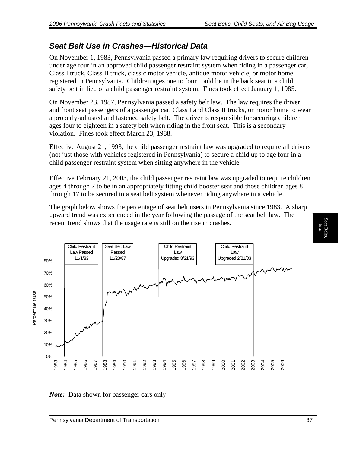### *Seat Belt Use in Crashes—Historical Data*

On November 1, 1983, Pennsylvania passed a primary law requiring drivers to secure children under age four in an approved child passenger restraint system when riding in a passenger car, Class I truck, Class II truck, classic motor vehicle, antique motor vehicle, or motor home registered in Pennsylvania. Children ages one to four could be in the back seat in a child safety belt in lieu of a child passenger restraint system. Fines took effect January 1, 1985.

On November 23, 1987, Pennsylvania passed a safety belt law. The law requires the driver and front seat passengers of a passenger car, Class I and Class II trucks, or motor home to wear a properly-adjusted and fastened safety belt. The driver is responsible for securing children ages four to eighteen in a safety belt when riding in the front seat. This is a secondary violation. Fines took effect March 23, 1988.

Effective August 21, 1993, the child passenger restraint law was upgraded to require all drivers (not just those with vehicles registered in Pennsylvania) to secure a child up to age four in a child passenger restraint system when sitting anywhere in the vehicle.

Effective February 21, 2003, the child passenger restraint law was upgraded to require children ages 4 through 7 to be in an appropriately fitting child booster seat and those children ages 8 through 17 to be secured in a seat belt system whenever riding anywhere in a vehicle.

The graph below shows the percentage of seat belt users in Pennsylvania since 1983. A sharp upward trend was experienced in the year following the passage of the seat belt law. The recent trend shows that the usage rate is still on the rise in crashes.



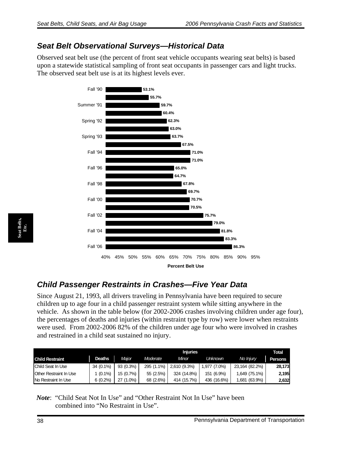#### *Seat Belt Observational Surveys—Historical Data*

Observed seat belt use (the percent of front seat vehicle occupants wearing seat belts) is based upon a statewide statistical sampling of front seat occupants in passenger cars and light trucks. The observed seat belt use is at its highest levels ever.



### *Child Passenger Restraints in Crashes—Five Year Data*

Since August 21, 1993, all drivers traveling in Pennsylvania have been required to secure children up to age four in a child passenger restraint system while sitting anywhere in the vehicle. As shown in the table below (for 2002-2006 crashes involving children under age four), the percentages of deaths and injuries (within restraint type by row) were lower when restraints were used. From 2002-2006 82% of the children under age four who were involved in crashes and restrained in a child seat sustained no injury.

|                        |               |             | <b>Injuries</b> |              |              |                    |         |
|------------------------|---------------|-------------|-----------------|--------------|--------------|--------------------|---------|
| <b>Child Restraint</b> | <b>Deaths</b> | Major       | Moderate        | Minor        | Unknown      | No Injury          | Persons |
| Child Seat In Use      | 34 (0.1%)     | $93(0.3\%)$ | 295 (1.1%)      | 2,610 (9.3%) | 1,977 (7.0%) | 23,164 (82.2%)     | 28,173  |
| Other Restraint In Use | $1(0.1\%)$    | 15 (0.7%)   | 55 (2.5%)       | 324 (14.8%)  | 151 (6.9%)   | 1,649 (75.1%)      | 2.195   |
| No Restraint In Use    | $6(0.2\%)$    | 27 (1.0%)   | 68 (2.6%)       | 414 (15.7%)  | 436 (16.6%)  | $(63.9\%)$<br>.681 | 2,632   |

*Note*: "Child Seat Not In Use" and "Other Restraint Not In Use" have been combined into "No Restraint in Use".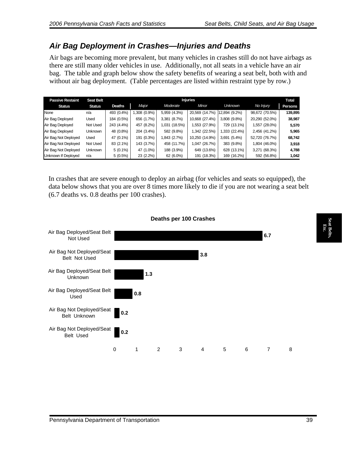#### *Air Bag Deployment in Crashes—Injuries and Deaths*

Air bags are becoming more prevalent, but many vehicles in crashes still do not have airbags as there are still many older vehicles in use. Additionally, not all seats in a vehicle have an air bag. The table and graph below show the safety benefits of wearing a seat belt, both with and without air bag deployment. (Table percentages are listed within restraint type by row.)

| <b>Passive Restaint</b> | <b>Seat Belt</b> |               |               |               | <b>Injuries</b> |                |                  | Total   |
|-------------------------|------------------|---------------|---------------|---------------|-----------------|----------------|------------------|---------|
| <b>Status</b>           | <b>Status</b>    | <b>Deaths</b> | Major         | Moderate      | Minor           | <b>Unknown</b> | No <i>Injury</i> | Persons |
| None                    | n/a              | 493 (0.4%)    | $,308(0.9\%)$ | 5,959 (4.3%)  | 20,569 (14.7%)  | 12,894 (9.2%)  | 98,672 (70.5%)   | 139,895 |
| Air Bag Deployed        | Used             | 184 (0.5%)    | 656 (1.7%)    | 3,381 (8.7%)  | 10,668 (27.4%)  | 3,808 (9.8%)   | 20,290 (52.0%)   | 38,987  |
| Air Bag Deployed        | Not Used         | 243 (4.4%)    | 457 (8.2%)    | 1,031 (18.5%) | (27.9%) 553.    | 729 (13.1%)    | 1,557 (28.0%)    | 5,570   |
| Air Bag Deployed        | <b>Unknown</b>   | 48 (0.8%)     | 204 (3.4%)    | 582 (9.8%)    | 1,342 (22.5%)   | 1,333 (22.4%)  | 2,456 (41.2%)    | 5,965   |
| Air Bag Not Deployed    | Used             | 47 (0.1%)     | 191 (0.3%)    | 1,843 (2.7%)  | 10,250 (14.9%)  | 3,691 (5.4%)   | 52,720 (76.7%)   | 68,742  |
| Air Bag Not Deployed    | Not Used         | 83 (2.1%)     | 143 (3.7%)    | 458 (11.7%)   | ,047(26.7%)     | 383 (9.8%)     | 1,804 (46.0%)    | 3,918   |
| Air Bag Not Deployed    | Unknown          | $5(0.1\%)$    | 47 (1.0%)     | 188 (3.9%)    | 649 (13.6%)     | 628 (13.1%)    | 3,271 (68.3%)    | 4,788   |
| Unknown If Deployed     | n/a              | $5(0.5\%)$    | 23 (2.2%)     | 62 (6.0%)     | 191 (18.3%)     | 169 (16.2%)    | 592 (56.8%)      | 1,042   |

In crashes that are severe enough to deploy an airbag (for vehicles and seats so equipped), the data below shows that you are over 8 times more likely to die if you are not wearing a seat belt (6.7 deaths vs. 0.8 deaths per 100 crashes).



#### **Deaths per 100 Crashes**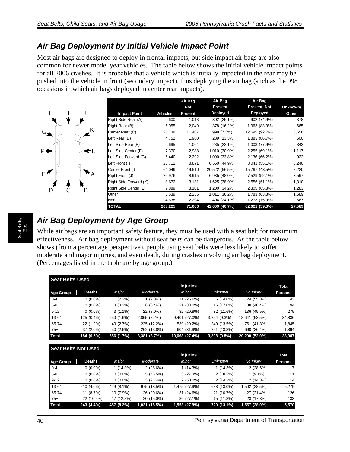#### *Air Bag Deployment by Initial Vehicle Impact Point*

Most air bags are designed to deploy in frontal impacts, but side impact air bags are also common for newer model year vehicles. The table below shows the initial vehicle impact points for all 2006 crashes. It is probable that a vehicle which is initially impacted in the rear may be pushed into the vehicle in front (secondary impact), thus deploying the air bag (such as the 998 occasions in which air bags deployed in center rear impacts).



|                        |                 | Air Bag    | Air Bag        | Air Bag             |          |
|------------------------|-----------------|------------|----------------|---------------------|----------|
|                        |                 | <b>Not</b> | Present        | <b>Present, Not</b> | Unknown/ |
| <b>Impact Point</b>    | <b>Vehicles</b> | Present    | Deployed       | Deployed            | Other    |
| Right Side Rear (A)    | 2,600           | 1,018      | 302 (25.1%)    | 902 (74.9%)         | 378      |
| Right Rear (B)         | 5,055           | 2,049      | 378 (16.2%)    | 1,963 (83.9%)       | 665      |
| Center Rear (C)        | 28,738          | 11,487     | 998 (7.3%)     | 12,595 (92.7%)      | 3,658    |
| Left Rear (D)          | 4,752           | 1,980      | 289 (13.3%)    | 1,883 (86.7%)       | 600      |
| Left Side Rear (E)     | 2,695           | 1,064      | 285 (22.1%)    | 1,003 (77.9%)       | 343      |
| Left Side Center (F)   | 7,370           | 2,988      | 1,010 (30.9%)  | 2,255 (69.1%)       | 1,117    |
| Left Side Forward (G)  | 6,440           | 2,292      | 1,090 (33.8%)  | 2,136 (66.2%)       | 922      |
| Left Front (H)         | 26,712          | 8,871      | 6,560 (44.9%)  | 8,041 (55.1%)       | 3,240    |
| Center Front (I)       | 64,049          | 19,510     | 20,522 (56.5%) | 15,797 (43.5%)      | 8,220    |
| Right Front (J)        | 26,976          | 8,915      | 6,935 (48.0%)  | 7,529 (52.1%)       | 3,597    |
| Right Side Forward (K) | 8,672           | 3,181      | 1,625 (38.9%)  | 2,556 (61.1%)       | 1,310    |
| Right Side Center (L)  | 7,889           | 3,101      | 1,200 (34.2%)  | 2,305 (65.8%)       | 1,283    |
| Other                  | 6,639           | 2,256      | 1,011 (36.2%)  | 1,783 (63.8%)       | 1,589    |
| None                   | 4,638           | 2,294      | 404 (24.1%)    | 1,273 (75.9%)       | 667      |
| <b>TOTAL</b>           | 203,225         | 71,006     | 42,609 (40.7%) | 62,021 (59.3%)      | 27,589   |

### *Air Bag Deployment by Age Group*

While air bags are an important safety feature, they must be used with a seat belt for maximum effectiveness. Air bag deployment without seat belts can be dangerous. As the table below shows (from a percentage perspective), people using seat belts were less likely to suffer moderate and major injuries, and even death, during crashes involving air bag deployment. (Percentages listed in the table are by age group.)

| <b>Seat Belts Used</b> |               |            |              |                 |                |                |                |
|------------------------|---------------|------------|--------------|-----------------|----------------|----------------|----------------|
|                        |               |            |              | <b>Injuries</b> |                |                | <b>Total</b>   |
| <b>Age Group</b>       | <b>Deaths</b> | Major      | Moderate     | Minor           | <b>Unknown</b> | No Injury      | <b>Persons</b> |
| $0 - 4$                | $0(0.0\%)$    | 1(2.3%)    | 1(2.3%)      | 11 (25.6%)      | $6(14.0\%)$    | 24 (55.8%)     | 43             |
| $5 - 8$                | $0(0.0\%)$    | $3(3.2\%)$ | $6(6.4\%)$   | 31 (33.0%)      | 16 (17.0%)     | 38 (40.4%)     | 94             |
| $9 - 12$               | $0(0.0\%)$    | $3(1.1\%)$ | 22 (8.0%)    | 82 (29.8%)      | 32 (11.6%)     | 136 (49.5%)    | 275            |
| 13-64                  | 125 (0.4%)    | 550 (1.6%) | 2,865 (8.2%) | 9,401 (27.0%)   | 3,254 (9.3%)   | 18,641 (53.5%) | 34,836         |
| 65-74                  | 22 (1.2%)     | 49 (2.7%)  | 225 (12.2%)  | 539 (29.2%)     | 249 (13.5%)    | 761 (41.3%)    | 1,845          |
| $75+$                  | 37 (2.0%)     | 50 (2.6%)  | 262 (13.8%)  | 604 (31.9%)     | 251 (13.3%)    | 690 (36.4%)    | 1,894          |
| <b>Total</b>           | 184 (0.5%)    | 656 (1.7%) | 3,381 (8.7%) | 10,668 (27.4%)  | 3,808 (9.8%)   | 20,290 (52.0%) | 38,987         |
|                        |               |            |              |                 |                |                |                |

| <b>Seat Belts Not Used</b> |               |            |               |                 |                |               |                |
|----------------------------|---------------|------------|---------------|-----------------|----------------|---------------|----------------|
|                            |               |            |               | <b>Injuries</b> |                |               | Total          |
| <b>Age Group</b>           | <b>Deaths</b> | Major      | Moderate      | Minor           | <b>Unknown</b> | No Injury     | <b>Persons</b> |
| $0 - 4$                    | $0(0.0\%)$    | 1(14.3%)   | 2(28.6%)      | $1(14.3\%)$     | $1(14.3\%)$    | 2(28.6%)      |                |
| $5 - 8$                    | $0(0.0\%)$    | $0(0.0\%)$ | 5(45.5%)      | 3(27.3%)        | 2(18.2%)       | $1(9.1\%)$    | 11             |
| $9 - 12$                   | $0(0.0\%)$    | $0(0.0\%)$ | 3(21.4%)      | $7(50.0\%)$     | 2(14.3%)       | 2(14.3%)      | 14             |
| 13-64                      | 210 (4.0%)    | 429 (8.1%) | 975 (18.5%)   | 1,475 (27.9%)   | 688 (13.0%)    | 1,502 (28.5%) | 5,279          |
| 65-74                      | 11 (8.7%)     | 10 (7.9%)  | 26 (20.6%)    | 31 (24.6%)      | 21 (16.7%)     | 27 (21.4%)    | 126            |
| $75+$                      | 22 (16.5%)    | 17 (12.8%) | 20 (15.0%)    | 36 (27.1%)      | 15 (11.3%)     | 23 (17.3%)    | 133            |
| <b>Total</b>               | 243 (4.4%)    | 457 (8.2%) | 1,031 (18.5%) | 1,553 (27.9%)   | 729 (13.1%)    | 1,557 (28.0%) | 5,570          |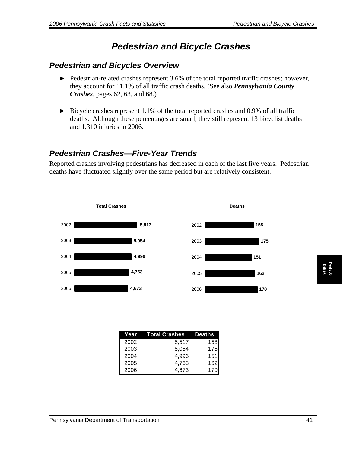# *Pedestrian and Bicycle Crashes*

#### *Pedestrian and Bicycles Overview*

- ▶ Pedestrian-related crashes represent 3.6% of the total reported traffic crashes; however, they account for 11.1% of all traffic crash deaths. (See also *Pennsylvania County Crashes*, pages 62, 63, and 68.)
- $\triangleright$  Bicycle crashes represent 1.1% of the total reported crashes and 0.9% of all traffic deaths. Although these percentages are small, they still represent 13 bicyclist deaths and 1,310 injuries in 2006.

### *Pedestrian Crashes—Five-Year Trends*

Reported crashes involving pedestrians has decreased in each of the last five years. Pedestrian deaths have fluctuated slightly over the same period but are relatively consistent.



|      | Year  Total Crashes | <b>Deaths</b> |
|------|---------------------|---------------|
| 2002 | 5,517               | 158           |
| 2003 | 5,054               | 175           |
| 2004 | 4,996               | 151           |
| 2005 | 4,763               | 162           |
| 2006 | 4.673               | 170           |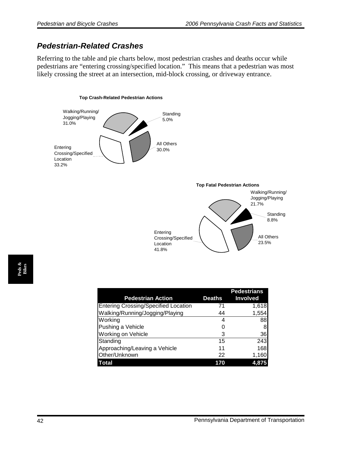#### *Pedestrian-Related Crashes*

Referring to the table and pie charts below, most pedestrian crashes and deaths occur while pedestrians are "entering crossing/specified location." This means that a pedestrian was most likely crossing the street at an intersection, mid-block crossing, or driveway entrance.

#### **Top Crash-Related Pedestrian Actions**





| <b>Pedestrian Action</b>                    | Deaths | <b>Pedestrians</b><br><b>Involved</b> |
|---------------------------------------------|--------|---------------------------------------|
| <b>Entering Crossing/Specified Location</b> | 71     | 1,618                                 |
| Walking/Running/Jogging/Playing             | 44     | 1,554                                 |
| Working                                     | 4      | 88                                    |
| Pushing a Vehicle                           | O      | 8                                     |
| Working on Vehicle                          | 3      | 36                                    |
| Standing                                    | 15     | 243                                   |
| Approaching/Leaving a Vehicle               | 11     | 168                                   |
| Other/Unknown                               | 22     | 1,160                                 |
| Total                                       | 170    | 4,875                                 |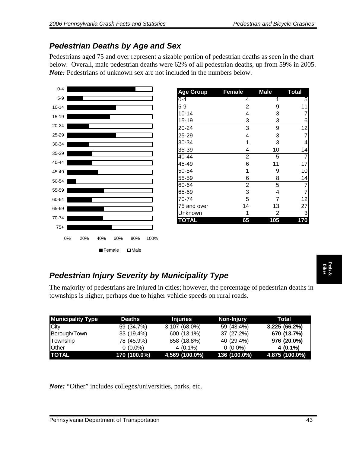## *Pedestrian Deaths by Age and Sex*

Pedestrians aged 75 and over represent a sizable portion of pedestrian deaths as seen in the chart below. Overall, male pedestrian deaths were 62% of all pedestrian deaths, up from 59% in 2005. *Note:* Pedestrians of unknown sex are not included in the numbers below.



| <b>Age Group</b> | <b>Female</b>           | <b>Male</b> | <b>Total</b>   |
|------------------|-------------------------|-------------|----------------|
| $0 - 4$          | 4                       | 1           | 5              |
| $5-9$            | $\overline{c}$          | 9           | 11             |
| $10 - 14$        | 4                       | 3           |                |
| $15 - 19$        | 3                       | 3           | 6              |
| 20-24            | 3                       | 9           | 12             |
| 25-29            | 4                       | 3           | 7              |
| 30-34            | 1                       | 3           | 4              |
| 35-39            | 4                       | 10          | 14             |
| 40-44            | $\overline{c}$          | 5           | 7              |
| 45-49            | 6                       | 11          | 17             |
| 50-54            | 1                       | 9           | 10             |
| 55-59            | 6                       | 8           | 14             |
| 60-64            | $\overline{\mathbf{c}}$ | 5           | 7              |
| 65-69            | 3                       | 4           | $\overline{7}$ |
| 70-74            | 5                       | 7           | 12             |
| 75 and over      | 14                      | 13          | 27             |
| Unknown          |                         | 2           | 3              |
| <b>TOTAL</b>     | 65                      | 105         | 170            |

### *Pedestrian Injury Severity by Municipality Type*

| <b>Pedestrian Injury Severity by Municipality Type</b>                    |                                           |                 |              |                                                                                                    |  |  |
|---------------------------------------------------------------------------|-------------------------------------------|-----------------|--------------|----------------------------------------------------------------------------------------------------|--|--|
| townships is higher, perhaps due to higher vehicle speeds on rural roads. |                                           |                 |              | The majority of pedestrians are injured in cities; however, the percentage of pedestrian deaths in |  |  |
| <b>Municipality Type</b>                                                  | <b>Deaths</b>                             | <b>Injuries</b> | Non-Injury   | <b>Total</b>                                                                                       |  |  |
| City                                                                      | 59 (34.7%)                                | 3,107 (68.0%)   | 59 (43.4%)   | 3,225 (66.2%)                                                                                      |  |  |
| Borough/Town                                                              | 33 (19.4%)                                | 600 (13.1%)     | 37 (27.2%)   | 670 (13.7%)                                                                                        |  |  |
| Township                                                                  | 78 (45.9%)                                | 858 (18.8%)     | 40 (29.4%)   | 976 (20.0%)                                                                                        |  |  |
| Other                                                                     | $0(0.0\%)$                                | $4(0.1\%)$      | $0(0.0\%)$   | $4(0.1\%)$                                                                                         |  |  |
| <b>TOTAL</b>                                                              | 170 (100.0%)                              | 4,569 (100.0%)  | 136 (100.0%) | 4,875 (100.0%)                                                                                     |  |  |
| <i>Note:</i> "Other" includes colleges/universities, parks, etc.          |                                           |                 |              |                                                                                                    |  |  |
|                                                                           | Pennsylvania Department of Transportation |                 |              | 43                                                                                                 |  |  |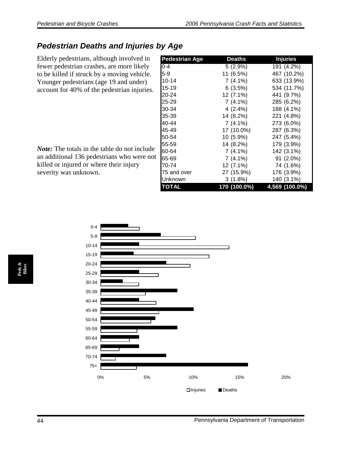### *Pedestrian Deaths and Injuries by Age*

Elderly pedestrians, although involved in fewer pedestrian crashes, are more likely to be killed if struck by a moving vehicle. Younger pedestrians (age 19 and under) account for 40% of the pedestrian injuries.

*Note:* The totals in the table do not include an additional 136 pedestrians who were not killed or injured or where their injury severity was unknown.

| <b>Pedestrian Age</b> | <b>Deaths</b> | <b>Injuries</b> |
|-----------------------|---------------|-----------------|
| $0 - 4$               | $5(2.9\%)$    | 191 (4.2%)      |
| $5-9$                 | 11 (6.5%)     | 467 (10.2%)     |
| $10 - 14$             | 7 (4.1%)      | 633 (13.9%)     |
| $15 - 19$             | 6(3.5%)       | 534 (11.7%)     |
| 20-24                 | 12 (7.1%)     | 441 (9.7%)      |
| 25-29                 | $7(4.1\%)$    | 285 (6.2%)      |
| 30-34                 | 4 (2.4%)      | 188 (4.1%)      |
| 35-39                 | 14 (8.2%)     | 221 (4.8%)      |
| 40-44                 | 7 (4.1%)      | 273 (6.0%)      |
| 45-49                 | 17 (10.0%)    | 287 (6.3%)      |
| 50-54                 | 10 (5.9%)     | 247 (5.4%)      |
| 55-59                 | 14 (8.2%)     | 179 (3.9%)      |
| 60-64                 | 7 (4.1%)      | 142 (3.1%)      |
| 65-69                 | 7 (4.1%)      | 91 (2.0%)       |
| 70-74                 | 12 (7.1%)     | 74 (1.6%)       |
| 75 and over           | 27 (15.9%)    | 176 (3.9%)      |
| Unknown               | 3 (1.8%)      | 140 (3.1%)      |
| <b>TOTAL</b>          | 170 (100.0%)  | 4,569 (100.0%)  |

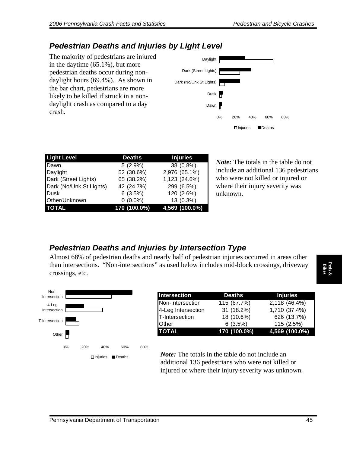#### *Pedestrian Deaths and Injuries by Light Level*

The majority of pedestrians are injured in the daytime (65.1%), but more pedestrian deaths occur during nondaylight hours (69.4%). As shown in the bar chart, pedestrians are more likely to be killed if struck in a nondaylight crash as compared to a day crash.



| <b>Light Level</b>      | <b>Deaths</b> | <b>Injuries</b> |
|-------------------------|---------------|-----------------|
| Dawn                    | 5(2.9%)       | 38 (0.8%)       |
| Daylight                | 52 (30.6%)    | 2,976 (65.1%)   |
| Dark (Street Lights)    | 65 (38.2%)    | 1,123 (24.6%)   |
| Dark (No/Unk St Lights) | 42 (24.7%)    | 299 (6.5%)      |
| Dusk                    | 6(3.5%)       | 120 (2.6%)      |
| Other/Unknown           | $0(0.0\%)$    | 13 (0.3%)       |
| <b>TOTAL</b>            | 170 (100.0%)  | 4,569 (100.0%)  |

*Note:* The totals in the table do not include an additional 136 pedestrians who were not killed or injured or where their injury severity was unknown.

### *Pedestrian Deaths and Injuries by Intersection Type*

Almost 68% of pedestrian deaths and nearly half of pedestrian injuries occurred in areas other than intersections. "Non-intersections" as used below includes mid-block crossings, driveway crossings, etc.



| <b>Intersection</b> | <b>Deaths</b> | <b>Injuries</b> |
|---------------------|---------------|-----------------|
| Non-Intersection    | 115 (67.7%)   | 2,118 (46.4%)   |
| 4-Leg Intersection  | 31 (18.2%)    | 1,710 (37.4%)   |
| T-Intersection      | 18 (10.6%)    | 626 (13.7%)     |
| <b>Other</b>        | 6(3.5%)       | 115 (2.5%)      |
| <b>TOTAL</b>        | 170 (100.0%)  | 4,569 (100.0%)  |

*Note:* The totals in the table do not include an additional 136 pedestrians who were not killed or injured or where their injury severity was unknown.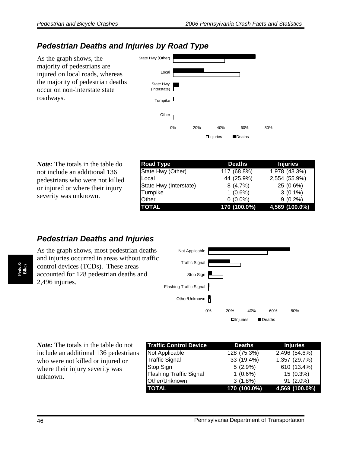#### *Pedestrian Deaths and Injuries by Road Type*

As the graph shows, the majority of pedestrians are injured on local roads, whereas the majority of pedestrian deaths occur on non-interstate state roadways.



*Note:* The totals in the table do not include an additional 136 pedestrians who were not killed or injured or where their injury severity was unknown.

| <b>Road Type</b>       | <b>Deaths</b> | <b>Injuries</b> |
|------------------------|---------------|-----------------|
| State Hwy (Other)      | 117 (68.8%)   | 1,978 (43.3%)   |
| Local                  | 44 (25.9%)    | 2,554 (55.9%)   |
| State Hwy (Interstate) | 8(4.7%)       | 25 (0.6%)       |
| Turnpike               | $1(0.6\%)$    | $3(0.1\%)$      |
| <b>Other</b>           | $0(0.0\%)$    | $9(0.2\%)$      |
| <b>TOTAL</b>           | 170 (100.0%)  | 4,569 (100.0%)  |

#### **Pedestrian Deaths and Injuries**

As the graph shows, most pedestrian deaths and injuries occurred in areas without traffic control devices (TCDs). These areas accounted for 128 pedestrian deaths and 2,496 injuries.



*Note:* The totals in the table do not include an additional 136 pedestrians who were not killed or injured or where their injury severity was unknown.

| <b>Traffic Control Device</b>  | <b>Deaths</b><br><b>Injuries</b> |                |  |
|--------------------------------|----------------------------------|----------------|--|
| Not Applicable                 | $128(75.3\%)$                    | 2,496 (54.6%)  |  |
| <b>Traffic Signal</b>          | 33 (19.4%)                       | 1,357 (29.7%)  |  |
| Stop Sign                      | $5(2.9\%)$                       | 610 (13.4%)    |  |
| <b>Flashing Traffic Signal</b> | $1(0.6\%)$                       | 15 (0.3%)      |  |
| Other/Unknown                  | $3(1.8\%)$                       | 91 (2.0%)      |  |
| <b>TOTAL</b>                   | 170 (100.0%)                     | 4,569 (100.0%) |  |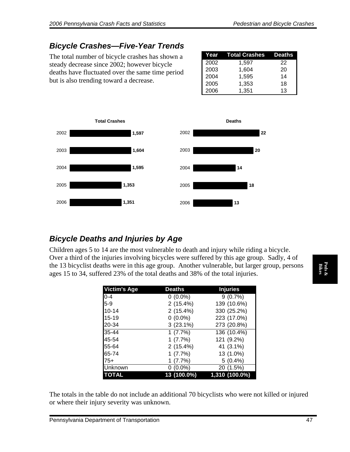### *Bicycle Crashes—Five-Year Trends*

The total number of bicycle crashes has shown a steady decrease since 2002; however bicycle deaths have fluctuated over the same time period but is also trending toward a decrease.

| Year | Total Crashes Deaths |    |
|------|----------------------|----|
| 2002 | 1,597                | 22 |
| 2003 | 1,604                | 20 |
| 2004 | 1,595                | 14 |
| 2005 | 1,353                | 18 |
| 2006 | 1,351                | 13 |



#### *Bicycle Deaths and Injuries by Age*

Children ages 5 to 14 are the most vulnerable to death and injury while riding a bicycle. Over a third of the injuries involving bicycles were suffered by this age group. Sadly, 4 of the 13 bicyclist deaths were in this age group. Another vulnerable, but larger group, persons ages 15 to 34, suffered 23% of the total deaths and 38% of the total injuries.

| <b>Victim's Age</b> | <b>Deaths</b> | <b>Injuries</b> |
|---------------------|---------------|-----------------|
| $0 - 4$             | $0(0.0\%)$    | 9(0.7%)         |
| $5-9$               | 2(15.4%)      | 139 (10.6%)     |
| $10 - 14$           | 2(15.4%)      | 330 (25.2%)     |
| $15 - 19$           | $0(0.0\%)$    | 223 (17.0%)     |
| 20-34               | $3(23.1\%)$   | 273 (20.8%)     |
| 35-44               | 1(7.7%)       | 136 (10.4%)     |
| 45-54               | 1(7.7%)       | 121 (9.2%)      |
| 55-64               | 2(15.4%)      | 41 (3.1%)       |
| 65-74               | 1(7.7%)       | 13 (1.0%)       |
| $75+$               | 1(7.7%)       | $5(0.4\%)$      |
| Unknown             | $0(0.0\%)$    | 20 (1.5%)       |
| <b>TOTAL</b>        | 13 (100.0%)   | 1,310 (100.0%)  |

The totals in the table do not include an additional 70 bicyclists who were not killed or injured or where their injury severity was unknown.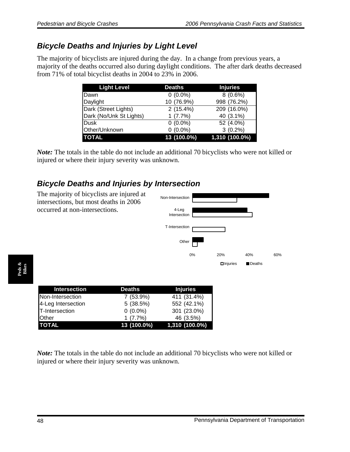### *Bicycle Deaths and Injuries by Light Level*

The majority of bicyclists are injured during the day. In a change from previous years, a majority of the deaths occurred also during daylight conditions. The after dark deaths decreased from 71% of total bicyclist deaths in 2004 to 23% in 2006.

| <b>Light Level</b>      | <b>Deaths</b> | <b>Injuries</b> |  |
|-------------------------|---------------|-----------------|--|
| Dawn                    | $0(0.0\%)$    | $8(0.6\%)$      |  |
| Daylight                | 10 (76.9%)    | 998 (76.2%)     |  |
| Dark (Street Lights)    | 2(15.4%)      | 209 (16.0%)     |  |
| Dark (No/Unk St Lights) | 1(7.7%)       | 40 (3.1%)       |  |
| Dusk                    | $0(0.0\%)$    | 52 (4.0%)       |  |
| Other/Unknown           | $0(0.0\%)$    | $3(0.2\%)$      |  |
| <b>TOTAL</b>            | 13 (100.0%)   | 1,310 (100.0%)  |  |

*Note:* The totals in the table do not include an additional 70 bicyclists who were not killed or injured or where their injury severity was unknown.

### *Bicycle Deaths and Injuries by Intersection*



**Peds & Bikes** 

| Intersection       | <b>Deaths</b> | <b>Injuries</b> |
|--------------------|---------------|-----------------|
| Non-Intersection   | 7 (53.9%)     | 411 (31.4%)     |
| 4-Leg Intersection | 5(38.5%)      | 552 (42.1%)     |
| T-Intersection     | $0(0.0\%)$    | 301 (23.0%)     |
| <b>Other</b>       | 1(7.7%)       | 46 (3.5%)       |
| <b>TOTAL</b>       | 13 (100.0%)   | 1,310 (100.0%)  |

*Note:* The totals in the table do not include an additional 70 bicyclists who were not killed or injured or where their injury severity was unknown.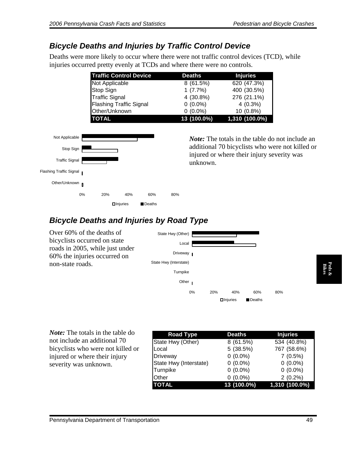#### *Bicycle Deaths and Injuries by Traffic Control Device*

Deaths were more likely to occur where there were not traffic control devices (TCD), while injuries occurred pretty evenly at TCDs and where there were no controls.

| <b>Traffic Control Device</b>  | <b>Deaths</b> | <b>Injuries</b> |
|--------------------------------|---------------|-----------------|
| Not Applicable                 | 8 (61.5%)     | 620 (47.3%)     |
| Stop Sign                      | 1(7.7%)       | 400 (30.5%)     |
| <b>Traffic Signal</b>          | 4 (30.8%)     | 276 (21.1%)     |
| <b>Flashing Traffic Signal</b> | $0(0.0\%)$    | $4(0.3\%)$      |
| Other/Unknown                  | $0(0.0\%)$    | 10 (0.8%)       |
| <b>TOTAL</b>                   | 13 (100.0%)   | 1,310 (100.0%)  |

The totals in the table do not include an additional 70 bicyclists who were not killed or injured or where their injury severity was unknown.



### *Bicycle Deaths and Injuries by Road Type*

Over 60% of the deaths of bicyclists occurred on state roads in 2005, while just under 60% the injuries occurred on non-state roads.



| non-state roads.                          | State Hwy (interstate) |                 |                 |                 |
|-------------------------------------------|------------------------|-----------------|-----------------|-----------------|
|                                           | Turnpike               |                 |                 | Peds &<br>Bikes |
|                                           | Other                  |                 |                 |                 |
|                                           | 0%                     | 20%<br>40%      | 80%<br>60%      |                 |
|                                           |                        | $\Box$ Injuries | Deaths          |                 |
|                                           |                        |                 |                 |                 |
|                                           |                        |                 |                 |                 |
| <i>Note:</i> The totals in the table do   | <b>Road Type</b>       | <b>Deaths</b>   | <b>Injuries</b> |                 |
| not include an additional 70              | State Hwy (Other)      | 8(61.5%)        | 534 (40.8%)     |                 |
| bicyclists who were not killed or         | Local                  | 5(38.5%)        | 767 (58.6%)     |                 |
| injured or where their injury             | Driveway               | $0(0.0\%)$      | 7(0.5%)         |                 |
| severity was unknown.                     | State Hwy (Interstate) | $0(0.0\%)$      | $0(0.0\%)$      |                 |
|                                           | Turnpike               | $0(0.0\%)$      | $0(0.0\%)$      |                 |
|                                           | Other                  | $0(0.0\%)$      | $2(0.2\%)$      |                 |
|                                           | <b>TOTAL</b>           | 13 (100.0%)     | 1,310 (100.0%)  |                 |
|                                           |                        |                 |                 |                 |
|                                           |                        |                 |                 |                 |
|                                           |                        |                 |                 |                 |
| Pennsylvania Department of Transportation |                        |                 | 49              |                 |
|                                           |                        |                 |                 |                 |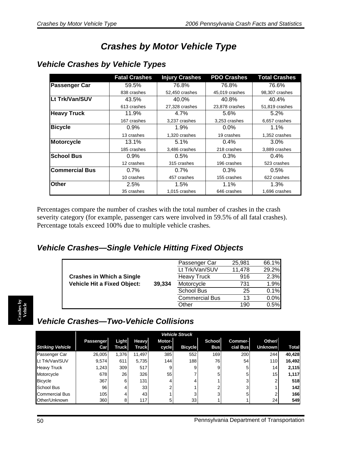# *Crashes by Motor Vehicle Type*

|                       | <b>Fatal Crashes</b> | <b>Injury Crashes</b> | <b>PDO Crashes</b> | <b>Total Crashes</b> |
|-----------------------|----------------------|-----------------------|--------------------|----------------------|
| <b>Passenger Car</b>  | 59.5%                | 76.8%                 | 76.8%              | 76.6%                |
|                       | 838 crashes          | 52,450 crashes        | 45,019 crashes     | 98,307 crashes       |
| Lt Trk/Van/SUV        | 43.5%                | 40.0%                 | 40.8%              | 40.4%                |
|                       | 613 crashes          | 27,328 crashes        | 23,878 crashes     | 51,819 crashes       |
| <b>Heavy Truck</b>    | 11.9%                | $4.7\%$               | 5.6%               | $5.2\%$              |
|                       | 167 crashes          | 3,237 crashes         | 3,253 crashes      | 6,657 crashes        |
| <b>Bicycle</b>        | $0.9\%$              | $1.9\%$               | $0.0\%$            | 1.1%                 |
|                       | 13 crashes           | 1,320 crashes         | 19 crashes         | 1,352 crashes        |
| <b>Motorcycle</b>     | 13.1%                | 5.1%                  | 0.4%               | 3.0%                 |
|                       | 185 crashes          | 3,486 crashes         | 218 crashes        | 3,889 crashes        |
| <b>School Bus</b>     | 0.9%                 | 0.5%                  | 0.3%               | $0.4\%$              |
|                       | 12 crashes           | 315 crashes           | 196 crashes        | 523 crashes          |
| <b>Commercial Bus</b> | $0.7\%$              | $0.7\%$               | 0.3%               | $0.5\%$              |
|                       | 10 crashes           | 457 crashes           | 155 crashes        | 622 crashes          |
| Other                 | 2.5%                 | 1.5%                  | $1.1\%$            | 1.3%                 |
|                       | 35 crashes           | 1,015 crashes         | 646 crashes        | 1,696 crashes        |

#### *Vehicle Crashes by Vehicle Types*

Percentages compare the number of crashes with the total number of crashes in the crash severity category (for example, passenger cars were involved in 59.5% of all fatal crashes). Percentage totals exceed 100% due to multiple vehicle crashes.

#### *Vehicle Crashes—Single Vehicle Hitting Fixed Objects*

|                                    |        | Passenger Car         | 25,981 | 66.1% |
|------------------------------------|--------|-----------------------|--------|-------|
|                                    |        | Lt Trk/Van/SUV        | 11,478 | 29.2% |
| <b>Crashes in Which a Single</b>   |        | <b>Heavy Truck</b>    | 916    | 2.3%  |
| <b>Vehicle Hit a Fixed Object:</b> | 39,334 | Motorcycle            | 731    | 1.9%  |
|                                    |        | <b>School Bus</b>     | 25     | 0.1%  |
|                                    |        | <b>Commercial Bus</b> | 13     | 0.0%  |
|                                    |        | Other                 | 190    | 0.5%  |

# *Vehicle Crashes—Two-Vehicle Collisions*

|                         |           |              |                 |               | <b>Vehicle Struck</b> |            |                |                |              |
|-------------------------|-----------|--------------|-----------------|---------------|-----------------------|------------|----------------|----------------|--------------|
|                         | Passenger | Light        | <b>Heavy</b>    | <b>Motor-</b> |                       | School     | <b>Commer-</b> | Other/         |              |
| <b>Striking Vehicle</b> | Carl      | <b>Truck</b> | <b>Truck</b>    | cycle         | <b>Bicycle</b>        | <b>Bus</b> | cial Bus       | <b>Unknown</b> | <b>Total</b> |
| Passenger Car           | 26,005    | 1,376        | 11,497          | 385           | 552                   | 169        | 200            | 244            | 40,428       |
| Lt Trk/Van/SUV          | 9,574     | 611          | 5,735           | 144           | 188                   | 76         | 54             | 110            | 16,492       |
| <b>Heavy Truck</b>      | 1,243     | 309          | 517             | 9             | 9                     | 9          |                | 14             | 2,115        |
| Motorcycle              | 678       | 26           | 326             | 55            |                       | 5          | 5              | 15             | 1,117        |
| <b>Bicycle</b>          | 367       | 6            | 131             | 4             |                       |            | 3              |                | 518          |
| <b>School Bus</b>       | 96        | 4            | 33 <sub>1</sub> | ⌒             |                       |            | っ              |                | 142          |
| <b>Commercial Bus</b>   | 105       | 4            | 43              |               | ີ                     | っ          | 5              |                | 166          |
| Other/Unknown           | 360       | 8            | 117             | 5             | 33                    |            |                | 24             | 549          |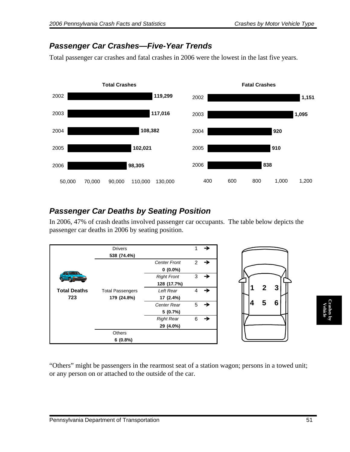#### *Passenger Car Crashes—Five-Year Trends*

Total passenger car crashes and fatal crashes in 2006 were the lowest in the last five years.



#### *Passenger Car Deaths by Seating Position*

In 2006, 47% of crash deaths involved passenger car occupants. The table below depicts the passenger car deaths in 2006 by seating position.



"Others" might be passengers in the rearmost seat of a station wagon; persons in a towed unit; or any person on or attached to the outside of the car.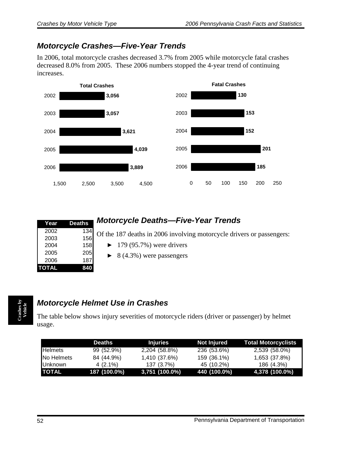### *Motorcycle Crashes—Five-Year Trends*

In 2006, total motorcycle crashes decreased 3.7% from 2005 while motorcycle fatal crashes decreased 8.0% from 2005. These 2006 numbers stopped the 4-year trend of continuing increases.



| Year         | <b>Deaths</b> |  |
|--------------|---------------|--|
| 2002         | 134           |  |
| 2003         | 156           |  |
| 2004         | 158           |  |
| 2005         | 205           |  |
| 2006         | 187           |  |
| <b>TOTAL</b> | 840           |  |

## *Motorcycle Deaths—Five-Year Trends*

Of the 187 deaths in 2006 involving motorcycle drivers or passengers:

- $\blacktriangleright$  179 (95.7%) were drivers
- $\triangleright$  8 (4.3%) were passengers

### *Motorcycle Helmet Use in Crashes*

The table below shows injury severities of motorcycle riders (driver or passenger) by helmet usage.

|                   | Deaths       | <b>Injuries</b> | Not Injured  | <b>Total Motorcyclists</b> |
|-------------------|--------------|-----------------|--------------|----------------------------|
| <b>I</b> Helmets  | 99 (52.9%)   | 2,204 (58.8%)   | 236 (53.6%)  | 2,539 (58.0%)              |
| <b>No Helmets</b> | 84 (44.9%)   | 1,410 (37.6%)   | 159 (36.1%)  | 1,653 (37.8%)              |
| <b>I</b> Unknown  | 4 (2.1%)     | 137 (3.7%)      | 45 (10.2%)   | 186 (4.3%)                 |
| <b>TOTAL</b>      | 187 (100.0%) | 3,751 (100.0%)  | 440 (100.0%) | 4,378 (100.0%)             |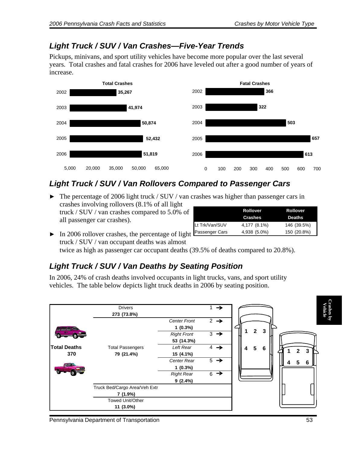#### *Light Truck / SUV / Van Crashes—Five-Year Trends*

Pickups, minivans, and sport utility vehicles have become more popular over the last several years. Total crashes and fatal crashes for 2006 have leveled out after a good number of years of increase.



### *Light Truck / SUV / Van Rollovers Compared to Passenger Cars*

• The percentage of 2006 light truck / SUV / van crashes was higher than passenger cars in crashes involving rollovers (8.1% of all light truck / SUV / van crashes compared to 5.0% of

all passenger car crashes).

|                | <b>Rollover</b><br><b>Crashes</b> | <b>Rollover</b><br><b>Deaths</b> |
|----------------|-----------------------------------|----------------------------------|
| Lt Trk/Van/SUV | 4,177 (8.1%)                      | 146 (39.5%)                      |
| Passenger Cars | 4,938 (5.0%)                      | 150 (20.8%)                      |

 $\triangleright$  In 2006 rollover crashes, the percentage of light truck / SUV / van occupant deaths was almost

twice as high as passenger car occupant deaths (39.5% of deaths compared to 20.8%).

### *Light Truck / SUV / Van Deaths by Seating Position*

In 2006, 24% of crash deaths involved occupants in light trucks, vans, and sport utility vehicles. The table below depicts light truck deaths in 2006 by seating position.

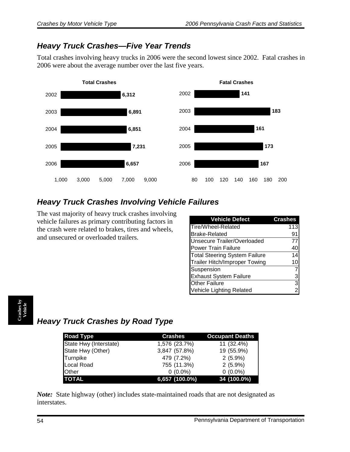### *Heavy Truck Crashes—Five Year Trends*

Total crashes involving heavy trucks in 2006 were the second lowest since 2002. Fatal crashes in 2006 were about the average number over the last five years.



## *Heavy Truck Crashes Involving Vehicle Failures*

The vast majority of heavy truck crashes involving vehicle failures as primary contributing factors in the crash were related to brakes, tires and wheels, and unsecured or overloaded trailers.

| <b>Vehicle Defect</b>                | <b>Crashes</b> |
|--------------------------------------|----------------|
| Tire/Wheel-Related                   | 113            |
| <b>Brake-Related</b>                 | 91             |
| Unsecure Trailer/Overloaded          | 77             |
| <b>Power Train Failure</b>           | 40             |
| <b>Total Steering System Failure</b> | 14             |
| <b>Trailer Hitch/Improper Towing</b> | 10             |
| Suspension                           | 7              |
| <b>Exhaust System Failure</b>        |                |
| <b>Other Failure</b>                 | $\frac{3}{2}$  |
| Vehicle Lighting Related             |                |

# *Heavy Truck Crashes by Road Type*

| <b>Road Type</b>       | <b>Crashes</b> | <b>Occupant Deaths</b> |
|------------------------|----------------|------------------------|
| State Hwy (Interstate) | 1,576 (23.7%)  | 11 (32.4%)             |
| State Hwy (Other)      | 3,847 (57.8%)  | 19 (55.9%)             |
| Turnpike               | 479 (7.2%)     | $2(5.9\%)$             |
| Local Road             | 755 (11.3%)    | $2(5.9\%)$             |
| <b>Other</b>           | $0(0.0\%)$     | $0(0.0\%)$             |
| <b>TOTAL</b>           | 6,657 (100.0%) | 34 (100.0%)            |

*Note:* State highway (other) includes state-maintained roads that are not designated as interstates.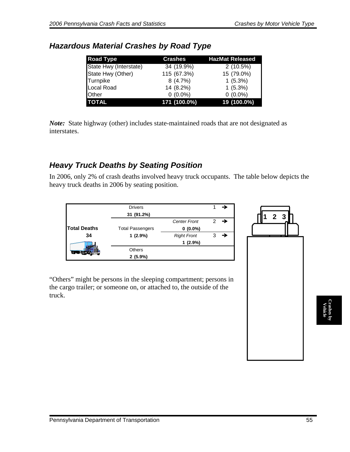| <b>Road Type</b>       | <b>Crashes</b> | <b>HazMat Released</b> |
|------------------------|----------------|------------------------|
| State Hwy (Interstate) | 34 (19.9%)     | 2(10.5%)               |
| State Hwy (Other)      | 115 (67.3%)    | 15 (79.0%)             |
| Turnpike               | 8(4.7%)        | 1(5.3%)                |
| Local Road             | 14 (8.2%)      | 1(5.3%)                |
| Other                  | $0(0.0\%)$     | $0(0.0\%)$             |
| <b>TOTAL</b>           | 171 (100.0%)   | 19 (100.0%)            |

#### *Hazardous Material Crashes by Road Type*

*Note:* State highway (other) includes state-maintained roads that are not designated as interstates.

#### *Heavy Truck Deaths by Seating Position*

In 2006, only 2% of crash deaths involved heavy truck occupants. The table below depicts the heavy truck deaths in 2006 by seating position.

|                     | <b>Drivers</b>          |                     |               |   |
|---------------------|-------------------------|---------------------|---------------|---|
|                     | 31 (91.2%)              |                     |               |   |
|                     |                         | <b>Center Front</b> | $\mathcal{P}$ | → |
| <b>Total Deaths</b> | <b>Total Passengers</b> | $0(0.0\%)$          |               |   |
| 34                  | $1(2.9\%)$              | <b>Right Front</b>  |               |   |
|                     |                         | 1(2.9%)             |               |   |
|                     | <b>Others</b>           |                     |               |   |
|                     | $2(5.9\%)$              |                     |               |   |

"Others" might be persons in the sleeping compartment; persons in the cargo trailer; or someone on, or attached to, the outside of the truck.

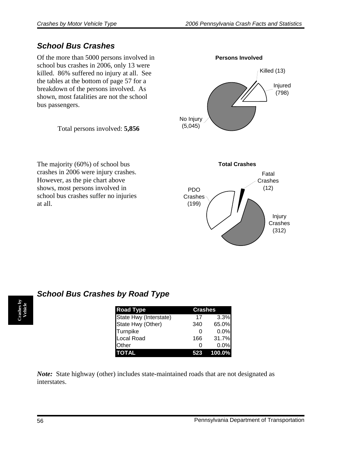### *School Bus Crashes*

Of the more than 5000 persons involved in school bus crashes in 2006, only 13 were killed. 86% suffered no injury at all. See the tables at the bottom of page 57 for a breakdown of the persons involved. As shown, most fatalities are not the school bus passengers.

Total persons involved: **5,856**

The majority (60%) of school bus crashes in 2006 were injury crashes. However, as the pie chart above shows, most persons involved in school bus crashes suffer no injuries at all.



|  | <b>School Bus Crashes by Road Type</b> |  |  |
|--|----------------------------------------|--|--|

| <b>Road Type</b>       | <b>Crashes</b> |        |
|------------------------|----------------|--------|
| State Hwy (Interstate) | 17             | 3.3%   |
| State Hwy (Other)      | 340            | 65.0%  |
| <b>Turnpike</b>        | O              | 0.0%   |
| Local Road             | 166            | 31.7%  |
| Other                  | O              | 0.0%   |
|                        |                | 100.0% |

*Note:* State highway (other) includes state-maintained roads that are not designated as interstates.

**Crashes by Vehicle**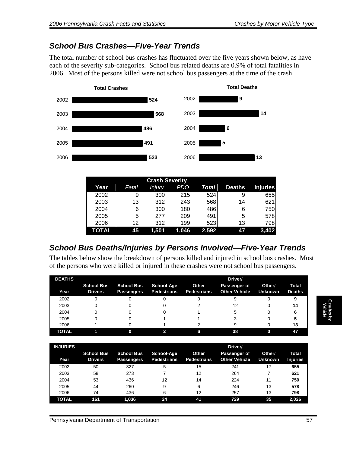#### *School Bus Crashes—Five-Year Trends*

The total number of school bus crashes has fluctuated over the five years shown below, as have each of the severity sub-categories. School bus related deaths are 0.9% of total fatalities in 2006. Most of the persons killed were not school bus passengers at the time of the crash.



| Year  | Fatal | Injury | PDO   | Total | <b>Deaths</b> | <b>Injuries</b> |
|-------|-------|--------|-------|-------|---------------|-----------------|
| 2002  | 9     | 300    | 215   | 524   | 9             | 655             |
| 2003  | 13    | 312    | 243   | 568   | 14            | 621             |
| 2004  | 6     | 300    | 180   | 486   | 6             | 750             |
| 2005  | 5     | 277    | 209   | 491   | 5             | 578             |
| 2006  | 12    | 312    | 199   | 523   | 13            | 798             |
| TOTAL | 45    | 1.501  | 1.046 | 2,592 | 47            | 3,402           |

### *School Bus Deaths/Injuries by Persons Involved—Five-Year Trends*

The tables below show the breakdown of persons killed and injured in school bus crashes. Most of the persons who were killed or injured in these crashes were not school bus passengers.

| <b>DEATHS</b> |                                     |                                        |                                  |                             | Driver/                              |                          |                        |
|---------------|-------------------------------------|----------------------------------------|----------------------------------|-----------------------------|--------------------------------------|--------------------------|------------------------|
| Year          | <b>School Bus</b><br><b>Drivers</b> | <b>School Bus</b><br><b>Passengers</b> | School-Age<br><b>Pedestrians</b> | Other<br><b>Pedestrians</b> | Passenger of<br><b>Other Vehicle</b> | Other/<br><b>Unknown</b> | Total<br><b>Deaths</b> |
| 2002          | O                                   |                                        |                                  |                             |                                      |                          |                        |
| 2003          | 0                                   |                                        |                                  |                             | 12                                   |                          | 14                     |
| 2004          |                                     |                                        |                                  |                             | 5                                    |                          |                        |
| 2005          |                                     |                                        |                                  |                             |                                      |                          |                        |
| 2006          |                                     |                                        |                                  |                             |                                      |                          | 13                     |
| <b>TOTAL</b>  |                                     |                                        |                                  | 6                           | 38                                   | ŋ                        | Æ                      |

| <b>INJURIES</b> |                                     |                                        |                                  |                             | Driver/                              |                          |                                 |
|-----------------|-------------------------------------|----------------------------------------|----------------------------------|-----------------------------|--------------------------------------|--------------------------|---------------------------------|
| Year            | <b>School Bus</b><br><b>Drivers</b> | <b>School Bus</b><br><b>Passengers</b> | School-Age<br><b>Pedestrians</b> | Other<br><b>Pedestrians</b> | Passenger of<br><b>Other Vehicle</b> | Other/<br><b>Unknown</b> | <b>Total</b><br><b>Injuries</b> |
| 2002            | 50                                  | 327                                    | 5                                | 15                          | 241                                  | 17                       | 655                             |
| 2003            | 58                                  | 273                                    |                                  | 12                          | 264                                  |                          | 621                             |
| 2004            | 53                                  | 436                                    | 12                               | 14                          | 224                                  | 11                       | 750                             |
| 2005            | 44                                  | 260                                    | 9                                | 6                           | 246                                  | 13                       | 578                             |
| 2006            | 74                                  | 436                                    | 6                                | 12                          | 257                                  | 13                       | 798                             |
| <b>TOTAL</b>    | 161                                 | 1.036                                  | 24                               | 41                          | 729                                  | 35                       | 2,026                           |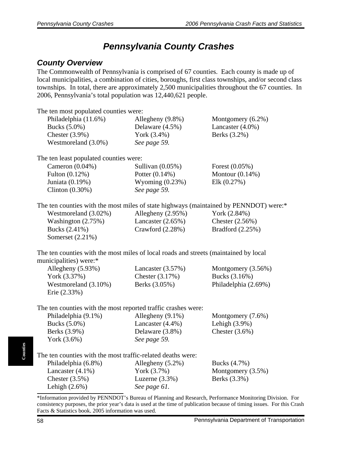# *Pennsylvania County Crashes*

### *County Overview*

The Commonwealth of Pennsylvania is comprised of 67 counties. Each county is made up of local municipalities, a combination of cities, boroughs, first class townships, and/or second class townships. In total, there are approximately 2,500 municipalities throughout the 67 counties. In 2006, Pennsylvania's total population was 12,440,621 people.

| The ten most populated counties were:                                                 |                      |                      |
|---------------------------------------------------------------------------------------|----------------------|----------------------|
| Philadelphia (11.6%)                                                                  | Allegheny (9.8%)     | Montgomery (6.2%)    |
| Bucks (5.0%)                                                                          | Delaware (4.5%)      | Lancaster (4.0%)     |
| Chester $(3.9\%)$                                                                     | York (3.4%)          | Berks (3.2%)         |
| Westmoreland (3.0%)                                                                   | See page 59.         |                      |
| The ten least populated counties were:                                                |                      |                      |
| Cameron $(0.04\%)$                                                                    | Sullivan (0.05%)     | Forest (0.05%)       |
| Fulton (0.12%)                                                                        | Potter (0.14%)       | Montour $(0.14\%)$   |
| Juniata (0.19%)                                                                       | Wyoming $(0.23%)$    | Elk $(0.27%)$        |
| Clinton $(0.30\%)$                                                                    | See page 59.         |                      |
| The ten counties with the most miles of state highways (maintained by PENNDOT) were:* |                      |                      |
| Westmoreland (3.02%)                                                                  | Allegheny (2.95%)    | York (2.84%)         |
| Washington $(2.75%)$                                                                  | Lancaster $(2.65\%)$ | Chester (2.56%)      |
| Bucks (2.41%)                                                                         | Crawford (2.28%)     | Bradford (2.25%)     |
| Somerset (2.21%)                                                                      |                      |                      |
| The ten counties with the most miles of local roads and streets (maintained by local  |                      |                      |
| municipalities) were:*                                                                |                      |                      |
| Allegheny (5.93%)                                                                     | Lancaster $(3.57%)$  | Montgomery (3.56%)   |
| York (3.37%)                                                                          | Chester $(3.17%)$    | Bucks (3.16%)        |
| Westmoreland (3.10%)                                                                  | Berks (3.05%)        | Philadelphia (2.69%) |
| Erie (2.33%)                                                                          |                      |                      |
| The ten counties with the most reported traffic crashes were:                         |                      |                      |
| Philadelphia (9.1%)                                                                   | Allegheny (9.1%)     | Montgomery (7.6%)    |
| Bucks (5.0%)                                                                          | Lancaster (4.4%)     | Lehigh $(3.9\%)$     |
| Berks (3.9%)                                                                          | Delaware (3.8%)      | Chester $(3.6\%)$    |
| York (3.6%)                                                                           | See page 59.         |                      |
| The ten counties with the most traffic-related deaths were:                           |                      |                      |
| Philadelphia (6.8%)                                                                   | Allegheny (5.2%)     | Bucks (4.7%)         |
| Lancaster $(4.1\%)$                                                                   | York (3.7%)          | Montgomery (3.5%)    |
| Chester $(3.5\%)$                                                                     | Luzerne $(3.3\%)$    | Berks (3.3%)         |
| Lehigh $(2.6\%)$                                                                      | See page 61.         |                      |

\*Information provided by PENNDOT's Bureau of Planning and Research, Performance Monitoring Division. For consistency purposes, the prior year's data is used at the time of publication because of timing issues. For this Crash Facts & Statistics book, 2005 information was used.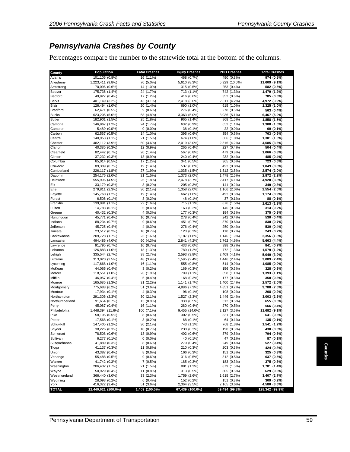### *Pennsylvania Crashes by County*

Percentages compare the number to the statewide total at the bottom of the columns.

|                                 | Population                       | <b>Fatal Crashes</b>    | <b>Injury Crashes</b>           | PDO Crashes                    | <b>Total Crashes</b>         |
|---------------------------------|----------------------------------|-------------------------|---------------------------------|--------------------------------|------------------------------|
| Adams                           | 101,105 (0.8%)                   | 16 (1.1%)               | 468 (0.7%)                      | 490 (0.8%)                     | 974 (0.8%)                   |
| Allegheny<br>Armstrong          | 1,223,411 (9.8%)                 | 70 (5.0%)               | 5,610 (8.3%)                    | 5,929 (10.0%)                  | 11,609 (9.1%)<br>582 (0.5%)  |
| Beaver                          | 70,096 (0.6%)<br>175,736 (1.4%)  | 14 (1.0%)<br>24 (1.7%)  | 315 (0.5%)<br>713 (1.1%)        | 253 (0.4%)<br>742 (1.3%)       | 1,479 (1.2%)                 |
| <b>Bedford</b>                  | 49,927 (0.4%)                    | 17 (1.2%)               | 416 (0.6%)                      | 352 (0.6%)                     | 785 (0.6%)                   |
| <b>Berks</b>                    | 401,149 (3.2%)                   | 43 (3.1%)               | 2,418 (3.6%)                    | 2,511 (4.2%)                   | 4,972 (3.9%)                 |
| Blair                           | 126,494 (1.0%)                   | 20 (1.4%)               | 690 (1.0%)                      | 615 (1.0%)                     | 1,325 (1.0%)                 |
| <b>Bradford</b>                 | 62,471 (0.5%)                    | 9(0.6%)                 | 276 (0.4%)                      | 278 (0.5%)                     | 563 (0.4%)                   |
| <b>Bucks</b>                    | 623,205 (5.0%)                   | 68 (4.8%)               | 3,363 (5.0%)                    | 3,036 (5.1%)                   | 6,467 (5.0%)                 |
| <b>Butler</b>                   | 182,901 (1.5%)                   | 25 (1.8%)               | 965 (1.4%)                      | 868 (1.5%)                     | 1,858 (1.5%)                 |
| Cambria                         | 146,967 (1.2%)                   | 24 (1.7%)               | 632 (0.9%)                      | 652 (1.1%)                     | 1,308 (1.0%)                 |
| Cameron                         | 5,489 (0.0%)                     | $0(0.0\%)$              | 38 (0.1%)                       | 22 (0.0%)                      | 60 (0.1%)                    |
| Carbon                          | 62,567 (0.5%)                    | 14 (1.0%)               | 395 (0.6%)                      | 354 (0.6%)                     | 763 (0.6%)                   |
| Centre<br>Chester               | 140,953 (1.1%)<br>482,112 (3.9%) | 21 (1.5%)<br>50 (3.6%)  | 674 (1.0%)<br>2,019 (3.0%)      | 606 (1.0%)<br>2,516 (4.2%)     | 1,301 (1.0%)<br>4,585 (3.6%) |
| Clarion                         | 40,385 (0.3%)                    | 12 (0.9%)               | 265 (0.4%)                      | 227 (0.4%)                     | 504 (0.4%)                   |
| Clearfield                      | 82,442 (0.7%)                    | 20 (1.4%)               | 567 (0.8%)                      | 479 (0.8%)                     | 1,066 (0.8%)                 |
| Clinton                         | 37,232 (0.3%)                    | 13 (0.9%)               | 240 (0.4%)                      | 232 (0.4%)                     | 485 (0.4%)                   |
| Columbia                        | 65,014 (0.5%)                    | 17 (1.2%)               | 341 (0.5%)                      | 365 (0.6%)                     | 723 (0.6%)                   |
| Crawford                        | 89,389 (0.7%)                    | 19 (1.4%)               | 537 (0.8%)                      | 493 (0.8%)                     | 1,049 (0.8%)                 |
| Cumberland                      | 226,117 (1.8%)                   | 27 (1.9%)               | 1,035 (1.5%)                    | 1,512 (2.5%)                   | 2,574 (2.0%)                 |
| Dauphin                         | 254,176 (2.0%)                   | 21 (1.5%)               | 1,373 (2.0%)                    | 1,478 (2.5%)                   | 2,872 (2.2%)                 |
| Delaware                        | 555,996 (4.5%)                   | 25 (1.8%)               | 2,478 (3.7%)                    | 2,417 (4.1%)                   | 4,920 (3.8%)                 |
|                                 | 33,179 (0.3%)                    | $3(0.2\%)$              | 205 (0.3%)                      | 141 (0.2%)                     | 349 (0.3%)                   |
| Erie                            | 279,811 (2.3%)                   | 30 (2.1%)               | 1,358 (2.0%)                    | 1,166 (2.0%)                   | 2,554 (2.0%)                 |
| Fayette                         | 145,760 (1.2%)                   | 19 (1.4%)               | 662 (1.0%)                      | 493 (0.8%)                     | 1,174 (0.9%)                 |
| Forest<br>Franklin              | 6,506 (0.1%)                     | $3(0.2\%)$<br>22 (1.6%) | 48 (0.1%)                       | 37 (0.1%)<br>876 (1.5%)        | 88 (0.1%)<br>1,613 (1.3%)    |
| Fulton                          | 139,991 (1.1%)<br>14,783 (0.1%)  | $5(0.4\%)$              | 715 (1.1%)<br>163 (0.2%)        | 146 (0.3%)                     | 314 (0.2%)                   |
| Greene                          | 40,432 (0.3%)                    | 4(0.3%)                 | 177 (0.3%)                      | 194 (0.3%)                     | 375 (0.3%)                   |
| Huntingdon                      | 45,771 (0.4%)                    | 10 (0.7%)               | 278 (0.4%)                      | 242 (0.4%)                     | 530 (0.4%)                   |
| Indiana                         | 88,234 (0.7%)                    | $9(0.6\%)$              | 451 (0.7%)                      | 370 (0.6%)                     | 830 (0.7%)                   |
| Jefferson                       | 45,725 (0.4%)                    | $4(0.3\%)$              | 276 (0.4%)                      | 250 (0.4%)                     | 530 (0.4%)                   |
| Juniata                         | 23,512 (0.2%)                    | 10 (0.7%)               | 123 (0.2%)                      | 110 (0.2%)                     | 243 (0.2%)                   |
| Lackawanna                      | 209,728 (1.7%)                   | 23 (1.6%)               | 1,187 (1.8%)                    | 1,146 (1.9%)                   | 2,356 (1.8%)                 |
| Lancaster                       | 494,486 (4.0%)                   | 60 (4.3%)               | 2,841 (4.2%)                    | 2,762 (4.6%)                   | 5,663 (4.4%)                 |
| Lawrence                        | 91,795 (0.7%)                    | 10 (0.7%)               | 433 (0.6%)                      | 398 (0.7%)                     | 841 (0.7%)                   |
| Lebanon                         | 126,883 (1.0%)                   | 18 (1.3%)               | 789 (1.2%)                      | 772 (1.3%)                     | 1,579 (1.2%)                 |
| Lehigh                          | 335,544 (2.7%)                   | 38 (2.7%)               | 2,593 (3.8%)                    | 2,409 (4.1%)                   | 5,040 (3.9%)                 |
| Luzerne<br>Lycoming             | 313,020 (2.5%)<br>117,668 (1.0%) | 48 (3.4%)<br>16 (1.1%)  | 1,595 (2.4%)<br>555 (0.8%)      | 1,446 (2.4%)<br>514 (0.9%)     | 3,089 (2.4%)<br>1,085 (0.9%) |
| McKean                          | 44,065 (0.4%)                    | $3(0.2\%)$              | 169 (0.3%)                      | 156 (0.3%)                     | 328 (0.3%)                   |
| Mercer                          | 118,551 (1.0%)                   | 26 (1.9%)               | 709 (1.1%)                      | 658 (1.1%)                     | 1,393 (1.1%)                 |
| Mifflin                         | 46,057 (0.4%)                    | $5(0.4\%)$              | 168 (0.3%)                      | 177 (0.3%)                     | 350 (0.3%)                   |
| Monroe                          | 165,685 (1.3%)                   | 31 (2.2%)               | 1,141 (1.7%)                    | 1,400 (2.4%)                   | 2,572 (2.0%)                 |
| Montgomery                      | 775,688 (6.2%)                   | 51 (3.6%)               | 4,886 (7.3%)                    | 4,851 (8.2%)                   | 9,788 (7.6%)                 |
| Montour                         | 17,934 (0.1%)                    | 4(0.3%)                 | 96 (0.1%)                       | 108 (0.2%)                     | 208 (0.2%)                   |
| Northampton                     | 291,306 (2.3%)                   | 30 (2.1%)               | 1,527 (2.3%)                    | 1,446 (2.4%)                   | 3,003 (2.3%)                 |
| Northumberland                  | 91,654 (0.7%)                    | 13 (0.9%)               | 330 (0.5%)                      | 312 (0.5%)                     | 655 (0.5%)                   |
|                                 | 45,087 (0.4%)                    | 16 (1.1%)               | 280 (0.4%)                      | 270 (0.5%)                     | 566 (0.4%)                   |
| Philadelphia                    | 1,448,394 (11.6%)                | 100 (7.1%)              | 9,455 (14.0%)                   | 2,127 (3.6%)                   | 11,682 (9.1%)                |
| Potter                          | 58,195 (0.5%)                    | $8(0.6\%)$              | 302 (0.5%)                      | 331 (0.6%)                     | 641 (0.5%)                   |
| Schuylkill                      | 17,568 (0.1%)<br>147,405 (1.2%)  | $3(0.2\%)$<br>30 (2.1%) | 68 (0.1%)<br>743 (1.1%)         | 64 (0.1%)<br>768 (1.3%)        | 135 (0.1%)<br>1,541 (1.2%)   |
| Snyder                          | 38,226 (0.3%)                    | 10 (0.7%)               | 230 (0.3%)                      | 190 (0.3%)                     | 430 (0.3%)                   |
| Somerset                        | 78,508 (0.6%)                    | 13 (0.9%)               | 402 (0.6%)                      | 379 (0.6%)                     | 794 (0.6%)                   |
| Sullivan                        | 6,277 (0.1%)                     | $0(0.0\%)$              | 40 (0.1%)                       | 47 (0.1%)                      | 87 (0.1%)                    |
| Susquehanna                     | 41,889 (0.3%)                    | 8(0.6%)                 | 270 (0.4%)                      | 249 (0.4%)                     | 527 (0.4%)                   |
|                                 | 41,137 (0.3%)                    | 11 (0.8%)               | 210 (0.3%)                      | 203 (0.3%)                     | 424 (0.3%)                   |
|                                 | 43,387 (0.4%)                    | 8(0.6%)                 | 166 (0.3%)                      | 151 (0.3%)                     | 325 (0.3%)                   |
| Venango                         | 55,488 (0.5%)                    | $9(0.6\%)$              | 316 (0.5%)                      | 312 (0.5%)                     | 637 (0.5%)                   |
| Warren                          | 41,742 (0.3%)                    | 7(0.5%)                 | 185 (0.3%)                      | 183 (0.3%)                     | 375 (0.3%)                   |
| Washington                      | 206,432 (1.7%)                   | 21 (1.5%)               | 881 (1.3%)                      | 879 (1.5%)                     | 1,781 (1.4%)                 |
| Wayne                           | 50,929 (0.4%)                    | 11 (0.8%)               | 313 (0.5%)                      | 305 (0.5%)                     | 629 (0.5%)                   |
| Westmoreland                    | 366,440 (3.0%)                   | 33 (2.3%)               | 1,759 (2.6%)                    | 1,615 (2.7%)                   | 3,407 (2.7%)                 |
|                                 | 28,093 (0.2%)<br>416,322 (3.4%)  | $6(0.4\%)$              | 152 (0.2%)                      | 151 (0.3%)                     | 309 (0.2%)                   |
|                                 |                                  | 51 (3.6%)               | 2,364 (3.5%)<br>67,439 (100.0%) | 2,165 (3.6%)<br>59,494 (99.8%) | 4,580 (3.6%)                 |
| Wyoming<br>York<br><b>TOTAL</b> | 12,440,621 (100.0%)              | 1,409 (100.0%)          |                                 |                                | 128,342 (99.9%)              |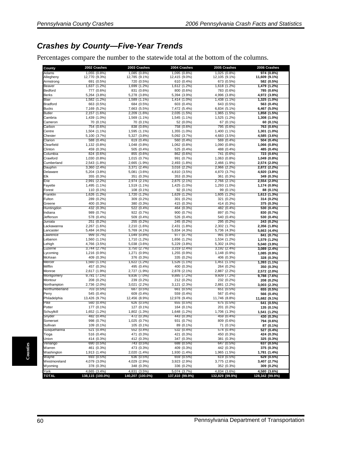### *Crashes by County—Five-Year Trends*

Percentages compare the number to the statewide total at the bottom of the columns.

| County                | 2002 Crashes                 | 2003 Crashes                 | 2004 Crashes                 | 2005 Crashes                 | 2006 Crashes                 |
|-----------------------|------------------------------|------------------------------|------------------------------|------------------------------|------------------------------|
| Adams                 | 1,055 (0.8%)                 | 1,085 (0.8%)                 | 1,095 (0.8%)                 | 1,025 (0.8%)                 | 974 (0.8%)                   |
| Allegheny             | 12,770 (9.3%)                | 12,785 (9.1%)                | 12,415 (9.0%)                | 12,105 (9.1%)                | 11,609 (9.1%)                |
| Armstrong<br>Beaver   | 691 (0.5%)<br>1,637 (1.2%)   | 720 (0.5%)<br>1,699 (1.2%)   | 610 (0.4%)<br>1,612 (1.2%)   | 673 (0.5%)<br>1,618 (1.2%)   | 582 (0.5%)<br>1,479 (1.2%)   |
| Bedford               | 777 (0.6%)                   | 831 (0.6%)                   | 800 (0.6%)                   | 783 (0.6%)                   | 785 (0.6%)                   |
| <b>Berks</b>          | 5,264 (3.8%)                 | 5,278 (3.8%)                 | 5,394 (3.9%)                 | 4,996 (3.8%)                 | 4,972 (3.9%)                 |
| Blair                 | 1,582 (1.2%)                 | 1,589 (1.1%)                 | 1,414 (1.0%)                 | 1,438 (1.1%)                 | 1,325(1.0%)                  |
| <b>Bradford</b>       | 663 (0.5%)                   | 684 (0.5%)                   | 603 (0.4%)                   | 643 (0.5%)                   | 563 (0.4%)                   |
| <b>Bucks</b>          | 7,169 (5.2%)                 | 7,663 (5.5%)                 | 7,472 (5.4%)                 | 6,834 (5.1%)                 | 6,467 (5.0%)                 |
| <b>Butler</b>         | 2,157 (1.6%)                 | 2,209 (1.6%)                 | 2,035 (1.5%)                 | 1,965 (1.5%)                 | 1,858 (1.5%)                 |
| Cambria               | 1,439 (1.0%)                 | 1,569 (1.1%)                 | 1,545 (1.1%)                 | 1,525 (1.2%)                 | 1,308 (1.0%)                 |
| Cameron               | 70 (0.1%)                    | 70 (0.1%)                    | 52 (0.0%)                    | 67 (0.1%)                    | 60 (0.1%)                    |
| Carbon                | 754 (0.6%)                   | 838 (0.6%)                   | 758 (0.6%)                   | 795 (0.6%)                   | 763 (0.6%)                   |
| Centre<br>Chester     | 1,504 (1.1%)<br>5,100 (3.7%) | 1,595 (1.1%)<br>5,327 (3.8%) | 1,355 (1.0%)<br>5,092 (3.7%) | 1,400 (1.1%)<br>4,683 (3.5%) | 1,301 (1.0%)<br>4,585 (3.6%) |
| Clarion               | 588 (0.4%)                   | 619 (0.4%)                   | 560 (0.4%)                   | 569 (0.4%)                   | 504 (0.4%)                   |
| Clearfield            | 1,132 (0.8%)                 | 1,048 (0.8%)                 | 1,062 (0.8%)                 | 1,090 (0.8%)                 | 1,066 (0.8%)                 |
| Clinton               | 459 (0.3%)                   | 505 (0.4%)                   | 525 (0.4%)                   | 488 (0.4%)                   | 485 (0.4%)                   |
| Columbia              | 824 (0.6%)                   | 855 (0.6%)                   | 862 (0.6%)                   | 741 (0.6%)                   | 723 (0.6%)                   |
| Crawford              | 1,030 (0.8%)                 | 1,015 (0.7%)                 | 991 (0.7%)                   | 1,063 (0.8%)                 | 1,049 (0.8%)                 |
| Cumberland            | 2,543 (1.8%)                 | 2,665 (1.9%)                 | 2,493 (1.8%)                 | 2,466 (1.9%)                 | 2,574 (2.0%)                 |
| Dauphin               | 3,360 (2.4%)                 | 3,371 (2.4%)                 | 3,016 (2.2%)                 | 2,966 (2.2%)                 | 2,872 (2.2%)                 |
| Delaware              | 5,204 (3.8%)                 | 5,081 (3.6%)                 | 4,810 (3.5%)                 | 4,870 (3.7%)                 | 4,920 (3.8%)                 |
| Elk                   | 355 (0.3%)                   | 351 (0.3%)                   | 353 (0.3%)                   | 361 (0.3%)                   | 349 (0.3%)                   |
| Erie                  | 2,991<br>(2.2%               | 2,974 (2.1%)                 | 2,875 (2.1%)                 | 2,766 (2.1%)                 | 2,554 (2.0%)                 |
| Fayette               | 1,495 (1.1%)                 | 1,519 (1.1%)                 | 1,425 (1.0%)                 | 1,293 (1.0%)                 | 1,174 (0.9%)                 |
| Forest<br>Franklin    | 110 (0.1%)<br>1,626 (1.2%)   | 108 (0.1%)<br>1,720 (1.2%)   | 92 (0.1%)<br>1,629 (1.2%)    | 99 (0.1%)<br>1,605 (1.2%)    | 88 (0.1%)<br>1,613 (1.3%)    |
| Fulton                | 289 (0.2%)                   | 309 (0.2%)                   | 301 (0.2%)                   | 321 (0.2%)                   | 314 (0.2%)                   |
| Greene                | 400 (0.3%)                   | 380 (0.3%)                   | 415 (0.3%)                   | 414 (0.3%)                   | 375 (0.3%)                   |
| Huntingdon            | 432 (0.3%)                   | 522 (0.4%)                   | 464 (0.3%)                   | 482 (0.4%)                   | 530 (0.4%)                   |
| Indiana               | 989 (0.7%)                   | 922 (0.7%)                   | 900 (0.7%)                   | 897 (0.7%)                   | 830 (0.7%)                   |
| Jefferson             | 578 (0.4%)                   | 509 (0.4%)                   | 526 (0.4%)                   | 540 (0.4%)                   | 530 (0.4%)                   |
| Juniata               | 251<br>(0.2%                 | 255 (0.2%)                   | 245 (0.2%)                   | 295 (0.2%)                   | 243 (0.2%)                   |
| Lackawanna            | 2,267 (1.6%)                 | 2,210 (1.6%)                 | 2,431 (1.8%)                 | 2,302 (1.7%)                 | 2,356 (1.8%)                 |
| Lancaster             | 5,484 (4.0%)                 | 5,769 (4.1%)                 | 5,834 (4.3%)                 | 5,736 (4.3%)                 | 5,663 (4.4%)                 |
| Lawrence              | 999 (0.7%)                   | 1,049 (0.8%)                 | 977 (0.7%)                   | 991 (0.8%)                   | 841 (0.7%)                   |
| Lebanon               | 1,560 (1.1%)                 | 1,710 (1.2%)                 | 1,656 (1.2%)                 | 1,534 (1.2%)                 | 1,579 (1.2%)                 |
| Lehigh<br>Luzerne     | 4,766 (3.5%)<br>3,744 (2.7%) | 5,038 (3.6%)<br>3,750 (2.7%) | 5,229 (3.8%)<br>3,319 (2.4%) | 5,302 (4.0%)<br>3,192 (2.4%) | 5,040 (3.9%)<br>3,089 (2.4%) |
| Lycoming              | 1,216 (0.9%)                 | 1,271 (0.9%)                 | 1,255 (0.9%)                 | 1,148 (0.9%)                 | 1,085 (0.9%)                 |
| McKean                | 409 (0.3%)                   | 376 (0.3%)                   | 335 (0.2%)                   | 406 (0.3%)                   | 328 (0.3%)                   |
| Mercer                | 1,560 (1.1%)                 | 1,622 (1.2%)                 | 1,526 (1.1%)                 | 1,451 (1.1%)                 | $1,393(1.1\%)$               |
| Mifflin               | 457 (0.3%)                   | 495 (0.4%)                   | 400 (0.3%)                   | 264 (0.2%)                   | 350 (0.3%)                   |
| Monroe                | 2,617 (1.9%)                 | 2,727 (1.9%)                 | 2,878 (2.1%)                 | 2,887 (2.2%)                 | 2,572 (2.0%)                 |
| Montgomery            | 9,781 (7.1%)                 | 9,836 (7.0%)                 | 9,885 (7.2%)                 | 9,609 (7.2%)                 | 9,788 (7.6%)                 |
| Montour               | 208 (0.2%)                   | 239 (0.2%)                   | 212 (0.2%)                   | 232 (0.2%)                   | 208 (0.2%)                   |
| Northampton           | 2,736 (2.0%)                 | 3,021 (2.2%)                 | 3,121 (2.3%)                 | 2,881 (2.2%)                 | 3,003 (2.3%)                 |
| Northumberland        | 703 (0.5%)                   | 687 (0.5%)                   | 661 (0.5%)                   | 651 (0.5%)                   | 655 (0.5%)                   |
| Perry                 | 545 (0.4%)                   | 609 (0.4%)                   | 559 (0.4%)                   | 567 (0.4%)                   | 566 (0.4%)                   |
| Philadelphia<br>Pike  | 13,426 (9.7%)                | 12,456 (8.9%)                | 12,978 (9.4%)                | 11,746 (8.8%)                | 11,682 (9.1%)                |
| Potter                | 560 (0.4%)<br>177 (0.1%)     | 626 (0.5%)<br>127 (0.1%)     | 655 (0.5%)<br>164 (0.1%)     | 675 (0.5%)<br>201 (0.2%)     | 641 (0.5%)<br>135 (0.1%)     |
| Schuvlkill            | 1,652 (1.2%)                 | 1,802 (1.3%)                 | 1,648 (1.2%)                 | 1,706 (1.3%)                 | 1,541 (1.2%)                 |
| Snyder                | 482 (0.4%)                   | 472 (0.3%)                   | 443 (0.3%)                   | 459 (0.4%)                   | 430 (0.3%)                   |
| Somerset              | 998 (U.7%)                   | 1,025 (0.7%)                 | 931 (0.7%)                   | 809 (0.6%)                   | 794 (0.6%)                   |
| Sullivan              | 109 (0.1%)                   | 105 (0.1%)                   | 89 (0.1%)                    | 71 (0.1%)                    | 87 (0.1%)                    |
| Susquehanna           | 521 (0.4%)                   | 552 (0.4%)                   | 532 (0.4%)                   | 574 (0.4%)                   | 527 (0.4%)                   |
| Tioga                 | 516 (0.4%)                   | 471 (0.3%)                   | 421 (0.3%)                   | 450 (0.3%)                   | 424 (0.3%)                   |
| Union                 | 414 (0.3%)                   | 412 (0.3%)                   | 347 (0.3%)                   | 381 (0.3%)                   | 325 (0.3%)                   |
| Venango               | 690 (0.5%)                   | 743 (0.5%)                   | 688 (0.5%)                   | 647 (0.5%)                   | 637 (0.5%)                   |
| Warren                | 461 (0.3%)                   | 473 (0.3%)                   | 409 (0.3%)                   | 442 (0.3%)                   | 375 (0.3%)                   |
| Washington            | 1,913 (1.4%)                 | 2,020 (1.4%)                 | 1,930 (1.4%)                 | 1,965 (1.5%)                 | 1,781 (1.4%)                 |
| Wayne<br>Westmoreland | 693 (0.5%)                   | 636 (0.5%)                   | 659 (0.5%)                   | 619 (0.5%)                   | 629 (0.5%)                   |
| Wyoming               | 4,079 (3.0%)<br>378 (0.3%)   | 4,029 (2.9%)<br>348 (0.3%)   | 3,923 (2.9%)<br>336 (0.2%)   | 3,775 (2.8%)<br>352 (0.3%)   | 3,407 (2.7%)<br>309 (0.2%)   |
| York                  | 4,665 (3.4%)                 | 4,831 (3.5%)                 | 5,074 (3.7%)                 | 4,834 (3.6%)                 | 4,580 (3.6%)                 |
| <b>TOTAL</b>          | 138,115 (100.0%)             | 140,207 (100.0%)             | 137,410 (99.9%)              | 132,829 (99.9%)              | 128,342 (99.9%)              |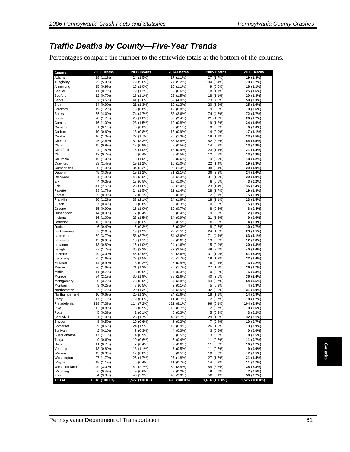### *Traffic Deaths by County—Five-Year Trends*

Percentages compare the number to the statewide totals at the bottom of the columns.

| Adams                | 2002 Deaths             | 2003 Deaths             | 2004 Deaths            | 2005 Deaths             | 2006 Deaths            |
|----------------------|-------------------------|-------------------------|------------------------|-------------------------|------------------------|
|                      | 18 (1.1%)               | 24 (1.5%)               | $17(1.1\%)$            | 27 (1.7%)               | 19 (1.3%)              |
| Allegheny            | 95 (5.9%)               | 79 (5.0%)               | 77 (5.2%)              | 104 (6.4%)              | 79 (5.2%)              |
| Armstrong<br>Beaver  | 15 (0.9%)<br>11 (0.7%)  | 15 (1.0%)<br>19 (1.2%)  | 16 (1.1%)<br>9(0.6%)   | $9(0.6\%)$<br>18 (1.1%) | 16 (1.1%)<br>25 (1.6%) |
| Bedford              | 12 (0.7%)               | 18 (1.1%)               | 23 (1.5%)              | 18 (1.1%)               | 20 (1.3%)              |
| <b>Berks</b>         | 57 (3.5%)               | 41 (2.6%)               | 59 (4.0%)              | 73 (4.5%)               | 50 (3.3%)              |
| Blair                | 14 (0.9%)               | 21 (1.3%)               | 19 (1.3%)              | 20 (1.2%)               | 25 (1.6%)              |
| Bradford             | 19 (1.2%)               | 13 (0.8%)               | 12 (0.8%)              | $9(0.6\%)$              | $9(0.6\%)$             |
| <b>Bucks</b>         | 65 (4.0%)               | 74 (4.7%)               | 53 (3.6%)              | 74 (4.6%)               | 72 (4.7%)              |
| <b>Butler</b>        | 28 (1.7%)               | 28 (1.8%)               | 35 (2.4%)              | 21 (1.3%)               | 26 (1.7%)              |
| Cambria              | 16 (1.0%)               | 23 (1.5%)               | 12 (0.8%)              | 19 (1.2%)               | 24 (1.6%)              |
| Cameron              | $1(0.1\%)$              | $0(0.0\%)$              | $2(0.1\%)$             | $0(0.0\%)$              | $0(0.0\%)$             |
| Carbon               | 10 (0.6%)               | 13 (0.8%)               | 13 (0.9%)              | 14 (0.9%)               | 17 (1.1%)              |
| Centre               | 16 (1.0%)               | 27 (1.7%)               | 20 (1.3%)              | 18 (1.1%)               | 23 (1.5%)              |
| Chester<br>Clarion   | 45 (2.8%)<br>15 (0.9%)  | 52 (3.3%)<br>12 (0.8%)  | 56 (3.8%)<br>8(0.5%)   | 52 (3.2%)<br>14 (0.9%)  | 54 (3.5%)<br>13 (0.9%) |
| Clearfield           | 24 (1.5%)               | 16 (1.0%)               | 13 (0.9%)              | 23 (1.4%)               | 21 (1.4%)              |
| Clinton              | 12 (0.7%)               | $6(0.4\%)$              | $8(0.5\%)$             | 12 (0.7%)               | 13 (0.9%)              |
| Columbia             | 16 (1.0%)               | 16 (1.0%)               | 9(0.6%)                | 14 (0.9%)               | 18 (1.2%)              |
| Crawford             | 23 (1.4%)               | 19 (1.2%)               | 15 (1.0%)              | 22 (1.4%)               | 19 (1.3%)              |
| Cumberland           | 30 (1.9%)               | 34 (2.2%)               | 20 (1.3%)              | 38 (2.4%)               | 29 (1.9%)              |
| Dauphin              | 48 (3.0%)               | 19 (1.2%)               | 31 (2.1%)              | 36 (2.2%)               | 24 (1.6%)              |
| Delaware             | 31 (1.9%)               | 48 (3.0%)               | 34 (2.3%)              | 31 (1.9%)               | 29 (1.9%)              |
| Elk                  | 4(0.3%)                 | 13 (0.8%)               | 15 (1.0%)              | $8(0.5\%)$              | $3(0.2\%)$             |
| Erie                 | 41 (2.5%)               | 25 (1.6%)               | 35 (2.4%)              | 23 (1.4%)               | 36 (2.4%)              |
| Fayette              | 28 (1.7%)               | 24 (1.5%)               | 21 (1.4%)              | 28 (1.7%)               | 19 (1.3%)              |
| Forest               | 5(0.3%)                 | $2(0.1\%)$              | $0(0.0\%)$             | $2(0.1\%)$              | $5(0.3\%)$             |
| Franklin             | 20 (1.2%)               | 33 (2.1%)               | 24 (1.6%)              | 18 (1.1%)               | 23 (1.5%)              |
| Fulton               | $7(0.4\%)$<br>15 (0.9%) | 13 (0.8%)<br>15 (1.0%)  | 5(0.3%)<br>10 (0.7%)   | 10 (0.6%)<br>8(0.5%)    | 5 (0.3%)<br>$6(0.4\%)$ |
| Greene<br>Huntingdon | 14 (0.9%)               | $\frac{1}{7}(0.4\%)$    | 6(0.4%)                | $9(0.6\%)$              | 12 (0.8%)              |
| ndiana               | 16 (1.0%)               | 23 (1.5%)               | 14 (0.9%)              | 21 (1.3%)               | $9(0.6\%)$             |
| Jefferson            | 16 (1.0%)               | 9(0.6%)                 | 8(0.5%)                | $8(0.5\%)$              | 4 (0.3%)               |
| Juniata              | 6(0.4%)                 | 5(0.3%)                 | 5(0.3%)                | $8(0.5\%)$              | 10 (0.7%)              |
| Lackawanna           | 32 (2.0%)               | 19 (1.2%)               | 22 (1.5%)              | 24 (1.5%)               | 23 (1.5%)              |
| _ancaster            | 59 (3.7%)               | 58 (3.7%)               | 54 (3.6%)              | 71 (4.4%)               | 63 (4.1%)              |
| _awrence             | 15 (0.9%)               | 18 (1.1%)               | 9(0.6%)                | 13 (0.8%)               | 12 (0.8%)              |
| Lebanon              | 13 (0.8%)               | 16 (1.0%)               | 24 (1.6%)              | 15 (0.9%)               | 20 (1.3%)              |
| ehigh.               | 27 (1.7%)               | 35 (2.2%)               | 37 (2.5%)              | 49 (3.0%)               | 40 (2.6%)              |
| _uzerne              | 49 (3.0%)               | 46 (2.9%)               | 39 (2.6%)              | 31 (1.9%)               | 51 (3.3%)              |
| _ycoming             | 25 (1.6%)               | 23 (1.5%)               | 26 (1.7%)              | 19 (1.2%)               | 22 (1.4%)              |
| McKean               | 14 (0.9%)               | $3(0.2\%)$              | $6(0.4\%)$             | 6(0.4%)                 | $3(0.2\%)$             |
| Mercer               | 26 (1.6%)               | 21 (1.3%)               | 26 (1.7%)              | 27 (1.7%)               | 26 (1.7%)              |
| Mifflin<br>Monroe    | 11 (0.7%)<br>34 (2.1%)  | $8(0.5\%)$<br>30 (1.9%) | 4(0.3%)<br>38 (2.6%)   | 10 (0.6%)<br>40 (2.5%)  | 5 (0.3%)<br>36 (2.4%)  |
| Montgomery           | 60 (3.7%)               | 78 (5.0%)               | 57 (3.8%)              | 44 (2.7%)               | 54 (3.5%)              |
| Montour              | $3(0.2\%)$              | $8(0.5\%)$              | $2(0.1\%)$             | $5(0.3\%)$              | 4 (0.3%)               |
| Northampton          | 27 (1.7%)               | 20 (1.3%)               | 37 (2.5%)              | 32 (2.0%)               | 31 (2.0%)              |
| Northumberland       | 10 (0.6%)               | 20 (1.3%)               | 24 (1.6%)              | 18 (1.1%)               | 14 (0.9%)              |
| Perry                | 17 (1.1%)               | 9(0.6%)                 | 11 (0.7%)              | 12 (0.7%)               | 18 (1.2%)              |
| Philadelphia         | 118 (7.3%)              | 114 (7.2%)              | 121 (8.1%)             | 99 (6.1%)               | 104 (6.8%)             |
| Pike                 | 13 (0.8%)               | $8(0.5\%)$              | 10 (0.7%)              | 12 (0.7%)               | $9(0.6\%)$             |
| Potter               | 5(0.3%)                 | $2(0.1\%)$              | 5(0.3%)                | $5(0.3\%)$              | $3(0.2\%)$             |
| Schuylkill           | 31 (1.9%)               | 26 (1.7%)               | 40 (2.7%)              | 29 (1.8%)               | 32 (2.1%)              |
| Snyder               | 8(0.5%)                 | 10 (0.6%)               | 5(0.3%)                | $7(0.4\%)$              | 10 (0.7%)              |
| Somerset             | $9(0.6\%)$              | 24 (1.5%)               | 13 (0.9%)              | 26 (1.6%)               | 13 (0.9%)              |
| Sullivan             | $2(0.1\%)$              | $5(0.3\%)$              | $4(0.3\%)$             | $3(0.2\%)$              | $0(0.0\%)$             |
| Susquehanna          | 17 (1.1%)               | 14 (0.9%)               | 8 (0.5%)               | 13 (0.8%)               | $8(0.5\%)$             |
| Tioga                | 9(0.6%)                 | 10 (0.6%)               | $6(0.4\%)$             | 11 (0.7%)               | 11 (0.7%)              |
| Union                | 11 (0.7%)               | $7(0.4\%)$              | $9(0.6\%)$             | 11 (0.7%)               | 10 (0.7%)              |
| Venango<br>Warren    | 13 (0.8%)<br>13 (0.8%)  | 18 (1.1%)<br>12 (0.8%)  | 7 (0.5%)<br>$8(0.5\%)$ | 11 (0.7%)<br>10 (0.6%)  | 9(0.6%)<br>7 (0.5%)    |
| Washington           | 27 (1.7%)               | 26 (1.7%)               | 27 (1.8%)              | 27 (1.7%)               | 21 (1.4%)              |
| Wayne                | 18 (1.1%)               | $6(0.4\%)$              | 11 (0.7%)              | 14 (0.9%)               | 11 (0.7%)              |
| Westmoreland         | 49 (3.0%)               | 42 (2.7%)               | 50 (3.4%)              | 54 (3.3%)               | 35 (2.3%)              |
|                      | $6(0.4\%)$              | $9(0.6\%)$              | $3(0.2\%)$             | $9(0.6\%)$              | 7 (0.5%)               |
|                      | 54 (3.3%)               | 46 (2.9%)               | 43 (2.9%)              | 50 (3.1%)               | 56 (3.7%)              |
| Wyoming<br>York      |                         |                         |                        | 1,616 (100.0%)          | 1,525 (100.0%)         |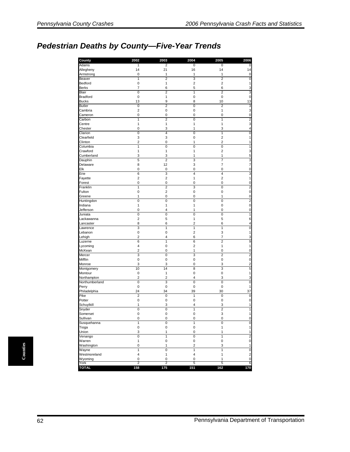## *Pedestrian Deaths by County—Five-Year Trends*

| County                          | 2002                      | 2003                    | 2004                    | 2005           | 2006                                   |
|---------------------------------|---------------------------|-------------------------|-------------------------|----------------|----------------------------------------|
| Adams                           | 1                         | 2                       | 0                       | 0              | 0                                      |
| Allegheny                       | 14                        | 21                      | 16                      | 14             | 14                                     |
| Armstrong                       | 0                         | 1                       | 1                       | 1              | 0                                      |
| Beaver                          | $\mathbf{1}$              | $\overline{2}$          | 3                       | $\overline{c}$ | 0                                      |
| Bedford                         | 0                         | 1                       | $\overline{2}$          | $\overline{c}$ | 1                                      |
| <b>Berks</b>                    | $\overline{7}$            | 6                       | 5                       | 6              | 3                                      |
| <b>Blair</b><br><b>Bradford</b> | $\overline{0}$            | $\overline{2}$          | $\overline{1}$          | $\overline{2}$ | 3                                      |
| <b>Bucks</b>                    | $\mathbf 0$<br>13         | $\mathbf{1}$<br>9       | 0<br>8                  | 0<br>10        | $\mathbf 0$<br>13                      |
| <b>Butler</b>                   | 0                         | $\overline{2}$          | 0                       | $\overline{2}$ | 3                                      |
| Cambria                         | $\overline{\mathbf{c}}$   | $\mathbf 0$             | 0                       | $\mathbf{1}$   |                                        |
| Cameron                         | 0                         | $\mathbf 0$             | 0                       | $\mathbf{0}$   | 3<br>0                                 |
| Carbon                          | 1                         | $\overline{2}$          | 0                       | 1              | $\overline{\mathbf{c}}$                |
| Centre                          | 1                         | 1                       | 1                       | 1              | 3                                      |
| Chester                         | 0                         | 3                       | 1                       | 3              | 4                                      |
| Clarion                         | $\overline{0}$            | $\overline{4}$          | $\overline{0}$          | $\overline{1}$ | $\overline{0}$                         |
| Clearfield                      | 3                         | 3                       | 0                       | $\overline{c}$ | 1                                      |
| Clinton                         | $\overline{2}$            | 0                       | 1                       | $\overline{2}$ | 1                                      |
| Columbia                        | $\overline{1}$            | $\overline{0}$          | 0                       | $\overline{0}$ | 1                                      |
| Crawford                        | 1                         | 1                       | 1                       | $\overline{c}$ | 3                                      |
| Cumberland                      | 3                         | 3                       | 1                       | 1              | 5                                      |
| Dauphin                         | 5                         | $\overline{\mathbf{c}}$ | 3                       | 7              | 3                                      |
| Delaware                        | 8                         | 12                      | 3                       | 7              | 7                                      |
| Elk                             | $\mathbf 0$               | $\mathbf 0$             | 0                       | 0              | 0                                      |
| Erie                            | 6                         | 3                       | 4                       | 4              | 3                                      |
| Fayette                         | $\overline{2}$            | $\overline{2}$          | 1                       | $\overline{c}$ | 1                                      |
| Forest                          | 0                         | $\mathbf 0$             | 0                       | 0              | 0                                      |
| Franklin                        | $\overline{1}$            | $\overline{2}$          | 3                       | $\overline{0}$ | 2                                      |
| Fulton                          | 0                         | $\overline{c}$          | 0                       | 0              | 0                                      |
| Greene                          | 1                         | 0                       | 0                       | $\mathbf{1}$   | 0                                      |
| Huntingdon                      | 0                         | 0                       | 0                       | $\mathbf{0}$   | $\overline{\mathbf{c}}$                |
| Indiana                         | $\mathbf{1}$              | 1                       | 1                       | 0              | 0                                      |
| Jefferson                       | 0                         | 4                       | 1                       | 0              | 0                                      |
| Juniata                         | $\overline{0}$            | $\overline{0}$          | $\overline{0}$          | $\overline{0}$ | 1                                      |
| Lackawanna                      | $\overline{2}$            | 5                       | 1                       | 5              | 6                                      |
| Lancaster                       | 8                         | 6                       | 2                       | 6              | 4                                      |
| Lawrence                        | 3                         | $\mathbf{1}$            | 1                       | 1              | 0                                      |
| Lebanon                         | 0                         | 0                       | 2                       | 3              | 1                                      |
| Lehigh                          | $\overline{2}$            | 4                       | 6                       | 7              | 3                                      |
| Luzerne                         | 6                         | 1                       | 6                       | $\overline{2}$ | 9                                      |
| Lycoming                        | 4                         | 0                       | $\overline{2}$          | 1              | 1                                      |
| McKean                          | $\overline{2}$            | 0                       | 1                       | 0              | 0                                      |
| Mercer                          | 3                         | 0                       | 3                       | $\overline{2}$ | 2                                      |
| Mifflin                         | 0                         | 0                       | 0                       | 0              | 0                                      |
| Monroe                          | 3                         | 3                       | 0                       | 3              | 2                                      |
| Montgomery                      | 10                        | 14                      | 8                       | 3              | 5                                      |
| Montour                         | 0                         | 1                       | 0                       | 0              | 1                                      |
| Northampton                     | $\overline{2}$            | $\overline{2}$          | 4                       | 3              | 3                                      |
| Northumberland                  | $\overline{0}$            | 3                       | $\overline{0}$          | $\overline{0}$ | $\overline{0}$                         |
| Perry                           | 0                         | 0                       | 0                       | 0              | 1                                      |
| Philadelphia                    | 24                        | 34                      | 39                      | 30             | 37                                     |
| Pike                            | $\overline{2}$            | $\overline{0}$          | 1                       | 0              | 0                                      |
| Potter                          | 0                         | 0                       | 0                       | 0              | 0                                      |
| Schuylkill                      | 1                         | 3                       | 4                       | 3              | 1                                      |
| Snyder                          | $\mathbf 0$               | 0                       | $\mathbf{1}$            | $\overline{2}$ | 1                                      |
| Somerset                        | 0                         | 0                       | 0                       | 3              |                                        |
| Sullivan                        | 0                         | 0                       | 0                       | 0              | 0                                      |
| Susquehanna                     | $\overline{1}$            | 0                       | $\overline{1}$          | 0              | $\pmb{0}$                              |
| Tioga                           | 0                         | $\pmb{0}$               | $\pmb{0}$               | $\mathbf{1}$   | $\mathbf{1}$                           |
| Union                           | 3                         | $\mathbf{1}$            | 0                       | 1              | 1                                      |
| Venango                         | $\overline{\mathfrak{o}}$ | $\overline{1}$          | 0                       | 1              | 2                                      |
| Warren                          | $\mathbf{1}$              | $\mathbf 0$             | $\mathbf 0$             | 0              | $\mathbf 0$                            |
| Washington                      | 0                         | 1                       | $\overline{\mathbf{c}}$ | 3              | $\mathbf{1}$                           |
| Wayne                           | $\overline{1}$            | $\overline{0}$          | $\mathbf{1}$            | 1              | $\overline{0}$                         |
| Westmoreland                    | 4                         | $\mathbf{1}$            | 4                       | $\mathbf{1}$   | $\overline{\mathbf{c}}$<br>$\mathbf 0$ |
| Wyoming<br>York                 | 0<br>$\overline{2}$       | $\pmb{0}$<br>2          | 0<br>5                  | 1<br>5         | 6                                      |
| <b>TOTAL</b>                    | 158                       | 175                     | 151                     | 162            | 170                                    |

Counties **Counties**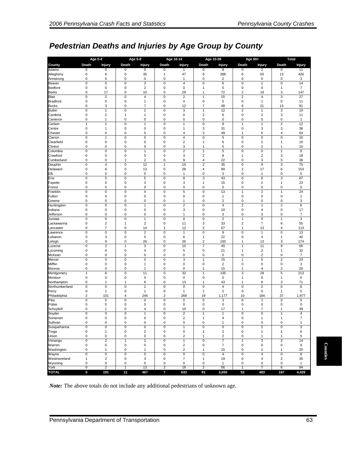# *Pedestrian Deaths and Injuries by Age Group by County*

|                         | <b>Age 0-4</b>                   |                               |                                        | Age 5-9                        |                                  | Age 10-14                     |                                  | Age 15-59                                          |                                | Age 60+                      |                                      | <b>Total</b>         |
|-------------------------|----------------------------------|-------------------------------|----------------------------------------|--------------------------------|----------------------------------|-------------------------------|----------------------------------|----------------------------------------------------|--------------------------------|------------------------------|--------------------------------------|----------------------|
| County                  | Death                            | <b>Injury</b>                 | Death                                  | <b>Injury</b>                  | Death                            | <b>Injury</b>                 | Death                            | <b>Injury</b>                                      | Death                          | <b>Injury</b>                | Death                                | Injury               |
| Adams                   | 0                                | 0                             | 0                                      | $\overline{0}$                 | 0                                | 1                             | 0                                | 8                                                  | 0                              | 2                            | $\overline{0}$                       | 11                   |
| Allegheny               | 0                                | $\,6$                         | 0                                      | 35                             | $\mathbf{1}$                     | 47                            | 6                                | 288                                                | 6                              | 50                           | 13                                   | 426                  |
| Armstrong               | 0                                | $\mathbf 0$                   | 0                                      | $\mathbf 0$                    | $\mathbf 0$                      | $\mathbf{1}$                  | 0                                | 2                                                  | 0                              | 0                            | $\pmb{0}$                            | 3                    |
| Beaver                  | $\overline{0}$<br>$\mathbf 0$    | $\overline{0}$<br>$\mathbf 0$ | $\overline{0}$<br>$\mathbf 0$          | 3<br>$\overline{2}$            | $\mathbf 0$<br>$\mathbf 0$       | $\overline{4}$<br>$\mathbf 0$ | 0<br>1                           | 6                                                  | $\pmb{0}$<br>$\pmb{0}$         | 1<br>0                       | $\pmb{0}$                            | 14<br>$\overline{7}$ |
| Bedford<br><b>Berks</b> | 0                                | 17                            | 0                                      | 10                             | $\mathbf 0$                      | 29                            | $\mathbf{1}$                     | 5<br>72                                            | $\overline{\mathbf{c}}$        | 19                           | 1<br>3                               | 147                  |
| Blair                   | 0                                | $\mathbf 2$                   | $\pmb{0}$                              | $\overline{4}$                 | $\mathbf 0$                      | $\sqrt{2}$                    | 1                                | 15                                                 | $\overline{c}$                 | 4                            | 3                                    | 27                   |
| <b>Bradford</b>         | $\mathbf 0$                      | $\mathbf 0$                   | $\mathbf 0$                            | $\overline{1}$                 | $\mathbf 0$                      | $\sqrt{4}$                    | $\mathbf 0$                      | 5                                                  | $\pmb{0}$                      | 1                            | $\pmb{0}$                            | 11                   |
| <b>Bucks</b>            | 0                                | 3                             | $\mathbf 0$                            | $\overline{7}$                 | $\mathbf 0$                      | 12                            | $\overline{7}$                   | 48                                                 | 6                              | 21                           | 13                                   | 91                   |
| <b>Butler</b>           | 0                                | 1                             | 0                                      | $\overline{2}$                 | $\mathbf 0$                      | 3                             | 1                                | 12                                                 | $\overline{\mathbf{c}}$        | 1                            | 3                                    | 19                   |
| Cambria                 | 0                                | $\mathbf 2$                   | 1                                      | $\overline{1}$                 | $\mathbf 0$                      | $\mathbf 0$                   | $\overline{\mathbf{c}}$          | 6                                                  | $\pmb{0}$                      | $\overline{\mathbf{c}}$      | 3                                    | 11                   |
| Cameron<br>Carbon       | 0<br>1                           | 1<br>$\mathbf{1}$             | 0<br>0                                 | $\mathbf 0$<br>$\mathbf{1}$    | $\mathbf 0$<br>$\mathbf 0$       | 0<br>$\mathbf{1}$             | $\mathbf 0$<br>0                 | 0<br>8                                             | 0<br>1                         | 0<br>1                       | $\pmb{0}$<br>$\overline{\mathbf{c}}$ | 1<br>12              |
| Centre                  | 0                                | $\mathbf{1}$                  | 0                                      | $\mathbf 0$                    | $\mathbf 0$                      | $\overline{1}$                | 3                                | 31                                                 | $\pmb{0}$                      | 3                            | 3                                    | 36                   |
| Chester                 | 0                                | $\mathbf 0$                   | 0                                      | 5                              | $\mathbf 0$                      | 4                             | 3                                | 49                                                 | $\mathbf{1}$                   | 6                            | $\overline{\mathbf{4}}$              | 64                   |
| Clarion                 | $\mathbf 0$                      | $\mathbf{1}$                  | 0                                      | $\mathbf 0$                    | $\mathbf 0$                      | $\overline{4}$                | 0                                | 5                                                  | $\mathbf 0$                    | 0                            | $\pmb{0}$                            | 10                   |
| Clearfield              | 0                                | $\mathbf 0$                   | 0                                      | $\mathbf 0$                    | $\mathbf 0$                      | $\overline{2}$                | 1                                | 6                                                  | 0                              | $\overline{\mathbf{c}}$      | $\mathbf{1}$                         | 10                   |
| Clinton                 | 0                                | $\pmb{0}$                     | 0                                      | $\pmb{0}$                      | $\mathbf 0$                      | 3                             | 1                                | 5                                                  | $\pmb{0}$                      | $\overline{\mathbf{c}}$      | $\mathbf{1}$                         | 10                   |
| Columbia                | $\overline{0}$                   | $\overline{0}$                | $\overline{0}$                         | $\overline{1}$                 | $\overline{0}$                   | $\overline{2}$                | 1                                | 5                                                  | $\overline{0}$                 | $\overline{0}$               | $\mathbf{1}$                         | 8                    |
| Crawford<br>Cumberland  | 0<br>0                           | $\mathbf 0$<br>$\pmb{0}$      | 0<br>1                                 | 5<br>$\overline{c}$            | $\mathbf 0$<br>$\pmb{0}$         | 3<br>9                        | $\overline{\mathbf{c}}$<br>4     | 8<br>22                                            | 1<br>0                         | 2<br>3                       | 3<br>5                               | 18<br>36             |
| Dauphin                 | $\overline{0}$                   | 4                             | $\overline{0}$                         | 12                             | 1                                | 15                            | $\overline{2}$                   | 35                                                 | $\mathbf 0$                    | 9                            | 3                                    | 75                   |
| Delaware                | 0                                | 6                             | 0                                      | 13                             | $\mathbf 0$                      | 28                            | 4                                | 89                                                 | $\overline{\mathbf{c}}$        | 17                           | 6                                    | 153                  |
| Elk                     | 0                                | $\pmb{0}$                     | 0                                      | $\pmb{0}$                      | $\mathbf 0$                      | $\mathbf{1}$                  | $\mathbf 0$                      | 3                                                  | $\pmb{0}$                      | 1                            | $\pmb{0}$                            | 5                    |
| Erie                    | 0                                | 5                             | 0                                      | 5                              | $\mathbf 0$                      | 8                             | 3                                | 43                                                 | 0                              | 6                            | 3                                    | 67                   |
| Fayette                 | 0                                | $\mathbf 0$                   | 0                                      | 3                              | $\mathbf 0$                      | 3                             | 1                                | 15                                                 | 0                              | $\overline{2}$               | $\mathbf{1}$                         | 23                   |
| Forest                  | $\mathbf 0$                      | $\mathbf 0$                   | 0                                      | $\mathbf 0$                    | 0                                | $\mathbf 0$                   | 0                                | 0                                                  | 0                              | 0                            | $\pmb{0}$                            | $\pmb{0}$            |
| Franklin<br>Fulton      | 0<br>0                           | $\pmb{0}$<br>$\mathbf 0$      | 0<br>0                                 | $\overline{4}$<br>$\pmb{0}$    | $\mathbf 0$<br>$\mathbf 0$       | 5<br>$\mathbf 0$              | $\mathbf 0$<br>0                 | 13<br>1                                            | 1<br>0                         | $\overline{\mathbf{c}}$<br>0 | 1<br>$\pmb{0}$                       | 24<br>$\mathbf{1}$   |
| Greene                  | 0                                | $\mathbf 0$                   | 0                                      | $\mathbf 0$                    | $\mathbf 0$                      | $\mathbf{1}$                  | $\mathbf 0$                      | $\overline{2}$                                     | 0                              | 0                            | $\pmb{0}$                            | 3                    |
| Huntingdon              | 0                                | $\mathbf 0$                   | 0                                      | $\mathbf{1}$                   | $\mathbf 0$                      | $\overline{2}$                | $\mathbf 0$                      | 4                                                  | $\overline{2}$                 | 1                            | $\overline{2}$                       | 8                    |
| Indiana                 | 0                                | $\mathbf 0$                   | $\pmb{0}$                              | $\pmb{0}$                      | $\mathbf 0$                      | 3                             | 0                                | 10                                                 | $\pmb{0}$                      | 4                            | $\pmb{0}$                            | 17                   |
| Jefferson               | 0                                | $\mathbf 0$                   | 0                                      | $\mathbf 0$                    | $\mathbf 0$                      | 1                             | 0                                | 3                                                  | 0                              | 3                            | $\pmb{0}$                            | 7                    |
| Juniata                 | $\mathbf 0$                      | $\mathbf 0$                   | 0                                      | $\overline{1}$                 | $\mathbf 0$                      | $\mathbf 0$                   | $\mathbf 0$                      | $\overline{c}$                                     | $\mathbf{1}$                   | 0                            | $\mathbf{1}$                         | 3                    |
| Lackawanna              | 0                                | $\overline{\mathbf{c}}$       | 1                                      | $\overline{2}$                 | $\mathbf 0$                      | 11                            | 3                                | 33                                                 | $\overline{\mathbf{c}}$        | 7                            | 6                                    | 55                   |
| Lancaster<br>Lawrence   | 0<br>$\overline{0}$              | 7<br>$\overline{0}$           | 0<br>$\overline{0}$                    | 14<br>$\overline{2}$           | $\mathbf{1}$<br>$\overline{0}$   | 12<br>$\overline{1}$          | $\overline{2}$<br>$\overline{0}$ | 67<br>$\overline{9}$                               | $\mathbf{1}$<br>$\overline{0}$ | 13<br>1                      | $\overline{4}$<br>$\overline{0}$     | 113<br>13            |
| Lebanon                 | 0                                | 3                             | 0                                      | 5                              | $\mathbf 0$                      | 6                             | 1                                | 22                                                 | 0                              | 4                            | 1                                    | 40                   |
| Lehigh                  | 0                                | 9                             | 0                                      | 26                             | 0                                | 26                            | $\overline{\mathbf{c}}$          | 100                                                | 1                              | 13                           | 3                                    | 174                  |
| Luzerne                 | $\mathbf 0$                      | $\overline{2}$                | 1                                      | 3                              | $\mathbf 0$                      | 10                            | 7                                | 40                                                 | $\mathbf{1}$                   | 11                           | 9                                    | 66                   |
| Lycoming                | 0                                | $\mathbf 0$                   | 0                                      | $\overline{4}$                 | $\mathbf 0$                      | 5                             | 0                                | 21                                                 | 1                              | 2                            | $\mathbf{1}$                         | 32                   |
| McKean                  | 0                                | 0                             | 0                                      | $\mathbf 0$                    | 0                                | $\mathbf 0$                   | 0                                | 5                                                  | 0                              | $\overline{2}$               | $\pmb{0}$                            | 7                    |
| Mercer                  | $\overline{0}$                   | $\overline{0}$                | $\mathbf 0$                            | $\mathbf 0$                    | $\mathbf 0$                      | 3                             | 1                                | 15                                                 | $\mathbf{1}$                   | 5                            | $\overline{c}$                       | 23                   |
| Mifflin<br>Monroe       | $\mathbf 0$<br>0                 | $\mathbf 0$<br>0              | $\mathbf 0$<br>0                       | $\overline{1}$<br>$\mathbf{1}$ | $\mathbf 0$<br>$\mathbf 0$       | $\mathbf 0$<br>$\mathbf 0$    | 0<br>1                           | $\overline{2}$<br>15                               | $\pmb{0}$<br>1                 | 0<br>4                       | $\pmb{0}$<br>2                       | 3<br>20              |
| Montgomery              | 1                                | 6                             | 0                                      | 11                             | $\mathbf 0$                      | 32                            | 1                                | 135                                                | 3                              | 29                           | 5                                    | 213                  |
| Montour                 | 0                                | $\pmb{0}$                     | 0                                      | $\pmb{0}$                      | $\mathbf 0$                      | $\mathbf 0$                   | 0                                | $\mathbf 0$                                        | 1                              | $\pmb{0}$                    | $\mathbf{1}$                         | $\pmb{0}$            |
| Northampton             | 0                                | $\mathbf{1}$                  | $\mathbf{1}$                           | 6                              | $\mathbf 0$                      | 13                            | $\mathbf{1}$                     | 43                                                 | 1                              | 8                            | 3                                    | 71                   |
| Northumberland          | 0                                | $\pmb{0}$                     | 0                                      | $\overline{2}$                 | $\mathbf 0$                      | 0                             | $\mathbf 0$                      | 4                                                  | 0                              | 2                            | $\pmb{0}$                            | 8                    |
| Perry                   | 0                                | $\mathbf{1}$                  | $\pmb{0}$                              | $\mathbf{1}$                   | $\mathbf 0$                      | $\mathbf{1}$                  | 1                                | 2                                                  | $\pmb{0}$                      | $\pmb{0}$                    | $\mathbf{1}$                         | 5                    |
| Philadelphia<br>Pike    | $\overline{2}$<br>$\overline{0}$ | 101<br>$\mathbf 0$            | 4<br>$\overline{0}$                    | 246                            | $\overline{2}$<br>$\overline{0}$ | 269<br>$\mathbf 0$            | 19<br>0                          | 1,177                                              | 10<br>$\pmb{0}$                | 184<br>$\overline{2}$        | 37<br>$\pmb{0}$                      | 1,977                |
| Potter                  | 0                                | $\mathbf 0$                   | 0                                      | $\pmb{0}$<br>$\mathbf 0$       | $\mathbf 0$                      | $\mathbf 0$                   | $\mathbf 0$                      | 3<br>0                                             | $\pmb{0}$                      | $\pmb{0}$                    | $\pmb{0}$                            | 5<br>$\pmb{0}$       |
| Schuylkill              | $\Omega$                         | $\mathbf{1}$                  | $\mathbf 0$                            | $\overline{4}$                 | $\mathbf 0$                      | 10                            | $\Omega$                         | 17                                                 | $\mathbf{1}$                   | $\overline{7}$               | 1                                    | 39                   |
| Snyder                  | 0                                | $\pmb{0}$                     | 0                                      | $\mathbf{1}$                   | $\pmb{0}$                        | $\overline{2}$                | 1                                | 1                                                  | 0                              | 0                            | 1                                    | 4                    |
| Somerset                | $\mathbf 0$                      | $\pmb{0}$                     | $\pmb{0}$                              | $\mathbf 0$                    | $\pmb{0}$                        | $\overline{2}$                | $\mathbf{1}$                     | 4                                                  | $\pmb{0}$                      | $\mathbf{1}$                 | $\mathbf{1}$                         | $\overline{7}$       |
| Sullivan                | 0                                | $\pmb{0}$                     | $\mathbf 0$                            | $\pmb{0}$                      | $\pmb{0}$                        | $\boldsymbol{0}$              | $\pmb{0}$                        | 1                                                  | 0                              | 0                            | $\pmb{0}$                            | 1                    |
| Susquehanna             | $\overline{0}$                   | $\pmb{0}$                     | $\pmb{0}$                              | $\overline{0}$                 | $\mathbf 0$                      | $\mathbf{1}$                  | $\mathbf 0$                      | 0                                                  | 0                              | $\overline{2}$               | $\pmb{0}$                            | 3                    |
| Tioga<br>Union          | $\pmb{0}$<br>$\mathbf 0$         | $\mathbf{1}$<br>$\pmb{0}$     | $\pmb{0}$<br>$\mathbf 0$               | $\sqrt{2}$<br>$\pmb{0}$        | $\mathbf 0$<br>$\pmb{0}$         | $\mathbf 0$<br>$\overline{2}$ | $\mathbf{1}$<br>1                | $\overline{\mathbf{c}}$<br>$\overline{\mathbf{c}}$ | 0<br>0                         | $\mathbf{1}$<br>$\mathbf{1}$ | $\mathbf{1}$<br>$\mathbf{1}$         | 6<br>5               |
| Venango                 | $\pmb{0}$                        | $\overline{c}$                | $\mathbf{1}$                           | $\mathbf{1}$                   | $\mathbf 0$                      | $\mathbf{1}$                  | $\mathbf 0$                      | $\overline{7}$                                     | $\mathbf{1}$                   | 3                            | $\overline{c}$                       | 14                   |
| Warren                  | $\pmb{0}$                        | $\pmb{0}$                     | $\pmb{0}$                              | $\mathbf 0$                    | $\mathbf 0$                      | $\sqrt{2}$                    | $\mathbf 0$                      | $\overline{7}$                                     | $\mathsf 0$                    | $\pmb{0}$                    | $\mathsf{O}\xspace$                  | 9                    |
| Washington              | $\mathbf 0$                      | 1                             | $\mathbf 0$                            | $\mathbf{1}$                   | $\pmb{0}$                        | $\sqrt{2}$                    | $\mathbf{1}$                     | 15                                                 | 0                              | $\mathbf{1}$                 | $\mathbf{1}$                         | 20                   |
| Wayne                   | 0                                | $\overline{0}$                | $\overline{0}$                         | $\overline{0}$                 | $\mathbf 0$                      | $\mathbf 0$                   | 0                                | 4                                                  | 0                              | 4                            | $\pmb{0}$                            | 8                    |
| Westmoreland            | $\mathbf{1}$                     | $\sqrt{2}$                    | $\pmb{0}$                              | 3                              | $\pmb{0}$                        | $\overline{7}$                | $\mathbf{1}$                     | 19                                                 | 0                              | 4                            | $\overline{c}$                       | 35                   |
| Wyoming<br>York         | $\pmb{0}$<br>$\overline{0}$      | $\pmb{0}$<br>$\overline{2}$   | $\mathbf 0$<br>$\overline{\mathbf{1}}$ | $\mathbf 0$<br>$\overline{13}$ | $\mathbf 0$<br>$\overline{2}$    | $\mathbf 0$<br>16             | $\mathbf 0$<br>$\overline{2}$    | $\mathbf{1}$<br>56                                 | $\pmb{0}$<br>1                 | 0<br>7                       | $\pmb{0}$<br>6                       | $\mathbf{1}$<br>94   |
| <b>TOTAL</b>            | 5                                | 191                           | 11                                     | 467                            | 7                                | 633                           | 91                               | 2,655                                              | 53                             | 483                          | 167                                  | 4,429                |

**Counties Counties** 

*Note:* The above totals do not include any additional pedestrians of unknown age.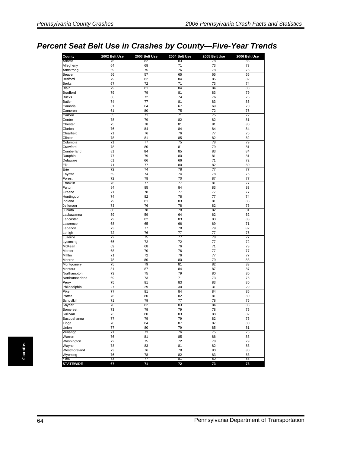# *Percent Seat Belt Use in Crashes by County—Five-Year Trends*

| County                        | 2002 Belt Use   | 2003 Belt Use   | 2004 Belt Use   | 2005 Belt Use | 2006 Belt Use   |
|-------------------------------|-----------------|-----------------|-----------------|---------------|-----------------|
| Adams                         | 75              | 82              | 83              | 78            | 83              |
| Allegheny                     | 64              | 68              | 71              | 73            | 73              |
| Armstrong                     | 69              | 75              | 76              | 78            | 76              |
| Beaver                        | 56              | 57              | 65              | 65            | 66              |
| <b>Bedford</b>                | 79              | 82              | 84              | 85            | 82              |
| <b>Berks</b>                  | 67              | 72              | 71              | 73            | 74              |
| <b>Blair</b>                  | 79              | 81              | 84              | 84            | 83              |
| <b>Bradford</b>               | 79              | 79              | 81              | 83            | 79              |
| <b>Bucks</b>                  | 68              | 72              | 74              | 76            | 76              |
| <b>Butler</b>                 | 74              | $\overline{77}$ | 81              | 83            | 85              |
| Cambria                       | 61              | 64              | 67              | 69            | 70              |
| Cameron                       | 61              | 80              | 75              | 72            | 75              |
| Carbon                        | 65              | 71              | 71              | 75            | 72              |
| Centre                        | 78              | 79              | 82              | 82            | 81              |
| Chester                       | 75              | 78              | 81              | 81            | 80              |
| Clarion                       | 76              | 84              | 84              | 84            | 84              |
| Clearfield                    | 71              | 76              | 76              | 77            | 76              |
| Clinton                       | 78              | 81              | 85              | 82            | 82              |
| Columbia                      | $\overline{71}$ | $\overline{77}$ | $\overline{75}$ | 78            | 79              |
| Crawford                      | 78              | 80              | 81              | 79            | 81              |
| Cumberland                    | 81              | 84              | 85              | 83            | 84              |
| Dauphin                       | 77              | 79              | 80              | 81            | 81              |
| Delaware                      | 61              | 66              | 66              | 71            | 72              |
| Elk                           | 71              | 77              | 80              | 82            | 80              |
| Erie                          | 72              | 74              | 78              | 77            | 77              |
| Fayette                       | 69              | 74              | 74              | 78            | 76              |
| Forest                        | 72              | 78              | 70              | 87            | 77              |
| Franklin                      | 76              | 77              | $\overline{77}$ | 81            | $\overline{77}$ |
| Fulton                        | 84              | 85              | 84              | 83            | 83              |
| Greene                        | 71              | 78              | 77              | 77            | 77              |
| Huntingdon                    | 74              | 82              | 78              | 77            | 74              |
| Indiana                       | 79              | 81              | 83              | 81            | 83              |
| Jefferson                     | 73              | 76              | 78              | 82            | 76              |
| Juniata                       | 80              | 78              | 78              | 82            | 81              |
| Lackawanna                    | 59              | 59              | 64              | 62            | 62              |
| Lancaster                     | 79              | 82              | 83              | 83            | 83              |
| Lawrence                      | 68              | 65              | 66              | 69            | $\overline{71}$ |
| Lebanon                       | 73              | 77              | 78              | 79            | 82              |
| Lehigh                        | 72              | 76              | 77              | 77            | 76              |
| Luzerne                       | 72              | 75              | 77              | 78            | 77              |
| Lycoming                      | 65              | 72              | 72              | 77            | 72              |
| McKean                        | 69              | 68              | 76              | 71            | 73              |
| Mercer                        | 68              | 70              | 76              | 77            | 77              |
| Mifflin                       | 71              | 72              | 76              | 77            | 77              |
| Monroe                        | 78<br>75        | 80<br>79        | 80              | 79            | 83              |
| Montgomery                    |                 |                 | 81              | 82            | 83              |
| Montour                       | 81              | 87              | 84              | 87            | 87              |
| Northampton<br>Northumberland | 73<br>69        | 75<br>73        | 79<br>71        | 80<br>73      | 80<br>75        |
| Perry                         | 75              | 81              | 83              | 83            | 80              |
| Philadelphia                  | 27              | 29              | 30              | 31            | 29              |
| Pike                          | 77              | 81              | 84              | 84            | 85              |
| Potter                        | 76              | 80              | 82              | 81            | 80              |
| Schuvlkill                    | 71              | 79              | 77              | 78            | 76              |
| Snyder                        | 76              | 82              | 83              | 84            | 83              |
|                               |                 |                 |                 |               |                 |
| Somerset<br>Sullivan          | 73              | 79<br>80        | 79<br>83        | 78<br>88      | 75<br>82        |
| Susquehanna                   | 73<br>77        | 79              | 79              | 82            | 76              |
| Tioga                         | 78              | 84              | 87              | 87            | 80              |
| Union                         | 77              | 80              | 79              | 85            | 81              |
| Venango                       | 71              | 73              | 76              | 75            | 76              |
| Warren                        | 76              | 81              | 85              | 86            | 83              |
| Washington                    | 72              | 75              | 72              | 78            | 79              |
| Wayne                         | 78              | 83              | 81              | 82            | 83              |
| Westmoreland                  | 73              | 76              | 78              | 80            | 80              |
|                               | 76              | 78              | 82              | 83            | 83              |
| Wyoming<br>York               | 73              | 77              | 81              | 80            | 83              |
| <b>STATEWIDE</b>              | 67              | 71              | 72              | 73            | 73              |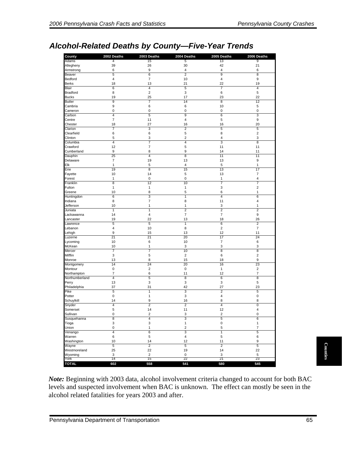# *Alcohol-Related Deaths by County—Five-Year Trends*

| County          | 2002 Deaths             | 2003 Deaths             | 2004 Deaths             | 2005 Deaths             | 2006 Deaths             |
|-----------------|-------------------------|-------------------------|-------------------------|-------------------------|-------------------------|
| Adams           | 4                       | 15                      | 5                       | 13                      | 9                       |
| Allegheny       | 39                      | 26                      | 30                      | 42                      | 21                      |
| Armstrong       | 6                       | $\boldsymbol{9}$        | $\overline{4}$          | 4                       | 6                       |
| Beaver          | 5                       | 6                       | $\overline{2}$          | 9                       | 8                       |
| Bedford         | $\overline{\mathbf{4}}$ | $\overline{7}$          | 10                      | 4                       | 9                       |
| <b>Berks</b>    | 18                      | 13                      | 21                      | 22                      | 19                      |
| Blair           | $\overline{6}$          | $\overline{\mathbf{4}}$ | $\overline{5}$          | $\overline{7}$          | $\overline{\mathbf{4}}$ |
| <b>Bradford</b> | 8                       | $\overline{2}$          | 3                       | 6                       | 5                       |
| <b>Bucks</b>    | 19                      | 25                      | 17                      | 23                      | 22                      |
| <b>Butler</b>   | 9                       | 7                       | 14                      | 8                       | 12                      |
| Cambria         | 9                       | 6                       | 6                       | 10                      | 5                       |
| Cameron         | 0                       | $\mathbf 0$             | 0                       | $\pmb{0}$               | $\mathbf 0$             |
| Carbon          | 4                       | 5                       | $\overline{9}$          | 6                       | 3                       |
| Centre          | $\overline{7}$          | 11                      | 4                       | 5                       | 9                       |
| Chester         | 18                      | 27                      | 16                      | 16                      | 20                      |
| Clarion         | $\overline{7}$          | $\sqrt{3}$              | $\overline{c}$          | 5                       | 5                       |
| Clearfield      | 6                       | 6                       | 5                       | 8                       | $\overline{2}$          |
| Clinton         | 5                       | 3                       | $\overline{2}$          | 4                       | 3                       |
| Columbia        | $\overline{4}$          | 7                       | 4                       | $\overline{\mathbf{3}}$ | 8                       |
| Crawford        | 12                      | $\overline{7}$          | 5                       | 11                      | 11                      |
| Cumberland      | 9                       | 8                       | 9                       | 14                      | 11                      |
| Dauphin         | 25                      | 4                       | 8                       | 11                      | 11                      |
| Delaware        | $\overline{\mathbf{7}}$ | 19                      | 13                      | 13                      | 9                       |
| Elk             | $\mathbf{1}$            | 5                       | 4                       | 5                       | $\mathbf{1}$            |
| Erie            | 19                      | 8                       | 15                      | 13                      | 17                      |
| Fayette         | 10                      | 14                      | 5                       | 13                      | 7                       |
| Forest          | $\mathbf{1}$            | $\mathbf 0$             | $\mathbf 0$             | $\mathbf{1}$            | $\overline{\mathbf{4}}$ |
| Franklin        | 8                       | 12                      | 10                      | 7                       | 7                       |
| Fulton          | $\mathbf{1}$            | 1                       | $\mathbf{1}$            | 3                       | $\overline{\mathbf{c}}$ |
| Greene          | 10                      | 8                       | 5                       | 6                       | $\mathbf{1}$            |
| Huntingdon      | 6                       | 3                       | $\mathbf{1}$            | $\overline{4}$          | 6                       |
| Indiana         | 8                       | $\overline{7}$          | 8                       | 11                      | $\overline{4}$          |
| Jefferson       | 10                      | 1                       | $\mathbf{1}$            | 3                       | 1                       |
| Juniata         | $\overline{1}$          | 1                       | $\overline{2}$          | $\overline{\mathbf{c}}$ | $\overline{c}$          |
| Lackawanna      | 14                      | $\overline{4}$          | $\overline{7}$          | $\overline{7}$          | 9                       |
| Lancaster       | 19                      | 22                      | 13                      | 18                      | 26                      |
| Lawrence        | 5                       | 5                       | $\mathbf{1}$            | 6                       | $\overline{\mathbf{c}}$ |
| Lebanon         | $\overline{\mathbf{4}}$ | 10                      | 8                       | $\overline{2}$          | $\overline{7}$          |
| Lehigh          | 9                       | 15                      | 13                      | 12                      | 11                      |
| Luzerne         | 21                      | 21                      | 20                      | 17                      | 24                      |
| Lycoming        | 10                      | 6                       | 10                      | $\overline{7}$          | 6                       |
| McKean          | 10                      | 1                       | 3                       | 3                       | 3                       |
| Mercer          | $\overline{7}$          | $\overline{7}$          | 10                      | $\overline{8}$          | 8                       |
| Mifflin         | 3                       | 5                       | $\overline{2}$          | 6                       | $\overline{\mathbf{c}}$ |
| Monroe          | 13                      | 8                       | 15                      | 18                      | 9                       |
| Montgomery      | 14                      | 24                      | 20                      | 16                      | 23                      |
| Montour         | $\mathbf 0$             | $\sqrt{2}$              | 0                       | $\mathbf{1}$            | $\overline{c}$          |
| Northampton     | 7                       | 6                       | 11                      | 12                      | 7                       |
| Northumberland  | $\overline{4}$          | 5                       | 8                       | 6                       | 8                       |
| Perry           | 13                      | 3                       | 3                       | 3                       | 5                       |
| Philadelphia    | 37                      | 31                      | 42                      | 27                      | 23                      |
| Pike            | $\overline{5}$          | $\overline{1}$          | 3                       | $\overline{2}$          | $\overline{5}$          |
| Potter          | $\mathbf 0$             | $\mathbf{1}$            | 3                       | 4                       | $\mathbf 0$             |
| Schuylkill      | 14                      | 9                       | 16                      | 8                       | 8                       |
| Snyder          | 4                       | 2                       | $\overline{2}$          | 4                       | 0                       |
| Somerset        | 5                       | 14                      | 11                      | 12                      | 4                       |
| Sullivan        | 0                       | $\overline{\mathbf{c}}$ | 3                       | 2                       | 0                       |
| Susquehanna     | 8                       | $\overline{\mathbf{4}}$ | 3                       | 5                       | 6                       |
| Tioga           | 3                       | 3                       | $\mathbf{1}$            | 0                       | $\mathbf{1}$            |
| Union           | 0                       | $\mathbf{1}$            | $\overline{\mathbf{c}}$ | 5                       | $\overline{7}$          |
| Venango         | $\overline{4}$          | $\overline{6}$          | $\overline{3}$          | $\overline{1}$          | $\overline{5}$          |
| Warren          | 6                       | 5                       | 4                       | 5                       | 6                       |
| Washington      | 10                      | 14                      | 12                      | 11                      | 9                       |
| Wayne           | $\overline{5}$          | $\overline{2}$          | $\overline{5}$          | $\overline{2}$          | $\overline{5}$          |
| Westmoreland    | 25                      | 22                      | 19                      | 14                      | 22                      |
| Wyoming         | 3                       | $\sqrt{2}$              | 0                       | 3                       | 5                       |
| York            | $\overline{14}$         | 15                      | 22                      | 21                      | 23                      |
| <b>TOTAL</b>    | 602                     | 558                     | 541                     | 580                     | 545                     |

Expressed and the method of Transportation<br>
Pennsylvania Department of Transportation<br>
Pennsylvania Department of Transportation<br>
Pennsylvania Department of Transportation<br>
Counties **Counties and Superfunction**<br>
Pennsylvan *Note:* Beginning with 2003 data, alcohol involvement criteria changed to account for both BAC levels and suspected involvement when BAC is unknown. The effect can mostly be seen in the alcohol related fatalities for years 2003 and after.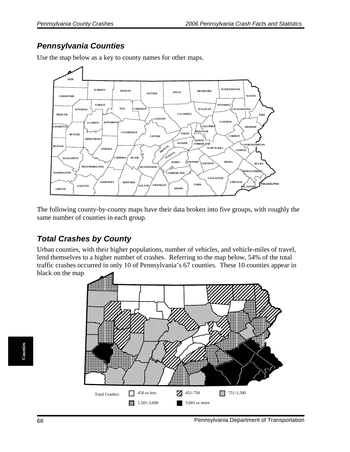#### *Pennsylvania Counties*



Use the map below as a key to county names for other maps.

The following county-by-county maps have their data broken into five groups, with roughly the same number of counties in each group.

### *Total Crashes by County*

Urban counties, with their higher populations, number of vehicles, and vehicle-miles of travel, lend themselves to a higher number of crashes. Referring to the map below, 54% of the total traffic crashes occurred in only 10 of Pennsylvania's 67 counties. These 10 counties appear in black on the map.

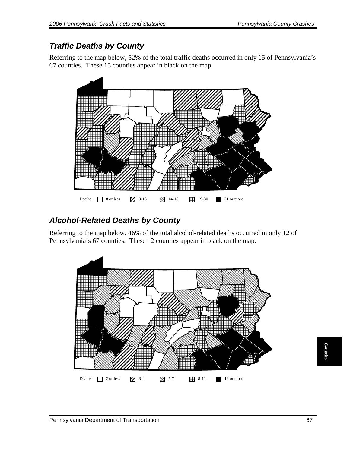# *Traffic Deaths by County*

Referring to the map below, 52% of the total traffic deaths occurred in only 15 of Pennsylvania's 67 counties. These 15 counties appear in black on the map.



# *Alcohol-Related Deaths by County*

Referring to the map below, 46% of the total alcohol-related deaths occurred in only 12 of Pennsylvania's 67 counties. These 12 counties appear in black on the map.

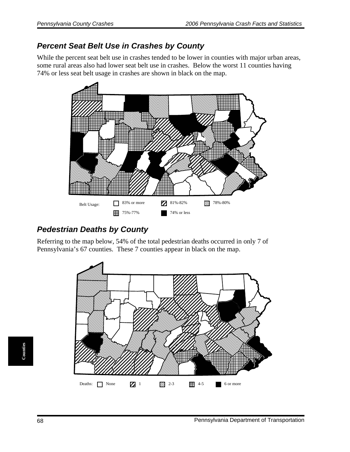#### *Percent Seat Belt Use in Crashes by County*

While the percent seat belt use in crashes tended to be lower in counties with major urban areas, some rural areas also had lower seat belt use in crashes. Below the worst 11 counties having 74% or less seat belt usage in crashes are shown in black on the map.



### *Pedestrian Deaths by County*

Referring to the map below, 54% of the total pedestrian deaths occurred in only 7 of Pennsylvania's 67 counties. These 7 counties appear in black on the map.

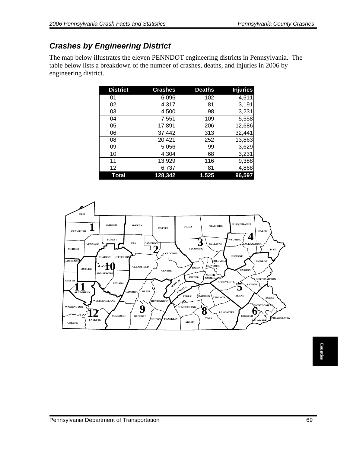## *Crashes by Engineering District*

The map below illustrates the eleven PENNDOT engineering districts in Pennsylvania. The table below lists a breakdown of the number of crashes, deaths, and injuries in 2006 by engineering district.

| <b>District</b> | <b>Crashes</b> | <b>Deaths</b> | <b>Injuries</b> |
|-----------------|----------------|---------------|-----------------|
| 01              | 6,096          | 102           | 4,511           |
| 02              | 4,317          | 81            | 3,191           |
| 03              | 4,500          | 98            | 3,231           |
| 04              | 7,551          | 109           | 5,558           |
| 05              | 17,891         | 206           | 12,686          |
| 06              | 37,442         | 313           | 32,441          |
| 08              | 20,421         | 252           | 13,863          |
| 09              | 5,056          | 99            | 3,629           |
| 10              | 4,304          | 68            | 3,231           |
| 11              | 13,929         | 116           | 9,388           |
| 12              | 6,737          | 81            | 4,868           |
| Total           | 128,342        | 1.525         | 96,597          |

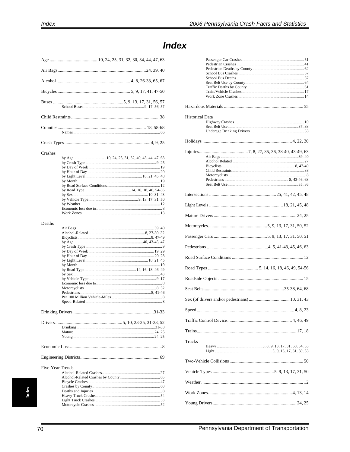#### Buses .... Counties Crashes  $\ldots$  20 by Month............. . . . . . . . 12 Deaths Drivers. Five-Year Trends Alcohol-Related Crashes......

### **Index**

| <b>Historical Data</b> |  |
|------------------------|--|
|                        |  |
|                        |  |
|                        |  |
|                        |  |
|                        |  |
|                        |  |
|                        |  |
|                        |  |
|                        |  |
|                        |  |
|                        |  |
|                        |  |
|                        |  |
|                        |  |
|                        |  |
|                        |  |
| Trucks                 |  |
|                        |  |
|                        |  |
|                        |  |
|                        |  |
|                        |  |

 $ndex$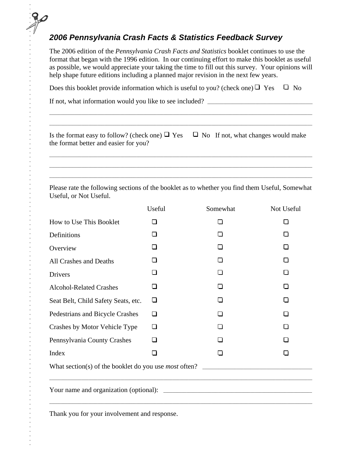## *2006 Pennsylvania Crash Facts & Statistics Feedback Survey*

The 2006 edition of the *Pennsylvania Crash Facts and Statistics* booklet continues to use the format that began with the 1996 edition. In our continuing effort to make this booklet as useful as possible, we would appreciate your taking the time to fill out this survey. Your opinions will help shape future editions including a planned major revision in the next few years.

Does this booklet provide information which is useful to you? (check one)  $\Box$  Yes  $\Box$  No

If not, what information would you like to see included? \_\_\_\_\_\_\_\_\_\_\_\_\_\_\_\_\_\_\_\_\_\_\_\_\_\_\_\_\_\_\_\_\_\_\_\_\_\_\_\_\_\_\_\_\_\_

| Is the format easy to follow? (check one) $\Box$ Yes $\Box$ No If not, what changes would make |  |
|------------------------------------------------------------------------------------------------|--|
| the format better and easier for you?                                                          |  |

\_\_\_\_\_\_\_\_\_\_\_\_\_\_\_\_\_\_\_\_\_\_\_\_\_\_\_\_\_\_\_\_\_\_\_\_\_\_\_\_\_\_\_\_\_\_\_\_\_\_\_\_\_\_\_\_\_\_\_\_\_\_\_\_\_\_\_\_\_\_\_\_\_\_\_\_\_\_\_\_\_\_\_\_\_\_\_\_\_\_\_\_\_\_\_\_\_\_\_\_\_\_\_\_\_\_\_\_\_\_\_\_\_\_\_ \_\_\_\_\_\_\_\_\_\_\_\_\_\_\_\_\_\_\_\_\_\_\_\_\_\_\_\_\_\_\_\_\_\_\_\_\_\_\_\_\_\_\_\_\_\_\_\_\_\_\_\_\_\_\_\_\_\_\_\_\_\_\_\_\_\_\_\_\_\_\_\_\_\_\_\_\_\_\_\_\_\_\_\_\_\_\_\_\_\_\_\_\_\_\_\_\_\_\_\_\_\_\_\_\_\_\_\_\_\_\_\_\_\_\_ \_\_\_\_\_\_\_\_\_\_\_\_\_\_\_\_\_\_\_\_\_\_\_\_\_\_\_\_\_\_\_\_\_\_\_\_\_\_\_\_\_\_\_\_\_\_\_\_\_\_\_\_\_\_\_\_\_\_\_\_\_\_\_\_\_\_\_\_\_\_\_\_\_\_\_\_\_\_\_\_\_\_\_\_\_\_\_\_\_\_\_\_\_\_\_\_\_\_\_\_\_\_\_\_\_\_\_\_\_\_\_\_\_\_\_

 $\_$  , and the set of the set of the set of the set of the set of the set of the set of the set of the set of the set of the set of the set of the set of the set of the set of the set of the set of the set of the set of th  $\_$  , and the set of the set of the set of the set of the set of the set of the set of the set of the set of the set of the set of the set of the set of the set of the set of the set of the set of the set of the set of th

Please rate the following sections of the booklet as to whether you find them Useful, Somewhat Useful, or Not Useful.

|                                     | Useful | Somewhat | Not Useful   |  |
|-------------------------------------|--------|----------|--------------|--|
| How to Use This Booklet             | ◻      | □        | П            |  |
| Definitions                         | П      | П        |              |  |
| Overview                            | П      | П        | П            |  |
| All Crashes and Deaths              | □      | П        | l I          |  |
| Drivers                             | □      | □        |              |  |
| <b>Alcohol-Related Crashes</b>      | □      | П        | $\mathsf{I}$ |  |
| Seat Belt, Child Safety Seats, etc. | $\Box$ | П        | П            |  |
| Pedestrians and Bicycle Crashes     | □      |          |              |  |
| Crashes by Motor Vehicle Type       | □      | П        | П            |  |
| Pennsylvania County Crashes         | □      | П        |              |  |
| Index                               | □      | П        | $\mathbf{I}$ |  |
|                                     |        |          |              |  |
|                                     |        |          |              |  |

Thank you for your involvement and response.